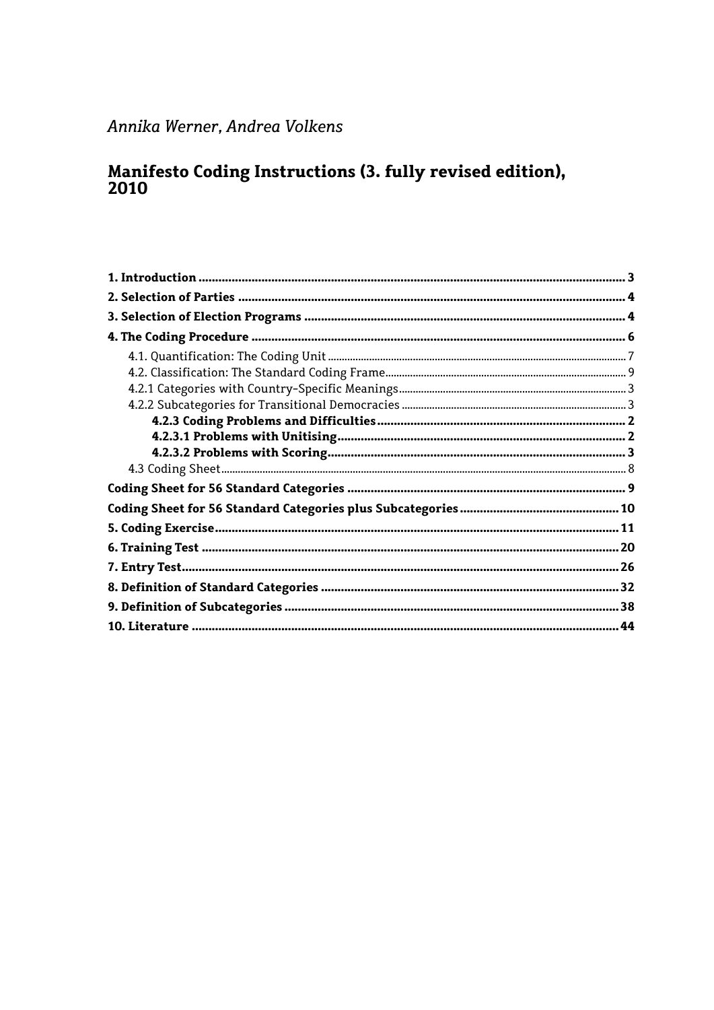# Annika Werner, Andrea Volkens

# **Manifesto Coding Instructions (3. fully revised edition),<br>2010**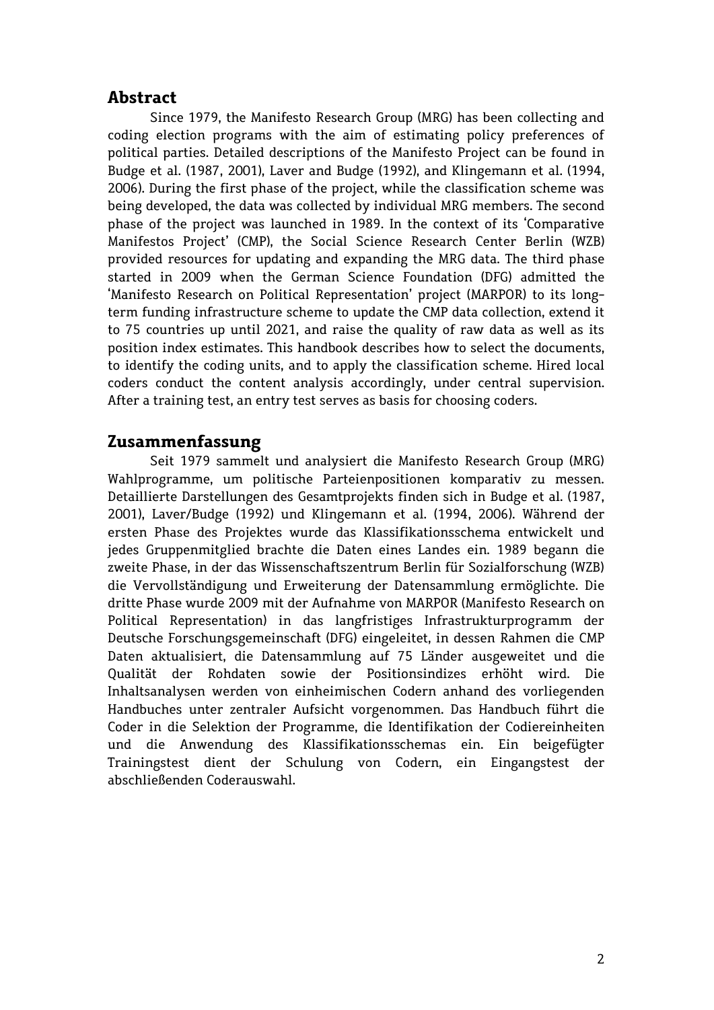#### **Abstract**

Since 1979, the Manifesto Research Group (MRG) has been collecting and coding election programs with the aim of estimating policy preferences of political parties. Detailed descriptions of the Manifesto Project can be found in Budge et al. (1987, 2001), Laver and Budge (1992), and Klingemann et al. (1994, 2006). During the first phase of the project, while the classification scheme was being developed, the data was collected by individual MRG members. The second phase of the project was launched in 1989. In the context of its 'Comparative Manifestos Project' (CMP), the Social Science Research Center Berlin (WZB) provided resources for updating and expanding the MRG data. The third phase started in 2009 when the German Science Foundation (DFG) admitted the 'Manifesto Research on Political Representation' project (MARPOR) to its longterm funding infrastructure scheme to update the CMP data collection, extend it to 75 countries up until 2021, and raise the quality of raw data as well as its position index estimates. This handbook describes how to select the documents, to identify the coding units, and to apply the classification scheme. Hired local coders conduct the content analysis accordingly, under central supervision. After a training test, an entry test serves as basis for choosing coders.

#### **Zusammenfassung**

Seit 1979 sammelt und analysiert die Manifesto Research Group (MRG) Wahlprogramme, um politische Parteienpositionen komparativ zu messen. Detaillierte Darstellungen des Gesamtprojekts finden sich in Budge et al. (1987, 2001), Laver/Budge (1992) und Klingemann et al. (1994, 2006). Während der ersten Phase des Projektes wurde das Klassifikationsschema entwickelt und jedes Gruppenmitglied brachte die Daten eines Landes ein. 1989 begann die zweite Phase, in der das Wissenschaftszentrum Berlin für Sozialforschung (WZB) die Vervollständigung und Erweiterung der Datensammlung ermöglichte. Die dritte Phase wurde 2009 mit der Aufnahme von MARPOR (Manifesto Research on Political Representation) in das langfristiges Infrastrukturprogramm der Deutsche Forschungsgemeinschaft (DFG) eingeleitet, in dessen Rahmen die CMP Daten aktualisiert, die Datensammlung auf 75 Länder ausgeweitet und die Qualität der Rohdaten sowie der Positionsindizes erhöht wird. Die Inhaltsanalysen werden von einheimischen Codern anhand des vorliegenden Handbuches unter zentraler Aufsicht vorgenommen. Das Handbuch führt die Coder in die Selektion der Programme, die Identifikation der Codiereinheiten und die Anwendung des Klassifikationsschemas ein. Ein beigefügter Trainingstest dient der Schulung von Codern, ein Eingangstest der abschließenden Coderauswahl.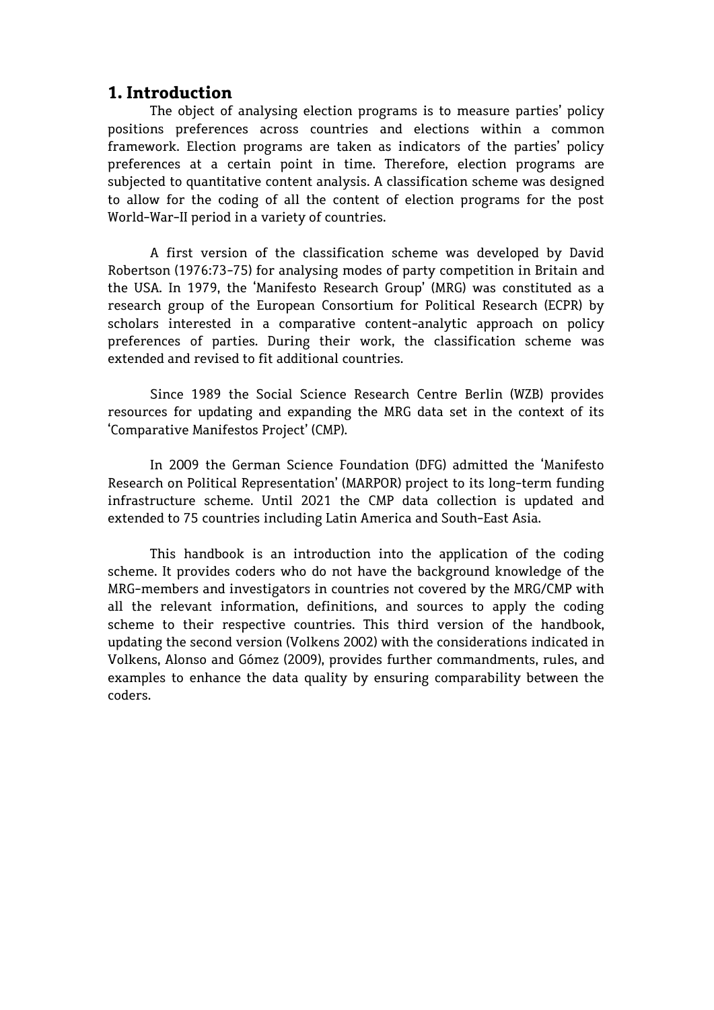#### <span id="page-2-0"></span>**1. Introduction**

The object of analysing election programs is to measure parties' policy positions preferences across countries and elections within a common framework. Election programs are taken as indicators of the parties' policy preferences at a certain point in time. Therefore, election programs are subjected to quantitative content analysis. A classification scheme was designed to allow for the coding of all the content of election programs for the post World-War-II period in a variety of countries.

A first version of the classification scheme was developed by David Robertson (1976:73-75) for analysing modes of party competition in Britain and the USA. In 1979, the 'Manifesto Research Group' (MRG) was constituted as a research group of the European Consortium for Political Research (ECPR) by scholars interested in a comparative content-analytic approach on policy preferences of parties. During their work, the classification scheme was extended and revised to fit additional countries.

Since 1989 the Social Science Research Centre Berlin (WZB) provides resources for updating and expanding the MRG data set in the context of its 'Comparative Manifestos Project' (CMP).

In 2009 the German Science Foundation (DFG) admitted the 'Manifesto Research on Political Representation' (MARPOR) project to its long-term funding infrastructure scheme. Until 2021 the CMP data collection is updated and extended to 75 countries including Latin America and South-East Asia.

This handbook is an introduction into the application of the coding scheme. It provides coders who do not have the background knowledge of the MRG-members and investigators in countries not covered by the MRG/CMP with all the relevant information, definitions, and sources to apply the coding scheme to their respective countries. This third version of the handbook, updating the second version (Volkens 2002) with the considerations indicated in Volkens, Alonso and Gómez (2009), provides further commandments, rules, and examples to enhance the data quality by ensuring comparability between the coders.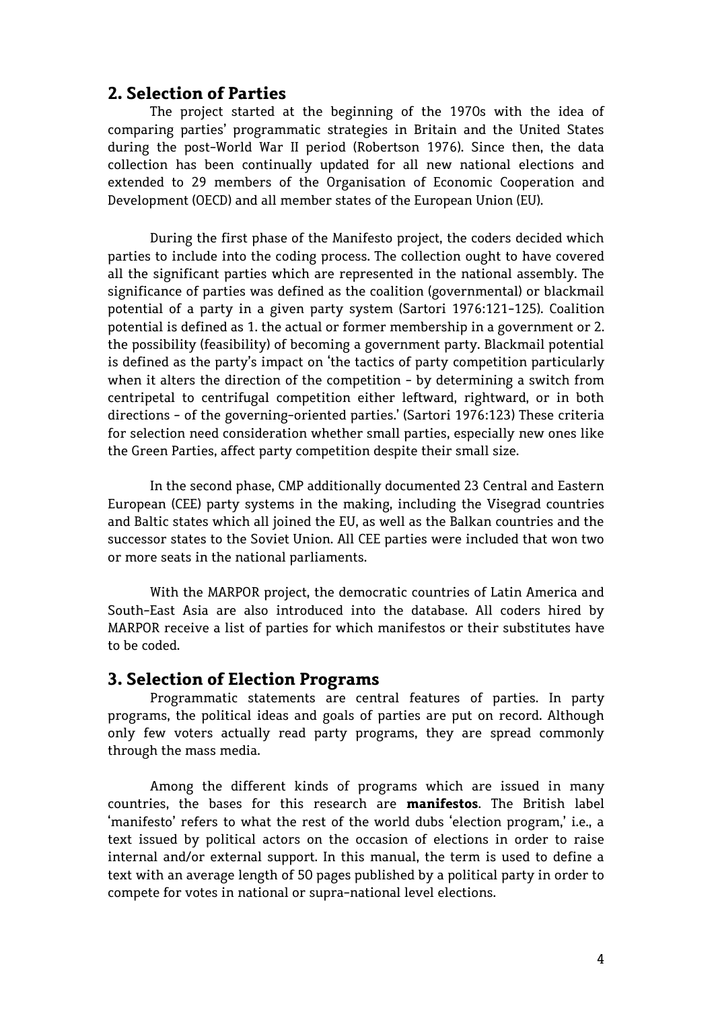#### <span id="page-3-0"></span>**2. Selection of Parties**

The project started at the beginning of the 1970s with the idea of comparing parties' programmatic strategies in Britain and the United States during the post-World War II period (Robertson 1976). Since then, the data collection has been continually updated for all new national elections and extended to 29 members of the Organisation of Economic Cooperation and Development (OECD) and all member states of the European Union (EU).

During the first phase of the Manifesto project, the coders decided which parties to include into the coding process. The collection ought to have covered all the significant parties which are represented in the national assembly. The significance of parties was defined as the coalition (governmental) or blackmail potential of a party in a given party system (Sartori 1976:121-125). Coalition potential is defined as 1. the actual or former membership in a government or 2. the possibility (feasibility) of becoming a government party. Blackmail potential is defined as the party's impact on 'the tactics of party competition particularly when it alters the direction of the competition - by determining a switch from centripetal to centrifugal competition either leftward, rightward, or in both directions - of the governing-oriented parties.' (Sartori 1976:123) These criteria for selection need consideration whether small parties, especially new ones like the Green Parties, affect party competition despite their small size.

In the second phase, CMP additionally documented 23 Central and Eastern European (CEE) party systems in the making, including the Visegrad countries and Baltic states which all joined the EU, as well as the Balkan countries and the successor states to the Soviet Union. All CEE parties were included that won two or more seats in the national parliaments.

With the MARPOR project, the democratic countries of Latin America and South-East Asia are also introduced into the database. All coders hired by MARPOR receive a list of parties for which manifestos or their substitutes have to be coded.

#### <span id="page-3-1"></span>**3. Selection of Election Programs**

Programmatic statements are central features of parties. In party programs, the political ideas and goals of parties are put on record. Although only few voters actually read party programs, they are spread commonly through the mass media.

Among the different kinds of programs which are issued in many countries, the bases for this research are **manifestos**. The British label 'manifesto' refers to what the rest of the world dubs 'election program,' i.e., a text issued by political actors on the occasion of elections in order to raise internal and/or external support. In this manual, the term is used to define a text with an average length of 50 pages published by a political party in order to compete for votes in national or supra-national level elections.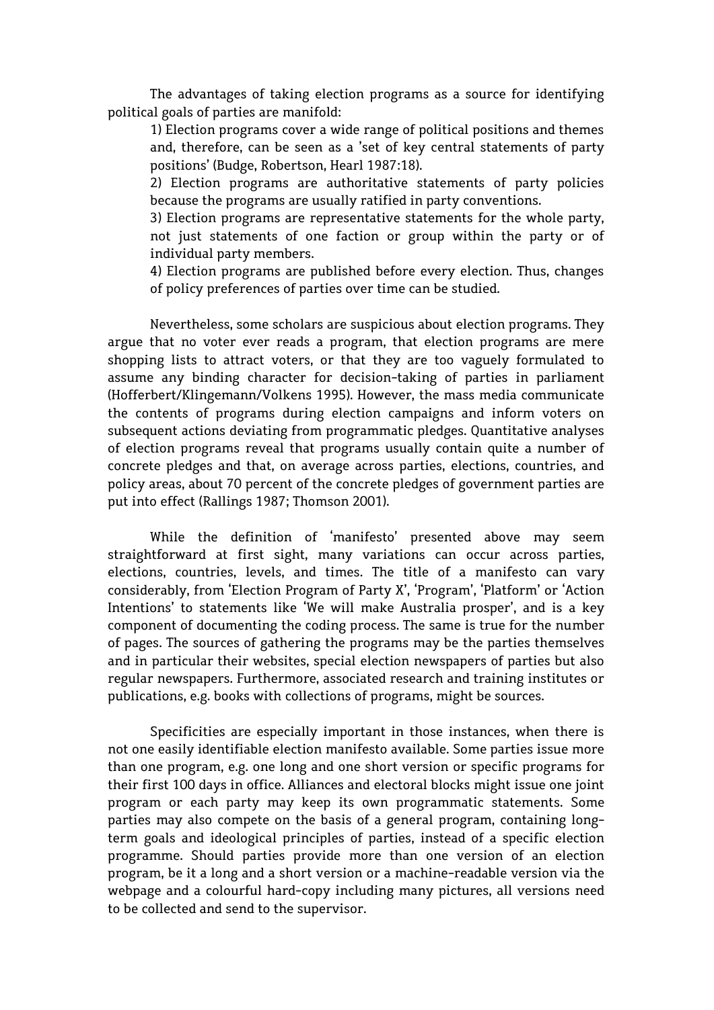The advantages of taking election programs as a source for identifying political goals of parties are manifold:

1) Election programs cover a wide range of political positions and themes and, therefore, can be seen as a 'set of key central statements of party positions' (Budge, Robertson, Hearl 1987:18).

2) Election programs are authoritative statements of party policies because the programs are usually ratified in party conventions.

3) Election programs are representative statements for the whole party, not just statements of one faction or group within the party or of individual party members.

4) Election programs are published before every election. Thus, changes of policy preferences of parties over time can be studied.

Nevertheless, some scholars are suspicious about election programs. They argue that no voter ever reads a program, that election programs are mere shopping lists to attract voters, or that they are too vaguely formulated to assume any binding character for decision-taking of parties in parliament (Hofferbert/Klingemann/Volkens 1995). However, the mass media communicate the contents of programs during election campaigns and inform voters on subsequent actions deviating from programmatic pledges. Quantitative analyses of election programs reveal that programs usually contain quite a number of concrete pledges and that, on average across parties, elections, countries, and policy areas, about 70 percent of the concrete pledges of government parties are put into effect (Rallings 1987; Thomson 2001).

While the definition of 'manifesto' presented above may seem straightforward at first sight, many variations can occur across parties, elections, countries, levels, and times. The title of a manifesto can vary considerably, from 'Election Program of Party X', 'Program', 'Platform' or 'Action Intentions' to statements like 'We will make Australia prosper', and is a key component of documenting the coding process. The same is true for the number of pages. The sources of gathering the programs may be the parties themselves and in particular their websites, special election newspapers of parties but also regular newspapers. Furthermore, associated research and training institutes or publications, e.g. books with collections of programs, might be sources.

Specificities are especially important in those instances, when there is not one easily identifiable election manifesto available. Some parties issue more than one program, e.g. one long and one short version or specific programs for their first 100 days in office. Alliances and electoral blocks might issue one joint program or each party may keep its own programmatic statements. Some parties may also compete on the basis of a general program, containing longterm goals and ideological principles of parties, instead of a specific election programme. Should parties provide more than one version of an election program, be it a long and a short version or a machine-readable version via the webpage and a colourful hard-copy including many pictures, all versions need to be collected and send to the supervisor.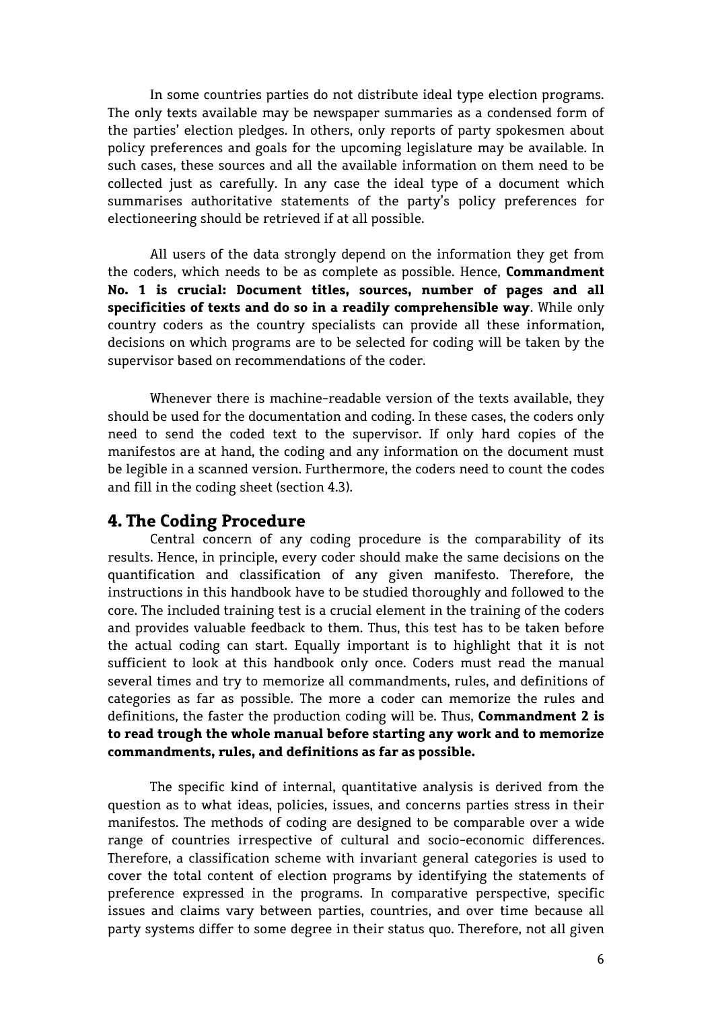In some countries parties do not distribute ideal type election programs. The only texts available may be newspaper summaries as a condensed form of the parties' election pledges. In others, only reports of party spokesmen about policy preferences and goals for the upcoming legislature may be available. In such cases, these sources and all the available information on them need to be collected just as carefully. In any case the ideal type of a document which summarises authoritative statements of the party's policy preferences for electioneering should be retrieved if at all possible.

All users of the data strongly depend on the information they get from the coders, which needs to be as complete as possible. Hence, **Commandment No. 1 is crucial: Document titles, sources, number of pages and all specificities of texts and do so in a readily comprehensible way**. While only country coders as the country specialists can provide all these information, decisions on which programs are to be selected for coding will be taken by the supervisor based on recommendations of the coder.

Whenever there is machine-readable version of the texts available, they should be used for the documentation and coding. In these cases, the coders only need to send the coded text to the supervisor. If only hard copies of the manifestos are at hand, the coding and any information on the document must be legible in a scanned version. Furthermore, the coders need to count the codes and fill in the coding sheet (section 4.3).

#### <span id="page-5-0"></span>**4. The Coding Procedure**

Central concern of any coding procedure is the comparability of its results. Hence, in principle, every coder should make the same decisions on the quantification and classification of any given manifesto. Therefore, the instructions in this handbook have to be studied thoroughly and followed to the core. The included training test is a crucial element in the training of the coders and provides valuable feedback to them. Thus, this test has to be taken before the actual coding can start. Equally important is to highlight that it is not sufficient to look at this handbook only once. Coders must read the manual several times and try to memorize all commandments, rules, and definitions of categories as far as possible. The more a coder can memorize the rules and definitions, the faster the production coding will be. Thus, **Commandment 2 is to read trough the whole manual before starting any work and to memorize commandments, rules, and definitions as far as possible.**

The specific kind of internal, quantitative analysis is derived from the question as to what ideas, policies, issues, and concerns parties stress in their manifestos. The methods of coding are designed to be comparable over a wide range of countries irrespective of cultural and socio-economic differences. Therefore, a classification scheme with invariant general categories is used to cover the total content of election programs by identifying the statements of preference expressed in the programs. In comparative perspective, specific issues and claims vary between parties, countries, and over time because all party systems differ to some degree in their status quo. Therefore, not all given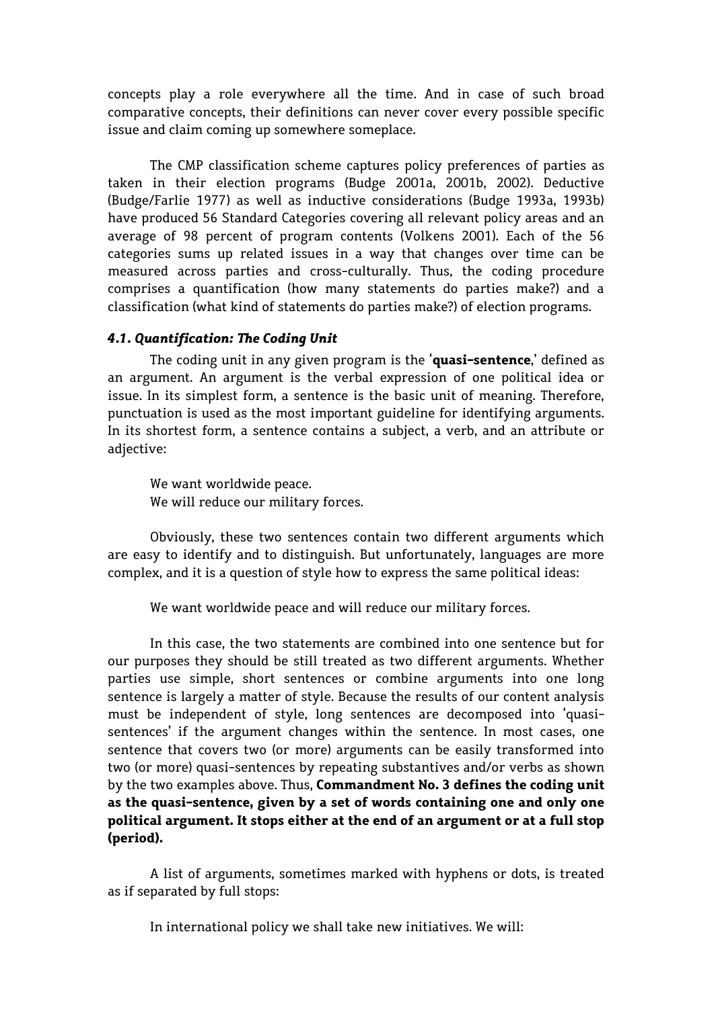concepts play a role everywhere all the time. And in case of such broad comparative concepts, their definitions can never cover every possible specific issue and claim coming up somewhere someplace.

The CMP classification scheme captures policy preferences of parties as taken in their election programs (Budge 2001a, 2001b, 2002). Deductive (Budge/Farlie 1977) as well as inductive considerations (Budge 1993a, 1993b) have produced 56 Standard Categories covering all relevant policy areas and an average of 98 percent of program contents (Volkens 2001). Each of the 56 categories sums up related issues in a way that changes over time can be measured across parties and cross-culturally. Thus, the coding procedure comprises a quantification (how many statements do parties make?) and a classification (what kind of statements do parties make?) of election programs.

#### <span id="page-6-0"></span>*4.1. Quantification: The Coding Unit*

The coding unit in any given program is the '**quasi-sentence**,' defined as an argument. An argument is the verbal expression of one political idea or issue. In its simplest form, a sentence is the basic unit of meaning. Therefore, punctuation is used as the most important guideline for identifying arguments. In its shortest form, a sentence contains a subject, a verb, and an attribute or adjective:

We want worldwide peace. We will reduce our military forces.

Obviously, these two sentences contain two different arguments which are easy to identify and to distinguish. But unfortunately, languages are more complex, and it is a question of style how to express the same political ideas:

We want worldwide peace and will reduce our military forces.

In this case, the two statements are combined into one sentence but for our purposes they should be still treated as two different arguments. Whether parties use simple, short sentences or combine arguments into one long sentence is largely a matter of style. Because the results of our content analysis must be independent of style, long sentences are decomposed into 'quasisentences' if the argument changes within the sentence. In most cases, one sentence that covers two (or more) arguments can be easily transformed into two (or more) quasi-sentences by repeating substantives and/or verbs as shown by the two examples above. Thus, **Commandment No. 3 defines the coding unit as the quasi-sentence, given by a set of words containing one and only one political argument. It stops either at the end of an argument or at a full stop (period).**

A list of arguments, sometimes marked with hyphens or dots, is treated as if separated by full stops:

In international policy we shall take new initiatives. We will: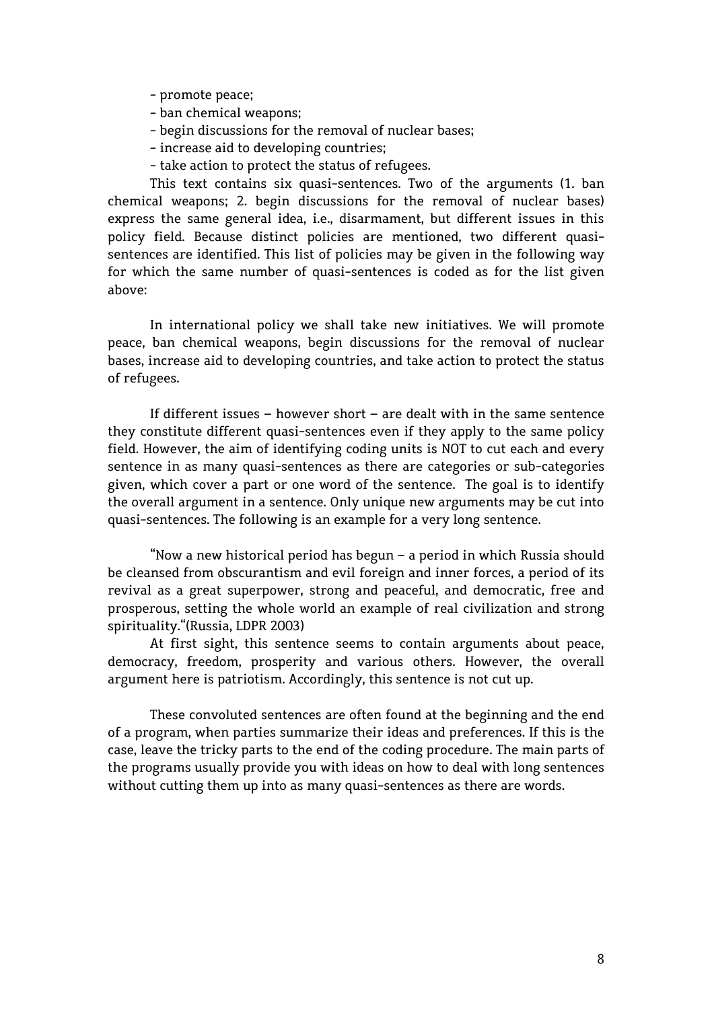- promote peace;
- ban chemical weapons;
- begin discussions for the removal of nuclear bases;
- increase aid to developing countries;
- take action to protect the status of refugees.

This text contains six quasi-sentences. Two of the arguments (1. ban chemical weapons; 2. begin discussions for the removal of nuclear bases) express the same general idea, i.e., disarmament, but different issues in this policy field. Because distinct policies are mentioned, two different quasisentences are identified. This list of policies may be given in the following way for which the same number of quasi-sentences is coded as for the list given above:

In international policy we shall take new initiatives. We will promote peace, ban chemical weapons, begin discussions for the removal of nuclear bases, increase aid to developing countries, and take action to protect the status of refugees.

If different issues – however short – are dealt with in the same sentence they constitute different quasi-sentences even if they apply to the same policy field. However, the aim of identifying coding units is NOT to cut each and every sentence in as many quasi-sentences as there are categories or sub-categories given, which cover a part or one word of the sentence. The goal is to identify the overall argument in a sentence. Only unique new arguments may be cut into quasi-sentences. The following is an example for a very long sentence.

"Now a new historical period has begun – a period in which Russia should be cleansed from obscurantism and evil foreign and inner forces, a period of its revival as a great superpower, strong and peaceful, and democratic, free and prosperous, setting the whole world an example of real civilization and strong spirituality."(Russia, LDPR 2003)

At first sight, this sentence seems to contain arguments about peace, democracy, freedom, prosperity and various others. However, the overall argument here is patriotism. Accordingly, this sentence is not cut up.

These convoluted sentences are often found at the beginning and the end of a program, when parties summarize their ideas and preferences. If this is the case, leave the tricky parts to the end of the coding procedure. The main parts of the programs usually provide you with ideas on how to deal with long sentences without cutting them up into as many quasi-sentences as there are words.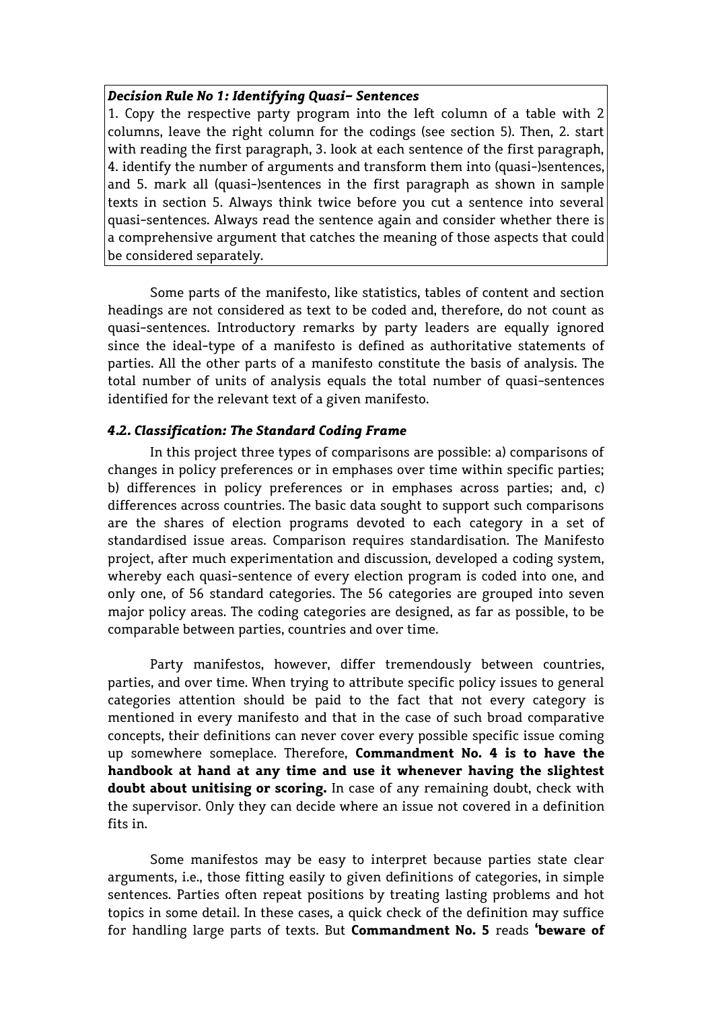#### *Decision Rule No 1: Identifying Quasi- Sentences*

1. Copy the respective party program into the left column of a table with 2 columns, leave the right column for the codings (see section 5). Then, 2. start with reading the first paragraph, 3. look at each sentence of the first paragraph, 4. identify the number of arguments and transform them into (quasi-)sentences, and 5. mark all (quasi-)sentences in the first paragraph as shown in sample texts in section 5. Always think twice before you cut a sentence into several quasi-sentences. Always read the sentence again and consider whether there is a comprehensive argument that catches the meaning of those aspects that could be considered separately.

Some parts of the manifesto, like statistics, tables of content and section headings are not considered as text to be coded and, therefore, do not count as quasi-sentences. Introductory remarks by party leaders are equally ignored since the ideal-type of a manifesto is defined as authoritative statements of parties. All the other parts of a manifesto constitute the basis of analysis. The total number of units of analysis equals the total number of quasi-sentences identified for the relevant text of a given manifesto.

#### <span id="page-8-0"></span>*4.2. Classification: The Standard Coding Frame*

In this project three types of comparisons are possible: a) comparisons of changes in policy preferences or in emphases over time within specific parties; b) differences in policy preferences or in emphases across parties; and, c) differences across countries. The basic data sought to support such comparisons are the shares of election programs devoted to each category in a set of standardised issue areas. Comparison requires standardisation. The Manifesto project, after much experimentation and discussion, developed a coding system, whereby each quasi-sentence of every election program is coded into one, and only one, of 56 standard categories. The 56 categories are grouped into seven major policy areas. The coding categories are designed, as far as possible, to be comparable between parties, countries and over time.

Party manifestos, however, differ tremendously between countries, parties, and over time. When trying to attribute specific policy issues to general categories attention should be paid to the fact that not every category is mentioned in every manifesto and that in the case of such broad comparative concepts, their definitions can never cover every possible specific issue coming up somewhere someplace. Therefore, **Commandment No. 4 is to have the handbook at hand at any time and use it whenever having the slightest doubt about unitising or scoring.** In case of any remaining doubt, check with the supervisor. Only they can decide where an issue not covered in a definition fits in.

Some manifestos may be easy to interpret because parties state clear arguments, i.e., those fitting easily to given definitions of categories, in simple sentences. Parties often repeat positions by treating lasting problems and hot topics in some detail. In these cases, a quick check of the definition may suffice for handling large parts of texts. But **Commandment No. 5** reads **'beware of**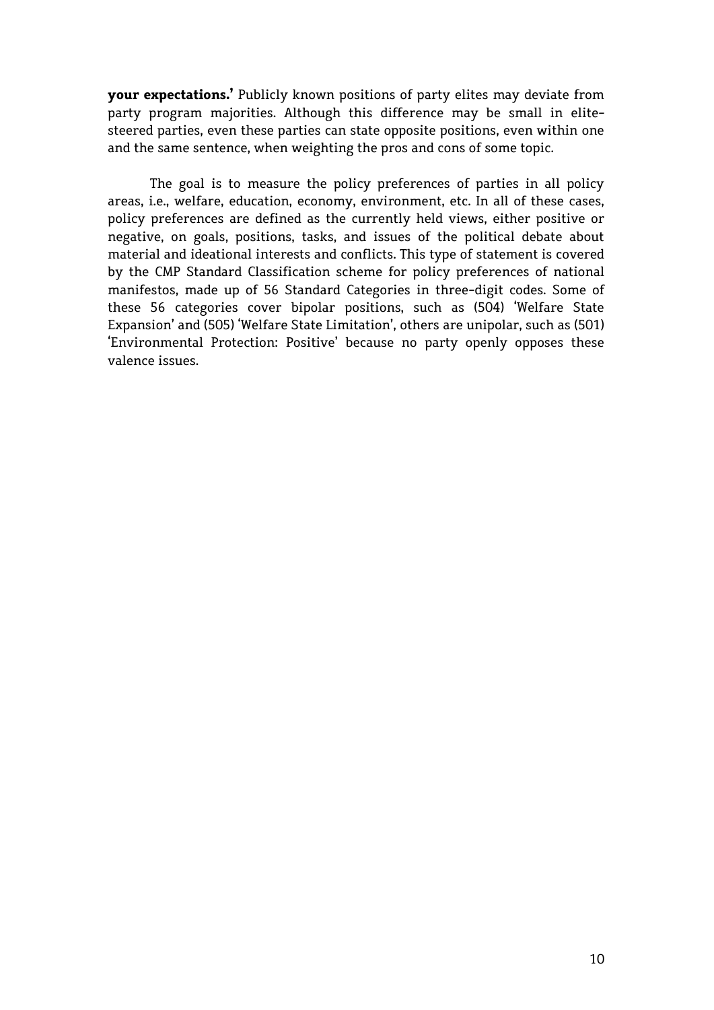**your expectations.'** Publicly known positions of party elites may deviate from party program majorities. Although this difference may be small in elitesteered parties, even these parties can state opposite positions, even within one and the same sentence, when weighting the pros and cons of some topic.

The goal is to measure the policy preferences of parties in all policy areas, i.e., welfare, education, economy, environment, etc. In all of these cases, policy preferences are defined as the currently held views, either positive or negative, on goals, positions, tasks, and issues of the political debate about material and ideational interests and conflicts. This type of statement is covered by the CMP Standard Classification scheme for policy preferences of national manifestos, made up of 56 Standard Categories in three-digit codes. Some of these 56 categories cover bipolar positions, such as (504) 'Welfare State Expansion' and (505) 'Welfare State Limitation', others are unipolar, such as (501) 'Environmental Protection: Positive' because no party openly opposes these valence issues.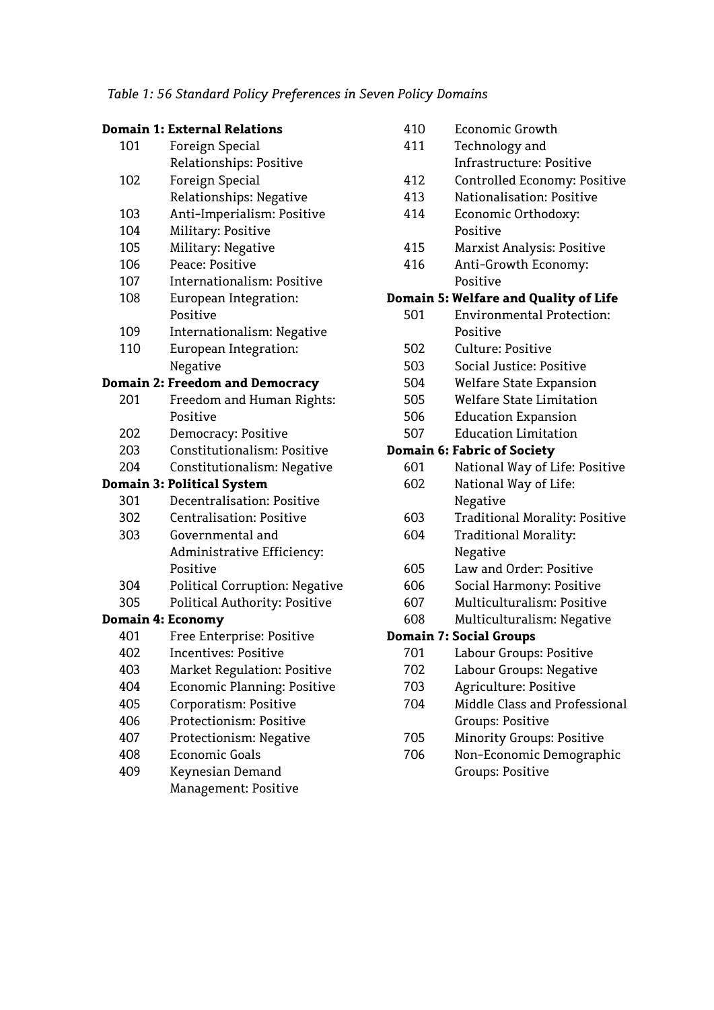#### **Domain 1: External Relations**

| 101 | Foreign Special                        |
|-----|----------------------------------------|
|     | Relationships: Positive                |
| 102 | Foreign Special                        |
|     | Relationships: Negative                |
| 103 | Anti-Imperialism: Positive             |
| 104 | Military: Positive                     |
| 105 | Military: Negative                     |
| 106 | Peace: Positive                        |
| 107 | Internationalism: Positive             |
| 108 | European Integration:                  |
|     | Positive                               |
| 109 | Internationalism: Negative             |
| 110 | European Integration:                  |
|     | Negative                               |
|     | <b>Domain 2: Freedom and Democracy</b> |
| 201 | Freedom and Human Rights:              |
|     | Positive                               |
| 202 | Democracy: Positive                    |
| 203 | Constitutionalism: Positive            |
| 204 | Constitutionalism: Negative            |
|     | Domain 3: Political System             |
| 301 | Decentralisation: Positive             |
| 302 | Centralisation: Positive               |
| 303 | Governmental and                       |
|     | Administrative Efficiency:             |
|     | Positive                               |
| 304 | Political Corruption: Negative         |
| 305 | Political Authority: Positive          |
|     | Domain 4: Economy                      |
| 401 | Free Enterprise: Positive              |
| 402 | <b>Incentives: Positive</b>            |
| 403 | Market Regulation: Positive            |
| 404 | Economic Planning: Positive            |
| 405 | Corporatism: Positive                  |
| 406 | Protectionism: Positive                |
| 407 | Protectionism: Negative                |
| 408 | Economic Goals                         |
| 409 | Keynesian Demand                       |
|     | Management: Positive                   |

- 410 Economic Growth
- 411 Technology and
	- Infrastructure: Positive
- 412 Controlled Economy: Positive
- 413 Nationalisation: Positive
- 414 Economic Orthodoxy: Positive
- 415 Marxist Analysis: Positive
- 416 Anti-Growth Economy: Positive

#### **Domain 5: Welfare and Quality of Life**

- 501 Environmental Protection: Positive
- 502 Culture: Positive
- 503 Social Justice: Positive
- 504 Welfare State Expansion
- 505 Welfare State Limitation
- 506 Education Expansion
- 507 Education Limitation

#### **Domain 6: Fabric of Society**

- 601 National Way of Life: Positive
- 602 National Way of Life: Negative
- 603 Traditional Morality: Positive
- 604 Traditional Morality: Negative
- 605 Law and Order: Positive
- 606 Social Harmony: Positive
- 607 Multiculturalism: Positive
- 608 Multiculturalism: Negative

#### **Domain 7: Social Groups**

- 701 Labour Groups: Positive
- 702 Labour Groups: Negative
- 703 Agriculture: Positive
- 704 Middle Class and Professional Groups: Positive
- 705 Minority Groups: Positive
- 706 Non-Economic Demographic Groups: Positive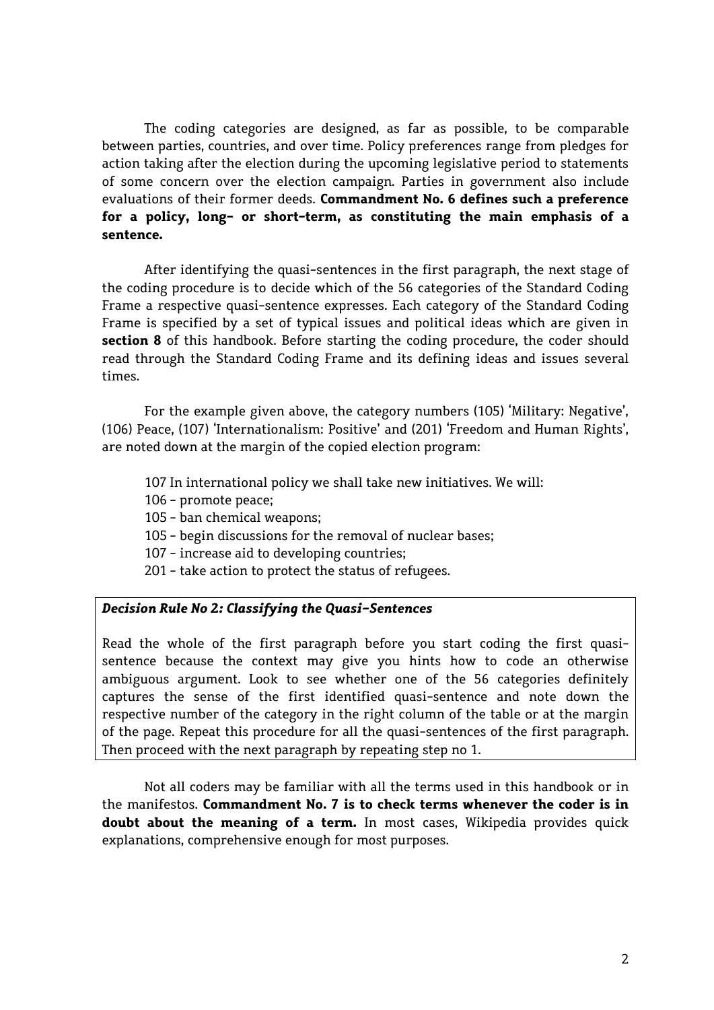The coding categories are designed, as far as possible, to be comparable between parties, countries, and over time. Policy preferences range from pledges for action taking after the election during the upcoming legislative period to statements of some concern over the election campaign. Parties in government also include evaluations of their former deeds. **Commandment No. 6 defines such a preference for a policy, long- or short-term, as constituting the main emphasis of a sentence.**

After identifying the quasi-sentences in the first paragraph, the next stage of the coding procedure is to decide which of the 56 categories of the Standard Coding Frame a respective quasi-sentence expresses. Each category of the Standard Coding Frame is specified by a set of typical issues and political ideas which are given in **section 8** of this handbook. Before starting the coding procedure, the coder should read through the Standard Coding Frame and its defining ideas and issues several times.

For the example given above, the category numbers (105) 'Military: Negative', (106) Peace, (107) 'Internationalism: Positive' and (201) 'Freedom and Human Rights', are noted down at the margin of the copied election program:

107 In international policy we shall take new initiatives. We will:

- 106 promote peace;
- 105 ban chemical weapons;
- 105 begin discussions for the removal of nuclear bases;
- 107 increase aid to developing countries;
- 201 take action to protect the status of refugees.

#### *Decision Rule No 2: Classifying the Quasi-Sentences*

Read the whole of the first paragraph before you start coding the first quasisentence because the context may give you hints how to code an otherwise ambiguous argument. Look to see whether one of the 56 categories definitely captures the sense of the first identified quasi-sentence and note down the respective number of the category in the right column of the table or at the margin of the page. Repeat this procedure for all the quasi-sentences of the first paragraph. Then proceed with the next paragraph by repeating step no 1.

Not all coders may be familiar with all the terms used in this handbook or in the manifestos. **Commandment No. 7 is to check terms whenever the coder is in doubt about the meaning of a term.** In most cases, Wikipedia provides quick explanations, comprehensive enough for most purposes.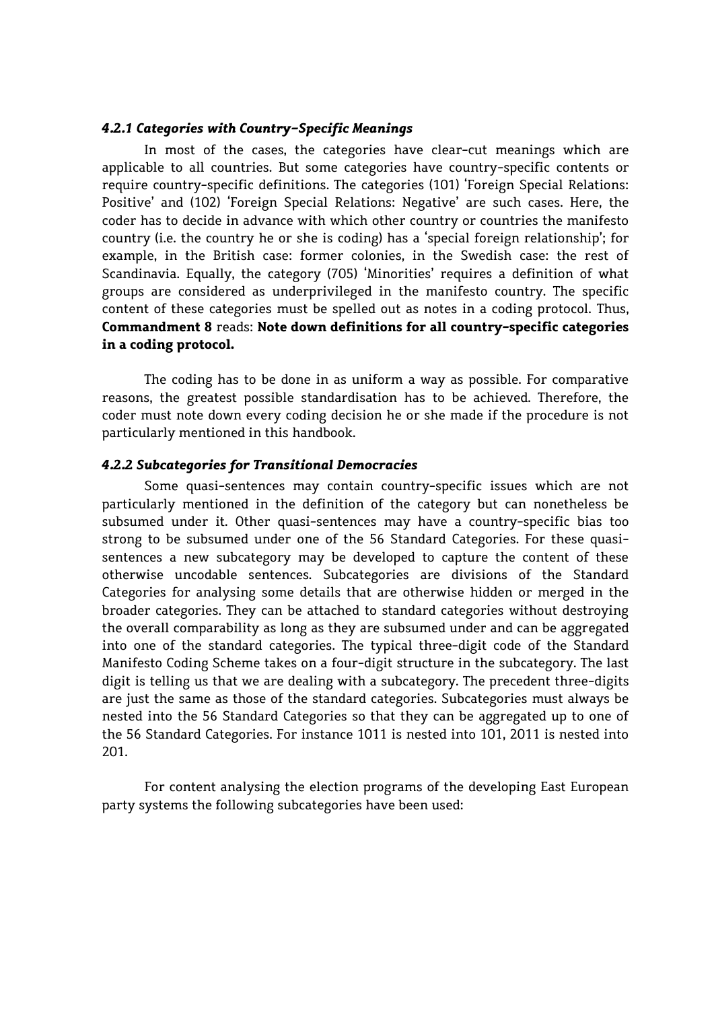#### <span id="page-12-0"></span>*4.2.1 Categories with Country-Specific Meanings*

In most of the cases, the categories have clear-cut meanings which are applicable to all countries. But some categories have country-specific contents or require country-specific definitions. The categories (101) 'Foreign Special Relations: Positive' and (102) 'Foreign Special Relations: Negative' are such cases. Here, the coder has to decide in advance with which other country or countries the manifesto country (i.e. the country he or she is coding) has a 'special foreign relationship'; for example, in the British case: former colonies, in the Swedish case: the rest of Scandinavia. Equally, the category (705) 'Minorities' requires a definition of what groups are considered as underprivileged in the manifesto country. The specific content of these categories must be spelled out as notes in a coding protocol. Thus, **Commandment 8** reads: **Note down definitions for all country-specific categories in a coding protocol.**

The coding has to be done in as uniform a way as possible. For comparative reasons, the greatest possible standardisation has to be achieved. Therefore, the coder must note down every coding decision he or she made if the procedure is not particularly mentioned in this handbook.

#### <span id="page-12-1"></span>*4.2.2 Subcategories for Transitional Democracies*

Some quasi-sentences may contain country-specific issues which are not particularly mentioned in the definition of the category but can nonetheless be subsumed under it. Other quasi-sentences may have a country-specific bias too strong to be subsumed under one of the 56 Standard Categories. For these quasisentences a new subcategory may be developed to capture the content of these otherwise uncodable sentences. Subcategories are divisions of the Standard Categories for analysing some details that are otherwise hidden or merged in the broader categories. They can be attached to standard categories without destroying the overall comparability as long as they are subsumed under and can be aggregated into one of the standard categories. The typical three-digit code of the Standard Manifesto Coding Scheme takes on a four-digit structure in the subcategory. The last digit is telling us that we are dealing with a subcategory. The precedent three-digits are just the same as those of the standard categories. Subcategories must always be nested into the 56 Standard Categories so that they can be aggregated up to one of the 56 Standard Categories. For instance 1011 is nested into 101, 2011 is nested into 201.

For content analysing the election programs of the developing East European party systems the following subcategories have been used: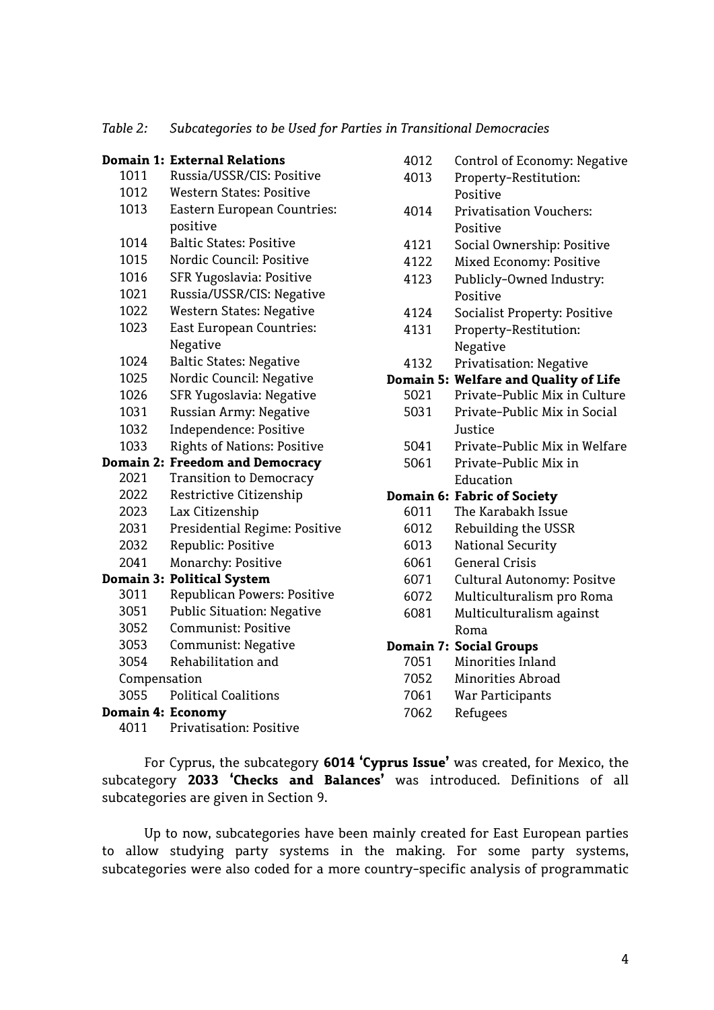|  | Table 2: | Subcategories to be Used for Parties in Transitional Democracies |  |  |  |  |
|--|----------|------------------------------------------------------------------|--|--|--|--|
|--|----------|------------------------------------------------------------------|--|--|--|--|

|                   | <b>Domain 1: External Relations</b>    |
|-------------------|----------------------------------------|
| 1011              | Russia/USSR/CIS: Positive              |
| 1012              | <b>Western States: Positive</b>        |
| 1013              | Eastern European Countries:            |
|                   | positive                               |
| 1014              | <b>Baltic States: Positive</b>         |
| 1015              | Nordic Council: Positive               |
| 1016              | SFR Yugoslavia: Positive               |
| 1021              | Russia/USSR/CIS: Negative              |
| 1022              | Western States: Negative               |
| 1023              | <b>East European Countries:</b>        |
|                   | Negative                               |
| 1024              | <b>Baltic States: Negative</b>         |
| 1025              | Nordic Council: Negative               |
| 1026              | SFR Yugoslavia: Negative               |
| 1031              | Russian Army: Negative                 |
| 1032              | Independence: Positive                 |
| 1033              | <b>Rights of Nations: Positive</b>     |
|                   | <b>Domain 2: Freedom and Democracy</b> |
| 2021              | <b>Transition to Democracy</b>         |
| 2022              | Restrictive Citizenship                |
| 2023              | Lax Citizenship                        |
| 2031              | Presidential Regime: Positive          |
| 2032              | Republic: Positive                     |
| 2041              | Monarchy: Positive                     |
|                   | Domain 3: Political System             |
| 3011              | Republican Powers: Positive            |
| 3051              | Public Situation: Negative             |
| 3052              | Communist: Positive                    |
| 3053              | Communist: Negative                    |
| 3054              | Rehabilitation and                     |
| Compensation      |                                        |
| 3055              | <b>Political Coalitions</b>            |
| Domain 4: Economy |                                        |

**Domain 4: Economy**

Privatisation: Positive

- Control of Economy: Negative
- Property-Restitution: Positive
- Privatisation Vouchers: Positive
- Social Ownership: Positive
- Mixed Economy: Positive
- Publicly-Owned Industry: Positive
- Socialist Property: Positive
- Property-Restitution: Negative
- Privatisation: Negative

#### **Domain 5: Welfare and Quality of Life**

- Private-Public Mix in Culture
- Private-Public Mix in Social Justice
- Private-Public Mix in Welfare
- Private-Public Mix in Education
- **Domain 6: Fabric of Society**
	- The Karabakh Issue
	- Rebuilding the USSR
	- National Security
	- General Crisis
	- Cultural Autonomy: Positve
	- Multiculturalism pro Roma
	- Multiculturalism against Roma

#### **Domain 7: Social Groups**

- Minorities Inland
- Minorities Abroad
- War Participants
- Refugees

For Cyprus, the subcategory **6014 'Cyprus Issue'** was created, for Mexico, the subcategory **2033 'Checks and Balances'** was introduced. Definitions of all subcategories are given in Section 9.

Up to now, subcategories have been mainly created for East European parties to allow studying party systems in the making. For some party systems, subcategories were also coded for a more country-specific analysis of programmatic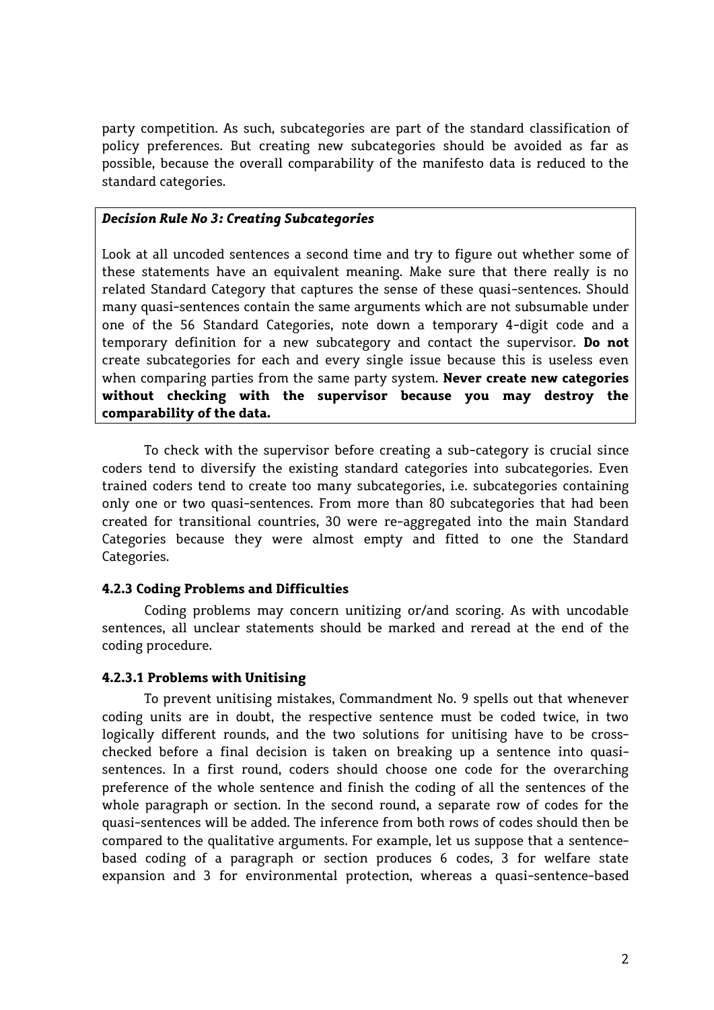party competition. As such, subcategories are part of the standard classification of policy preferences. But creating new subcategories should be avoided as far as possible, because the overall comparability of the manifesto data is reduced to the standard categories.

#### *Decision Rule No 3: Creating Subcategories*

Look at all uncoded sentences a second time and try to figure out whether some of these statements have an equivalent meaning. Make sure that there really is no related Standard Category that captures the sense of these quasi-sentences. Should many quasi-sentences contain the same arguments which are not subsumable under one of the 56 Standard Categories, note down a temporary 4-digit code and a temporary definition for a new subcategory and contact the supervisor. **Do not** create subcategories for each and every single issue because this is useless even when comparing parties from the same party system. **Never create new categories without checking with the supervisor because you may destroy the comparability of the data.**

To check with the supervisor before creating a sub-category is crucial since coders tend to diversify the existing standard categories into subcategories. Even trained coders tend to create too many subcategories, i.e. subcategories containing only one or two quasi-sentences. From more than 80 subcategories that had been created for transitional countries, 30 were re-aggregated into the main Standard Categories because they were almost empty and fitted to one the Standard Categories.

#### <span id="page-14-0"></span>**4.2.3 Coding Problems and Difficulties**

Coding problems may concern unitizing or/and scoring. As with uncodable sentences, all unclear statements should be marked and reread at the end of the coding procedure.

#### <span id="page-14-1"></span>**4.2.3.1 Problems with Unitising**

To prevent unitising mistakes, Commandment No. 9 spells out that whenever coding units are in doubt, the respective sentence must be coded twice, in two logically different rounds, and the two solutions for unitising have to be crosschecked before a final decision is taken on breaking up a sentence into quasisentences. In a first round, coders should choose one code for the overarching preference of the whole sentence and finish the coding of all the sentences of the whole paragraph or section. In the second round, a separate row of codes for the quasi-sentences will be added. The inference from both rows of codes should then be compared to the qualitative arguments. For example, let us suppose that a sentencebased coding of a paragraph or section produces 6 codes, 3 for welfare state expansion and 3 for environmental protection, whereas a quasi-sentence-based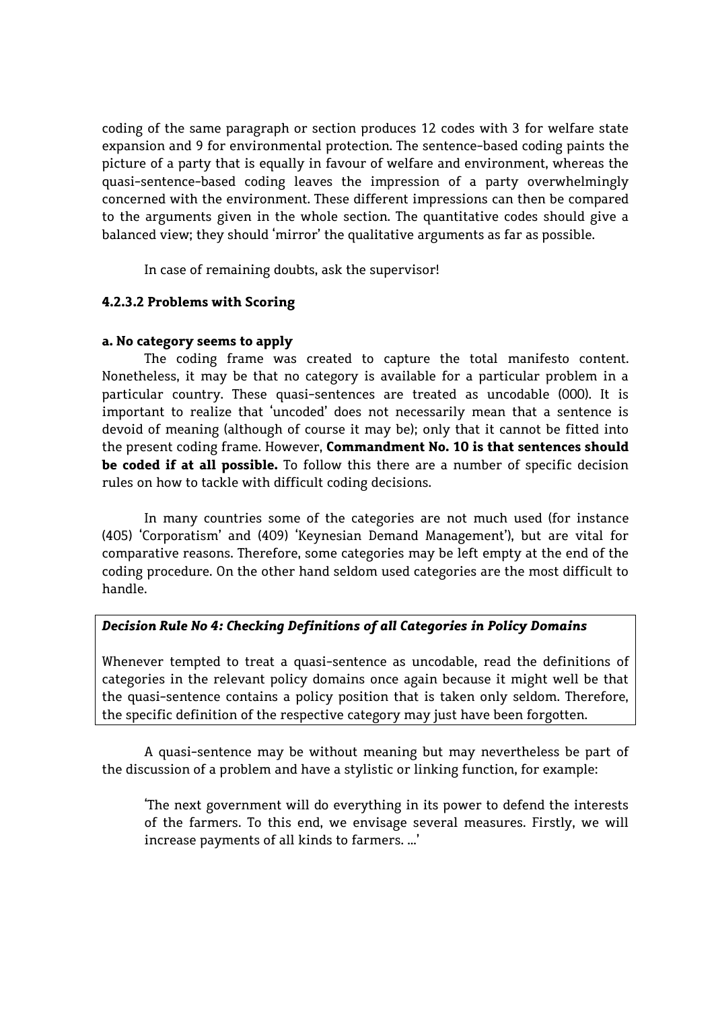coding of the same paragraph or section produces 12 codes with 3 for welfare state expansion and 9 for environmental protection. The sentence-based coding paints the picture of a party that is equally in favour of welfare and environment, whereas the quasi-sentence-based coding leaves the impression of a party overwhelmingly concerned with the environment. These different impressions can then be compared to the arguments given in the whole section. The quantitative codes should give a balanced view; they should 'mirror' the qualitative arguments as far as possible.

In case of remaining doubts, ask the supervisor!

#### <span id="page-15-0"></span>**4.2.3.2 Problems with Scoring**

#### **a. No category seems to apply**

The coding frame was created to capture the total manifesto content. Nonetheless, it may be that no category is available for a particular problem in a particular country. These quasi-sentences are treated as uncodable (000). It is important to realize that 'uncoded' does not necessarily mean that a sentence is devoid of meaning (although of course it may be); only that it cannot be fitted into the present coding frame. However, **Commandment No. 10 is that sentences should be coded if at all possible.** To follow this there are a number of specific decision rules on how to tackle with difficult coding decisions.

In many countries some of the categories are not much used (for instance (405) 'Corporatism' and (409) 'Keynesian Demand Management'), but are vital for comparative reasons. Therefore, some categories may be left empty at the end of the coding procedure. On the other hand seldom used categories are the most difficult to handle.

#### *Decision Rule No 4: Checking Definitions of all Categories in Policy Domains*

Whenever tempted to treat a quasi-sentence as uncodable, read the definitions of categories in the relevant policy domains once again because it might well be that the quasi-sentence contains a policy position that is taken only seldom. Therefore, the specific definition of the respective category may just have been forgotten.

A quasi-sentence may be without meaning but may nevertheless be part of the discussion of a problem and have a stylistic or linking function, for example:

'The next government will do everything in its power to defend the interests of the farmers. To this end, we envisage several measures. Firstly, we will increase payments of all kinds to farmers. ...'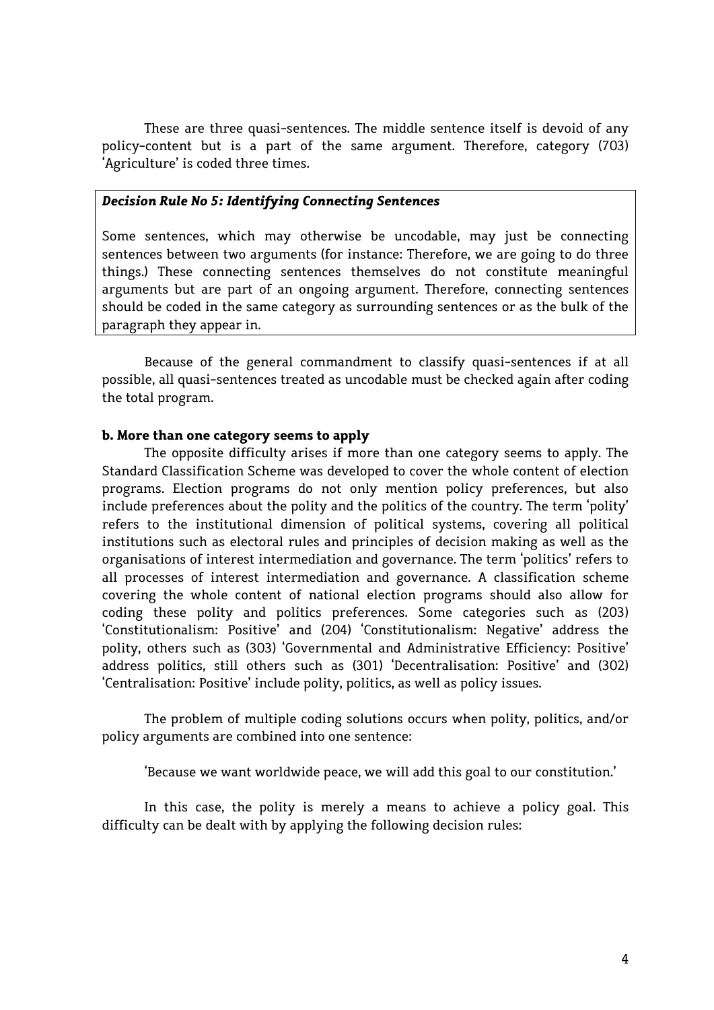These are three quasi-sentences. The middle sentence itself is devoid of any policy-content but is a part of the same argument. Therefore, category (703) 'Agriculture' is coded three times.

#### *Decision Rule No 5: Identifying Connecting Sentences*

Some sentences, which may otherwise be uncodable, may just be connecting sentences between two arguments (for instance: Therefore, we are going to do three things.) These connecting sentences themselves do not constitute meaningful arguments but are part of an ongoing argument. Therefore, connecting sentences should be coded in the same category as surrounding sentences or as the bulk of the paragraph they appear in.

Because of the general commandment to classify quasi-sentences if at all possible, all quasi-sentences treated as uncodable must be checked again after coding the total program.

#### **b. More than one category seems to apply**

The opposite difficulty arises if more than one category seems to apply. The Standard Classification Scheme was developed to cover the whole content of election programs. Election programs do not only mention policy preferences, but also include preferences about the polity and the politics of the country. The term 'polity' refers to the institutional dimension of political systems, covering all political institutions such as electoral rules and principles of decision making as well as the organisations of interest intermediation and governance. The term 'politics' refers to all processes of interest intermediation and governance. A classification scheme covering the whole content of national election programs should also allow for coding these polity and politics preferences. Some categories such as (203) 'Constitutionalism: Positive' and (204) 'Constitutionalism: Negative' address the polity, others such as (303) 'Governmental and Administrative Efficiency: Positive' address politics, still others such as (301) 'Decentralisation: Positive' and (302) 'Centralisation: Positive' include polity, politics, as well as policy issues.

The problem of multiple coding solutions occurs when polity, politics, and/or policy arguments are combined into one sentence:

'Because we want worldwide peace, we will add this goal to our constitution.'

In this case, the polity is merely a means to achieve a policy goal. This difficulty can be dealt with by applying the following decision rules: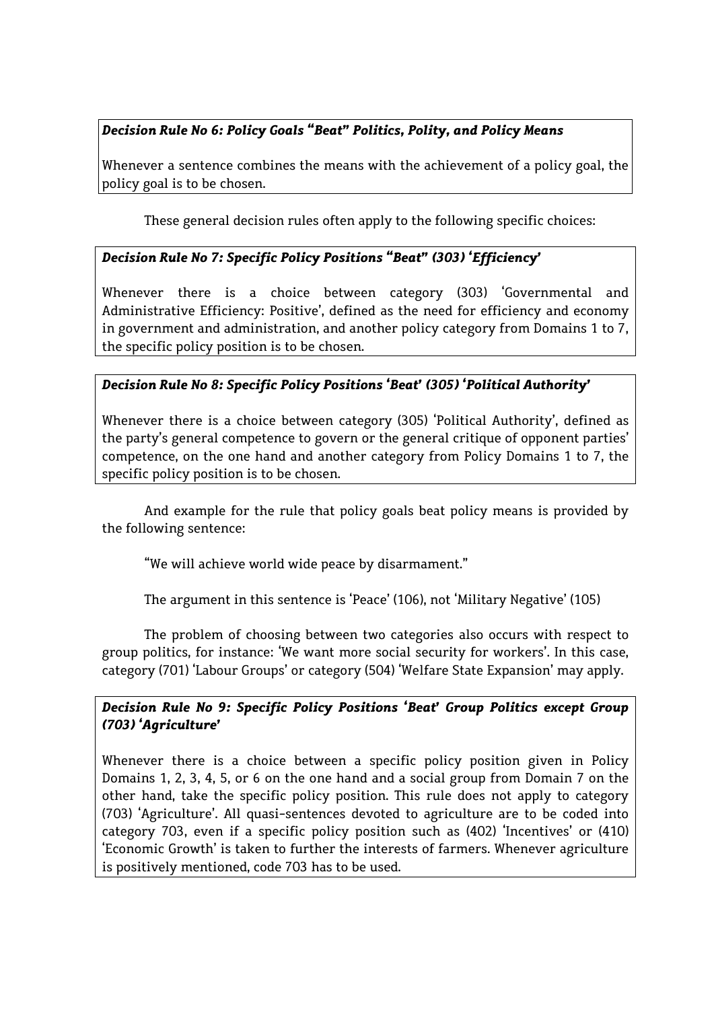#### *Decision Rule No 6: Policy Goals "Beat" Politics, Polity, and Policy Means*

Whenever a sentence combines the means with the achievement of a policy goal, the policy goal is to be chosen.

These general decision rules often apply to the following specific choices:

#### *Decision Rule No 7: Specific Policy Positions "Beat" (303) 'Efficiency'*

Whenever there is a choice between category (303) 'Governmental and Administrative Efficiency: Positive', defined as the need for efficiency and economy in government and administration, and another policy category from Domains 1 to 7, the specific policy position is to be chosen.

#### *Decision Rule No 8: Specific Policy Positions 'Beat' (305) 'Political Authority'*

Whenever there is a choice between category (305) 'Political Authority', defined as the party's general competence to govern or the general critique of opponent parties' competence, on the one hand and another category from Policy Domains 1 to 7, the specific policy position is to be chosen.

And example for the rule that policy goals beat policy means is provided by the following sentence:

"We will achieve world wide peace by disarmament."

The argument in this sentence is 'Peace' (106), not 'Military Negative' (105)

The problem of choosing between two categories also occurs with respect to group politics, for instance: 'We want more social security for workers'. In this case, category (701) 'Labour Groups' or category (504) 'Welfare State Expansion' may apply.

*Decision Rule No 9: Specific Policy Positions 'Beat' Group Politics except Group (703) 'Agriculture'*

Whenever there is a choice between a specific policy position given in Policy Domains 1, 2, 3, 4, 5, or 6 on the one hand and a social group from Domain 7 on the other hand, take the specific policy position. This rule does not apply to category (703) 'Agriculture'. All quasi-sentences devoted to agriculture are to be coded into category 703, even if a specific policy position such as (402) 'Incentives' or (410) 'Economic Growth' is taken to further the interests of farmers. Whenever agriculture is positively mentioned, code 703 has to be used.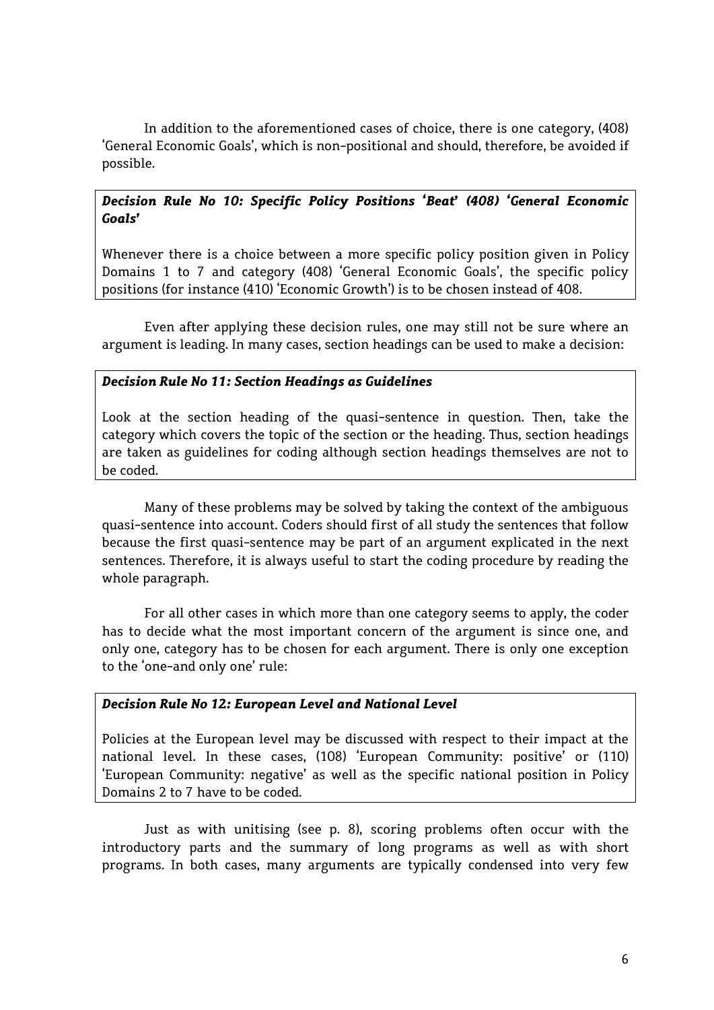In addition to the aforementioned cases of choice, there is one category, (408) 'General Economic Goals', which is non-positional and should, therefore, be avoided if possible.

#### *Decision Rule No 10: Specific Policy Positions 'Beat' (408) 'General Economic Goals'*

Whenever there is a choice between a more specific policy position given in Policy Domains 1 to 7 and category (408) 'General Economic Goals', the specific policy positions (for instance (410) 'Economic Growth') is to be chosen instead of 408.

Even after applying these decision rules, one may still not be sure where an argument is leading. In many cases, section headings can be used to make a decision:

#### *Decision Rule No 11: Section Headings as Guidelines*

Look at the section heading of the quasi-sentence in question. Then, take the category which covers the topic of the section or the heading. Thus, section headings are taken as guidelines for coding although section headings themselves are not to be coded.

Many of these problems may be solved by taking the context of the ambiguous quasi-sentence into account. Coders should first of all study the sentences that follow because the first quasi-sentence may be part of an argument explicated in the next sentences. Therefore, it is always useful to start the coding procedure by reading the whole paragraph.

For all other cases in which more than one category seems to apply, the coder has to decide what the most important concern of the argument is since one, and only one, category has to be chosen for each argument. There is only one exception to the 'one-and only one' rule:

#### *Decision Rule No 12: European Level and National Level*

Policies at the European level may be discussed with respect to their impact at the national level. In these cases, (108) 'European Community: positive' or (110) 'European Community: negative' as well as the specific national position in Policy Domains 2 to 7 have to be coded.

Just as with unitising (see p. 8), scoring problems often occur with the introductory parts and the summary of long programs as well as with short programs. In both cases, many arguments are typically condensed into very few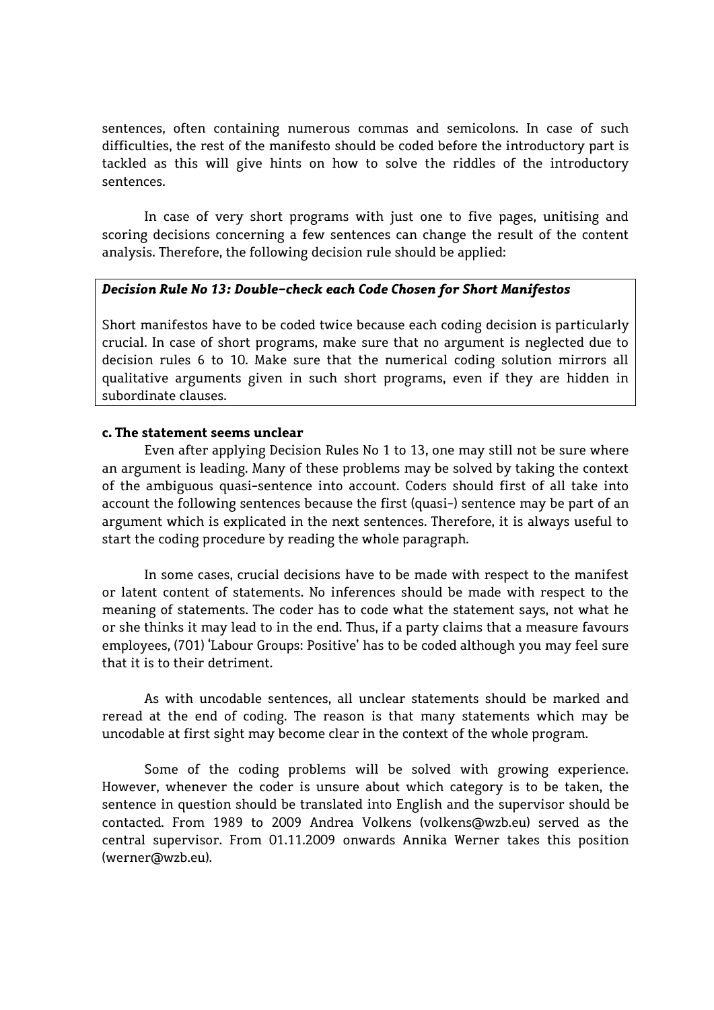sentences, often containing numerous commas and semicolons. In case of such difficulties, the rest of the manifesto should be coded before the introductory part is tackled as this will give hints on how to solve the riddles of the introductory sentences.

In case of very short programs with just one to five pages, unitising and scoring decisions concerning a few sentences can change the result of the content analysis. Therefore, the following decision rule should be applied:

#### *Decision Rule No 13: Double-check each Code Chosen for Short Manifestos*

Short manifestos have to be coded twice because each coding decision is particularly crucial. In case of short programs, make sure that no argument is neglected due to decision rules 6 to 10. Make sure that the numerical coding solution mirrors all qualitative arguments given in such short programs, even if they are hidden in subordinate clauses.

#### **c. The statement seems unclear**

Even after applying Decision Rules No 1 to 13, one may still not be sure where an argument is leading. Many of these problems may be solved by taking the context of the ambiguous quasi-sentence into account. Coders should first of all take into account the following sentences because the first (quasi-) sentence may be part of an argument which is explicated in the next sentences. Therefore, it is always useful to start the coding procedure by reading the whole paragraph.

In some cases, crucial decisions have to be made with respect to the manifest or latent content of statements. No inferences should be made with respect to the meaning of statements. The coder has to code what the statement says, not what he or she thinks it may lead to in the end. Thus, if a party claims that a measure favours employees, (701) 'Labour Groups: Positive' has to be coded although you may feel sure that it is to their detriment.

As with uncodable sentences, all unclear statements should be marked and reread at the end of coding. The reason is that many statements which may be uncodable at first sight may become clear in the context of the whole program.

Some of the coding problems will be solved with growing experience. However, whenever the coder is unsure about which category is to be taken, the sentence in question should be translated into English and the supervisor should be contacted. From 1989 to 2009 Andrea Volkens (volkens@wzb.eu) served as the central supervisor. From 01.11.2009 onwards Annika Werner takes this position (werner@wzb.eu).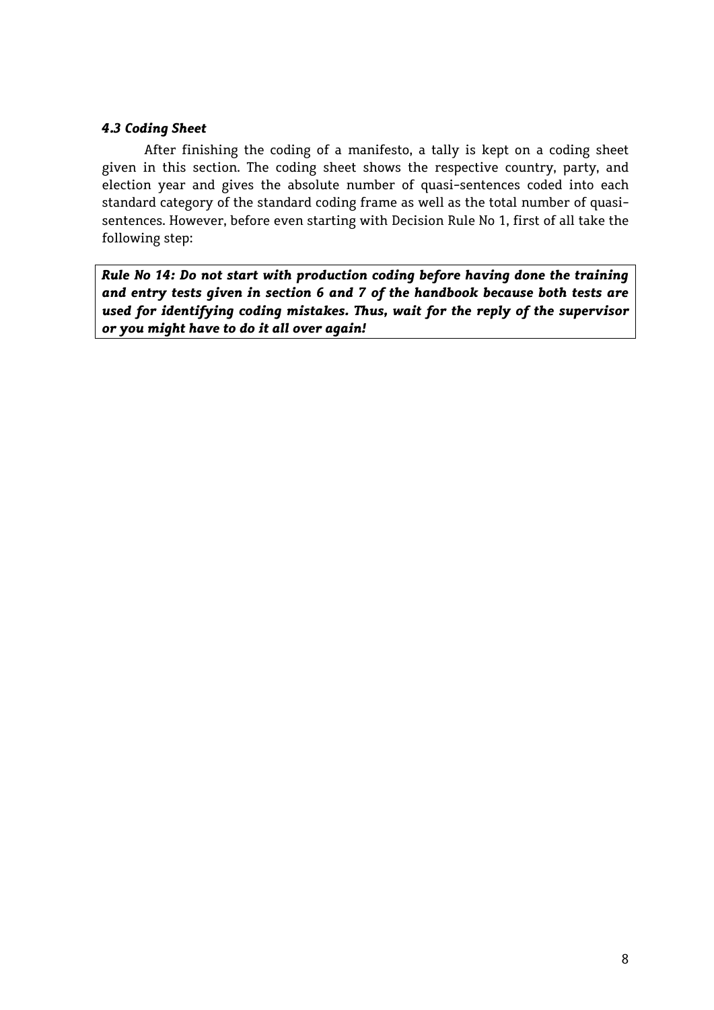#### <span id="page-20-0"></span>*4.3 Coding Sheet*

After finishing the coding of a manifesto, a tally is kept on a coding sheet given in this section. The coding sheet shows the respective country, party, and election year and gives the absolute number of quasi-sentences coded into each standard category of the standard coding frame as well as the total number of quasisentences. However, before even starting with Decision Rule No 1, first of all take the following step:

*Rule No 14: Do not start with production coding before having done the training and entry tests given in section 6 and 7 of the handbook because both tests are used for identifying coding mistakes. Thus, wait for the reply of the supervisor or you might have to do it all over again!*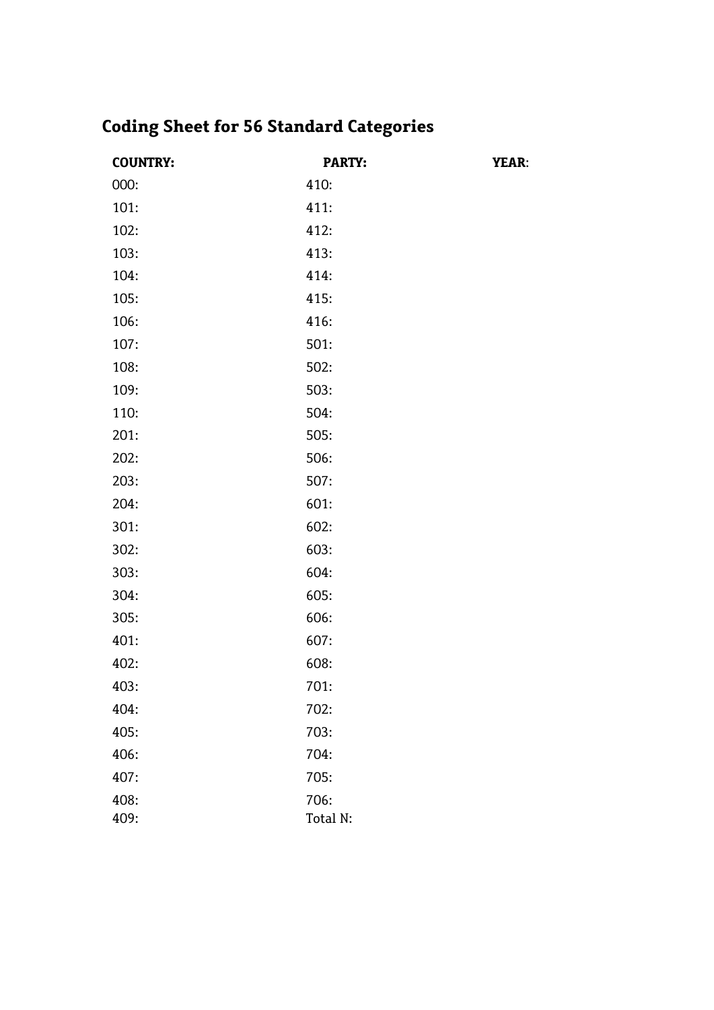# <span id="page-21-0"></span>**Coding Sheet for 56 Standard Categories**

| <b>COUNTRY:</b> | <b>PARTY:</b> | <b>YEAR:</b> |
|-----------------|---------------|--------------|
| 000:            | 410:          |              |
| 101:            | 411:          |              |
| 102:            | 412:          |              |
| 103:            | 413:          |              |
| 104:            | 414:          |              |
| 105:            | 415:          |              |
| 106:            | 416:          |              |
| 107:            | 501:          |              |
| 108:            | 502:          |              |
| 109:            | 503:          |              |
| 110:            | 504:          |              |
| 201:            | 505:          |              |
| 202:            | 506:          |              |
| 203:            | 507:          |              |
| 204:            | 601:          |              |
| 301:            | 602:          |              |
| 302:            | 603:          |              |
| 303:            | 604:          |              |
| 304:            | 605:          |              |
| 305:            | 606:          |              |
| 401:            | 607:          |              |
| 402:            | 608:          |              |
| 403:            | 701:          |              |
| 404:            | 702:          |              |
| 405:            | 703:          |              |
| 406:            | 704:          |              |
| 407:            | 705:          |              |
| 408:            | 706:          |              |
| 409:            | Total N:      |              |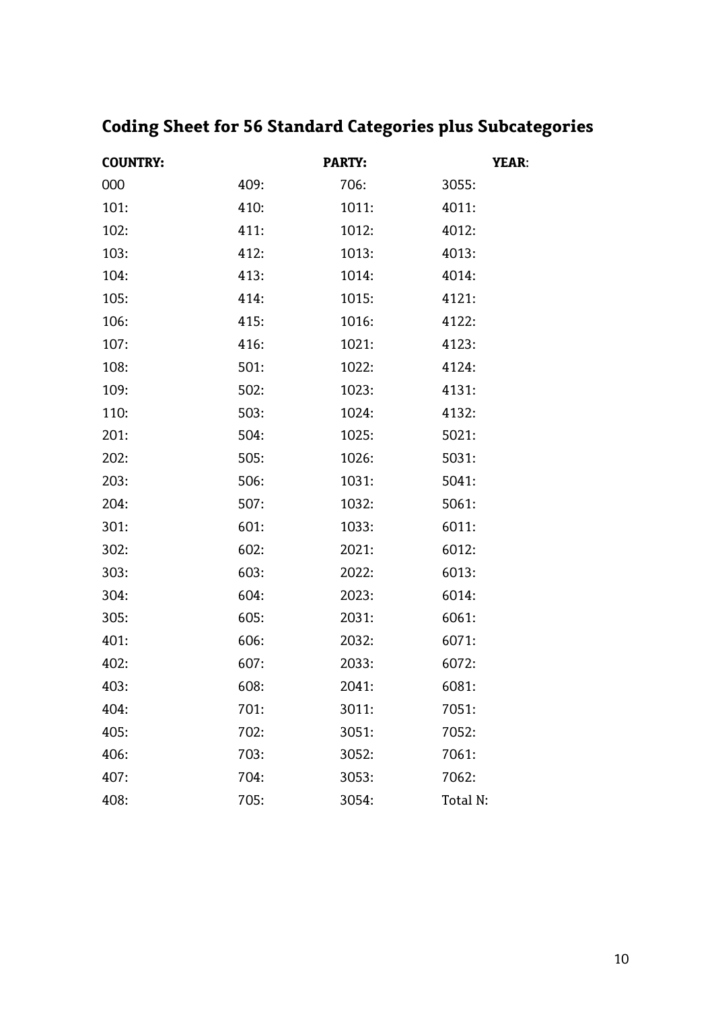# <span id="page-22-0"></span>**Coding Sheet for 56 Standard Categories plus Subcategories**

| <b>COUNTRY:</b> |      | <b>PARTY:</b> | <b>YEAR:</b> |
|-----------------|------|---------------|--------------|
| 000             | 409: | 706:          | 3055:        |
| 101:            | 410: | 1011:         | 4011:        |
| 102:            | 411: | 1012:         | 4012:        |
| 103:            | 412: | 1013:         | 4013:        |
| 104:            | 413: | 1014:         | 4014:        |
| 105:            | 414: | 1015:         | 4121:        |
| 106:            | 415: | 1016:         | 4122:        |
| 107:            | 416: | 1021:         | 4123:        |
| 108:            | 501: | 1022:         | 4124:        |
| 109:            | 502: | 1023:         | 4131:        |
| 110:            | 503: | 1024:         | 4132:        |
| 201:            | 504: | 1025:         | 5021:        |
| 202:            | 505: | 1026:         | 5031:        |
| 203:            | 506: | 1031:         | 5041:        |
| 204:            | 507: | 1032:         | 5061:        |
| 301:            | 601: | 1033:         | 6011:        |
| 302:            | 602: | 2021:         | 6012:        |
| 303:            | 603: | 2022:         | 6013:        |
| 304:            | 604: | 2023:         | 6014:        |
| 305:            | 605: | 2031:         | 6061:        |
| 401:            | 606: | 2032:         | 6071:        |
| 402:            | 607: | 2033:         | 6072:        |
| 403:            | 608: | 2041:         | 6081:        |
| 404:            | 701: | 3011:         | 7051:        |
| 405:            | 702: | 3051:         | 7052:        |
| 406:            | 703: | 3052:         | 7061:        |
| 407:            | 704: | 3053:         | 7062:        |
| 408:            | 705: | 3054:         | Total N:     |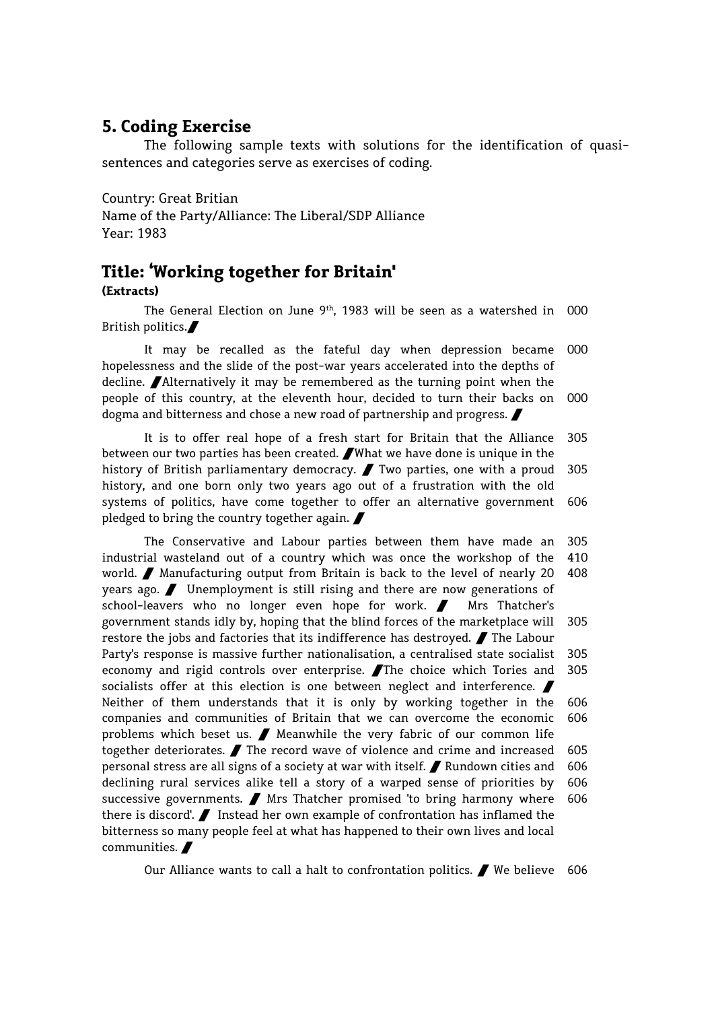#### <span id="page-23-0"></span>**5. Coding Exercise**

The following sample texts with solutions for the identification of quasisentences and categories serve as exercises of coding.

Country: Great Britian Name of the Party/Alliance: The Liberal/SDP Alliance Year: 1983

# **Title: 'Working together for Britain'**

#### **(Extracts)**

The General Election on June 9th, 1983 will be seen as a watershed in  $\,$  000  $\,$ British politics.

It may be recalled as the fateful day when depression became hopelessness and the slide of the post-war years accelerated into the depths of decline. Alternatively it may be remembered as the turning point when the people of this country, at the eleventh hour, decided to turn their backs on 000 dogma and bitterness and chose a new road of partnership and progress. 000

It is to offer real hope of a fresh start for Britain that the Alliance between our two parties has been created. What we have done is unique in the history of British parliamentary democracy. **T** Two parties, one with a proud history, and one born only two years ago out of a frustration with the old systems of politics, have come together to offer an alternative government pledged to bring the country together again.  $\blacksquare$ 305 305 606

The Conservative and Labour parties between them have made an industrial wasteland out of a country which was once the workshop of the world. **I** Manufacturing output from Britain is back to the level of nearly 20 years ago. Unemployment is still rising and there are now generations of school-leavers who no longer even hope for work. Mrs Thatcher's government stands idly by, hoping that the blind forces of the marketplace will restore the jobs and factories that its indifference has destroyed. **T** The Labour Party's response is massive further nationalisation, a centralised state socialist economy and rigid controls over enterprise. The choice which Tories and socialists offer at this election is one between neglect and interference. Neither of them understands that it is only by working together in the companies and communities of Britain that we can overcome the economic problems which beset us.  $\blacksquare$  Meanwhile the very fabric of our common life together deteriorates.  $\blacktriangledown$  The record wave of violence and crime and increased personal stress are all signs of a society at war with itself. **A** Rundown cities and declining rural services alike tell a story of a warped sense of priorities by successive governments.  $\blacksquare$  Mrs Thatcher promised 'to bring harmony where there is discord'. Instead her own example of confrontation has inflamed the bitterness so many people feel at what has happened to their own lives and local communities. 305 410 408 305 305 305 606 606 605 606 606 606

Our Alliance wants to call a halt to confrontation politics.  $\blacksquare$  We believe 606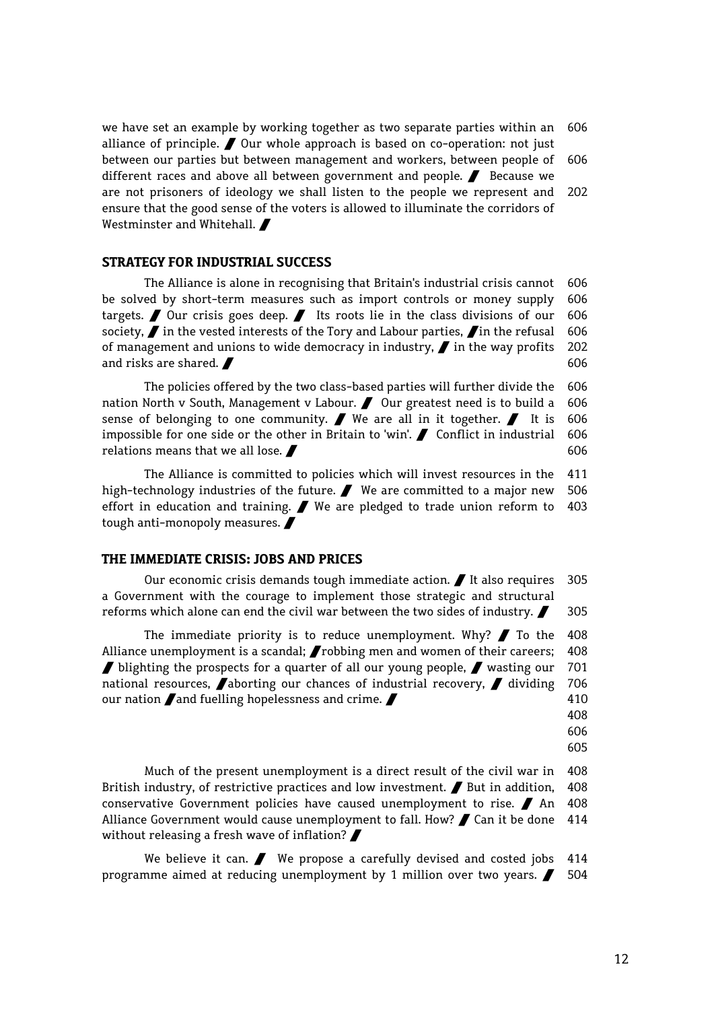we have set an example by working together as two separate parties within an alliance of principle.  $\blacksquare$  Our whole approach is based on co-operation: not just between our parties but between management and workers, between people of different races and above all between government and people.  $\blacktriangleright$  Because we are not prisoners of ideology we shall listen to the people we represent and ensure that the good sense of the voters is allowed to illuminate the corridors of Westminster and Whitehall.  $\blacksquare$ 606 606 202

#### **STRATEGY FOR INDUSTRIAL SUCCESS**

The Alliance is alone in recognising that Britain's industrial crisis cannot be solved by short-term measures such as import controls or money supply targets.  $\blacksquare$  Our crisis goes deep.  $\blacksquare$  Its roots lie in the class divisions of our society,  $\blacksquare$  in the vested interests of the Tory and Labour parties,  $\blacksquare$  in the refusal of management and unions to wide democracy in industry,  $\blacksquare$  in the way profits and risks are shared.  $\blacksquare$ 606 606 606 606 202 606

The policies offered by the two class-based parties will further divide the nation North v South, Management v Labour.  $\blacksquare$  Our greatest need is to build a sense of belonging to one community.  $\blacksquare$  We are all in it together.  $\blacksquare$  It is impossible for one side or the other in Britain to 'win'.  $\blacktriangledown$  Conflict in industrial relations means that we all lose. 606 606 606 606 606

The Alliance is committed to policies which will invest resources in the high-technology industries of the future.  $\blacktriangledown$  We are committed to a major new effort in education and training. We are pledged to trade union reform to tough anti-monopoly measures. 411 506 403

#### **THE IMMEDIATE CRISIS: JOBS AND PRICES**

Our economic crisis demands tough immediate action.  $\blacksquare$  It also requires a Government with the courage to implement those strategic and structural reforms which alone can end the civil war between the two sides of industry. 305 305

The immediate priority is to reduce unemployment. Why?  $\blacktriangledown$  To the Alliance unemployment is a scandal; robbing men and women of their careers;  $\blacktriangleright$  blighting the prospects for a quarter of all our young people,  $\blacktriangleright$  wasting our national resources, **A**borting our chances of industrial recovery, **A** dividing our nation  $\sqrt{\ }$  and fuelling hopelessness and crime.  $\sqrt{\ }$ 408 408 701 706 410

> 408 606

> > 605

Much of the present unemployment is a direct result of the civil war in British industry, of restrictive practices and low investment.  $\blacksquare$  But in addition, conservative Government policies have caused unemployment to rise.  $\blacksquare$  An Alliance Government would cause unemployment to fall. How?  $\blacktriangledown$  Can it be done without releasing a fresh wave of inflation? 408 408 408 414

We believe it can.  $\blacksquare$  We propose a carefully devised and costed jobs programme aimed at reducing unemployment by 1 million over two years. 414 504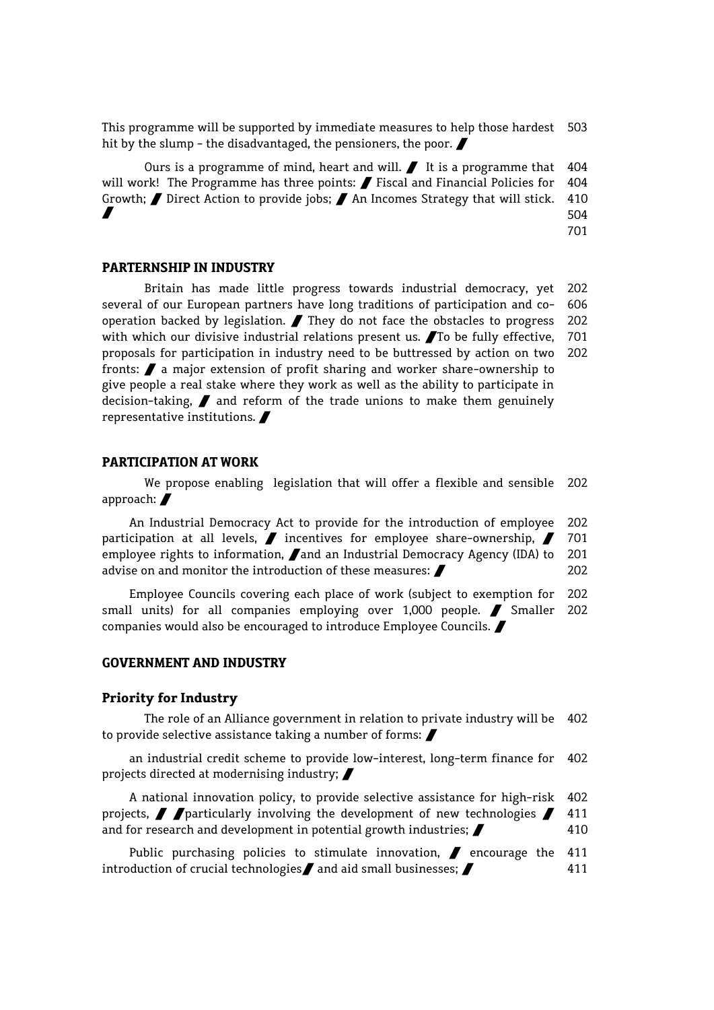This programme will be supported by immediate measures to help those hardest hit by the slump - the disadvantaged, the pensioners, the poor.  $\blacksquare$ 503

Ours is a programme of mind, heart and will.  $\blacksquare$  It is a programme that will work! The Programme has three points: **F** Fiscal and Financial Policies for Growth; *I* Direct Action to provide jobs; *I* An Incomes Strategy that will stick. 1 404 404 410 504

701

#### **PARTERNSHIP IN INDUSTRY**

Britain has made little progress towards industrial democracy, yet several of our European partners have long traditions of participation and cooperation backed by legislation.  $\blacktriangledown$  They do not face the obstacles to progress with which our divisive industrial relations present us.  $\blacksquare$  To be fully effective, proposals for participation in industry need to be buttressed by action on two fronts:  $\blacksquare$  a major extension of profit sharing and worker share-ownership to give people a real stake where they work as well as the ability to participate in decision-taking,  $\blacksquare$  and reform of the trade unions to make them genuinely representative institutions. 202 606 202 701 202

#### **PARTICIPATION AT WORK**

We propose enabling legislation that will offer a flexible and sensible approach:  $\blacksquare$ 202

An Industrial Democracy Act to provide for the introduction of employee participation at all levels,  $\blacktriangledown$  incentives for employee share-ownership,  $\blacktriangledown$ employee rights to information,  $\blacksquare$  and an Industrial Democracy Agency (IDA) to advise on and monitor the introduction of these measures:  $\blacksquare$ 202 701 201 202

Employee Councils covering each place of work (subject to exemption for small units) for all companies employing over  $1,000$  people.  $\blacksquare$  Smaller companies would also be encouraged to introduce Employee Councils. 202 202

#### **GOVERNMENT AND INDUSTRY**

#### **Priority for Industry**

The role of an Alliance government in relation to private industry will be to provide selective assistance taking a number of forms: 402

an industrial credit scheme to provide low-interest, long-term finance for projects directed at modernising industry; 402

A national innovation policy, to provide selective assistance for high-risk projects,  $\blacksquare$  particularly involving the development of new technologies  $\blacksquare$ and for research and development in potential growth industries;  $\blacksquare$ 402 411 410

Public purchasing policies to stimulate innovation,  $\blacksquare$  encourage the introduction of crucial technologies and aid small businesses;  $\blacksquare$ 411 411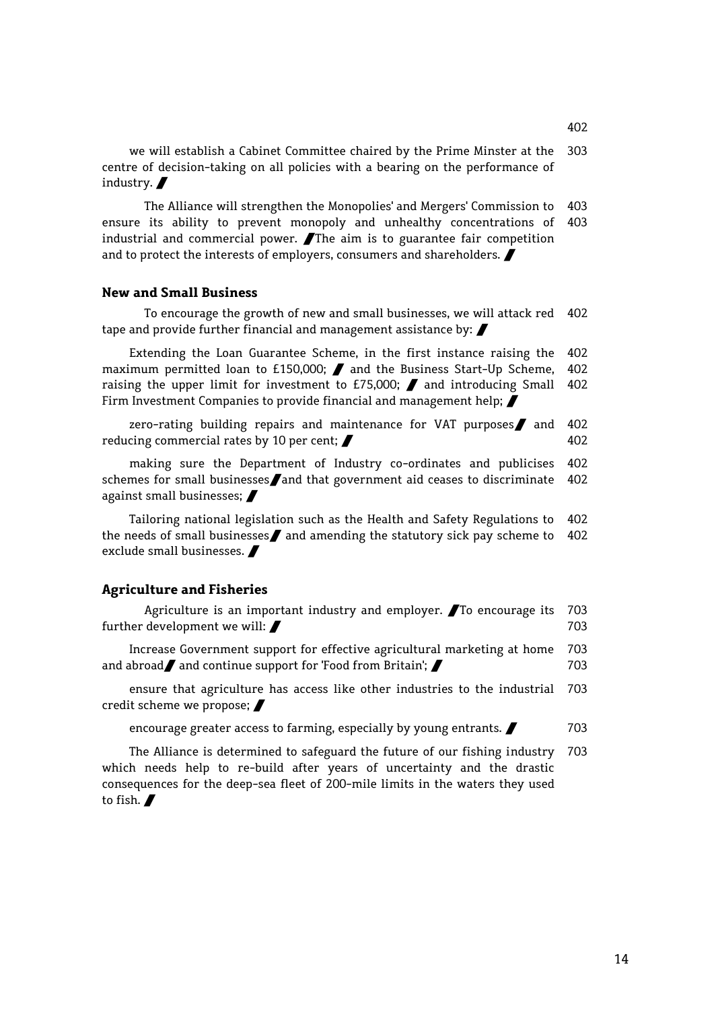we will establish a Cabinet Committee chaired by the Prime Minster at the centre of decision-taking on all policies with a bearing on the performance of industry. 303

The Alliance will strengthen the Monopolies' and Mergers' Commission to ensure its ability to prevent monopoly and unhealthy concentrations of industrial and commercial power.  $\sqrt{ }$ The aim is to guarantee fair competition and to protect the interests of employers, consumers and shareholders.  $\blacksquare$ 403 403

#### **New and Small Business**

To encourage the growth of new and small businesses, we will attack red tape and provide further financial and management assistance by:  $\blacksquare$ 402

Extending the Loan Guarantee Scheme, in the first instance raising the maximum permitted loan to £150,000; and the Business Start-Up Scheme, raising the upper limit for investment to £75,000;  $\blacktriangleright$  and introducing Small Firm Investment Companies to provide financial and management help; 402 402 402

zero-rating building repairs and maintenance for VAT purposes $\blacksquare$  and reducing commercial rates by 10 per cent; 402 402

making sure the Department of Industry co-ordinates and publicises schemes for small businesses and that government aid ceases to discriminate against small businesses; 402 402

Tailoring national legislation such as the Health and Safety Regulations to the needs of small businesses $\boldsymbol{I}$  and amending the statutory sick pay scheme to exclude small businesses. 402 402

#### **Agriculture and Fisheries**

| Agriculture is an important industry and employer. To encourage its                                                    | 703 |
|------------------------------------------------------------------------------------------------------------------------|-----|
| further development we will: $\blacksquare$                                                                            | 703 |
| Increase Government support for effective agricultural marketing at home                                               | 703 |
| and abroad and continue support for 'Food from Britain'; $\blacksquare$                                                | 703 |
| ensure that agriculture has access like other industries to the industrial<br>credit scheme we propose; $\blacksquare$ | 703 |
| encourage greater access to farming, especially by young entrants.                                                     | 703 |

The Alliance is determined to safeguard the future of our fishing industry 703which needs help to re-build after years of uncertainty and the drastic consequences for the deep-sea fleet of 200-mile limits in the waters they used to fish.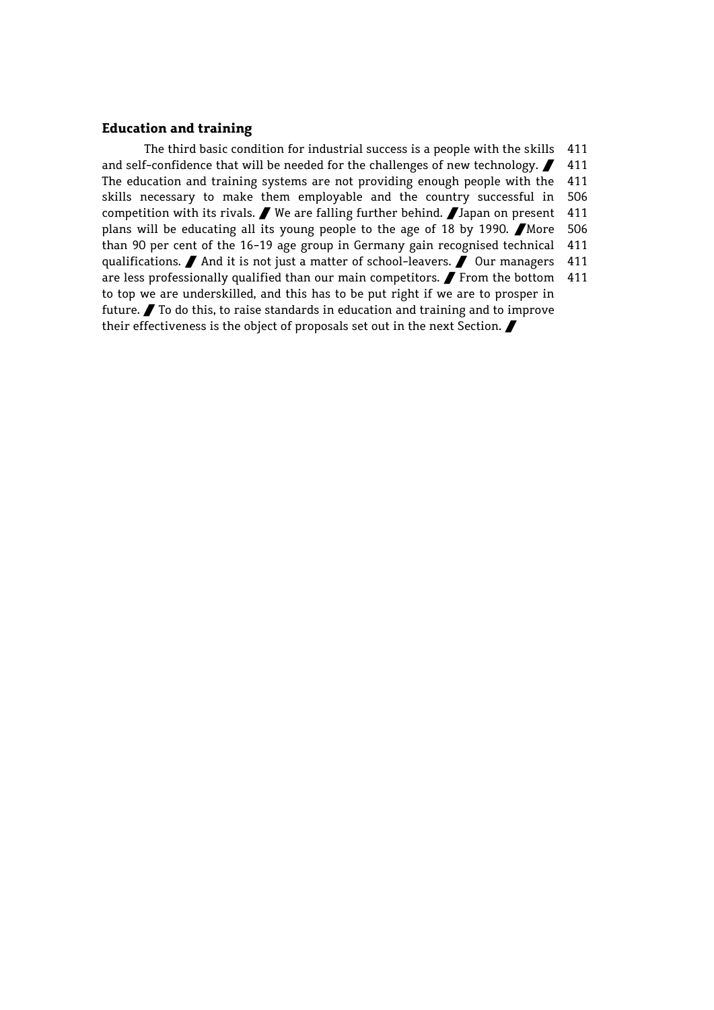#### **Education and training**

The third basic condition for industrial success is a people with the skills 411 and self-confidence that will be needed for the challenges of new technology.  $\blacksquare$ The education and training systems are not providing enough people with the skills necessary to make them employable and the country successful in competition with its rivals.  $\blacktriangledown$  We are falling further behind.  $\blacktriangledown$  Japan on present 411 plans will be educating all its young people to the age of 18 by 1990. More than 90 per cent of the 16-19 age group in Germany gain recognised technical 411 qualifications.  $\blacktriangleright$  And it is not just a matter of school-leavers.  $\blacktriangleright$  Our managers 411 are less professionally qualified than our main competitors.  $\blacktriangledown$  From the bottom 411 to top we are underskilled, and this has to be put right if we are to prosper in future.  $\blacksquare$  To do this, to raise standards in education and training and to improve their effectiveness is the object of proposals set out in the next Section. 411 411 506 506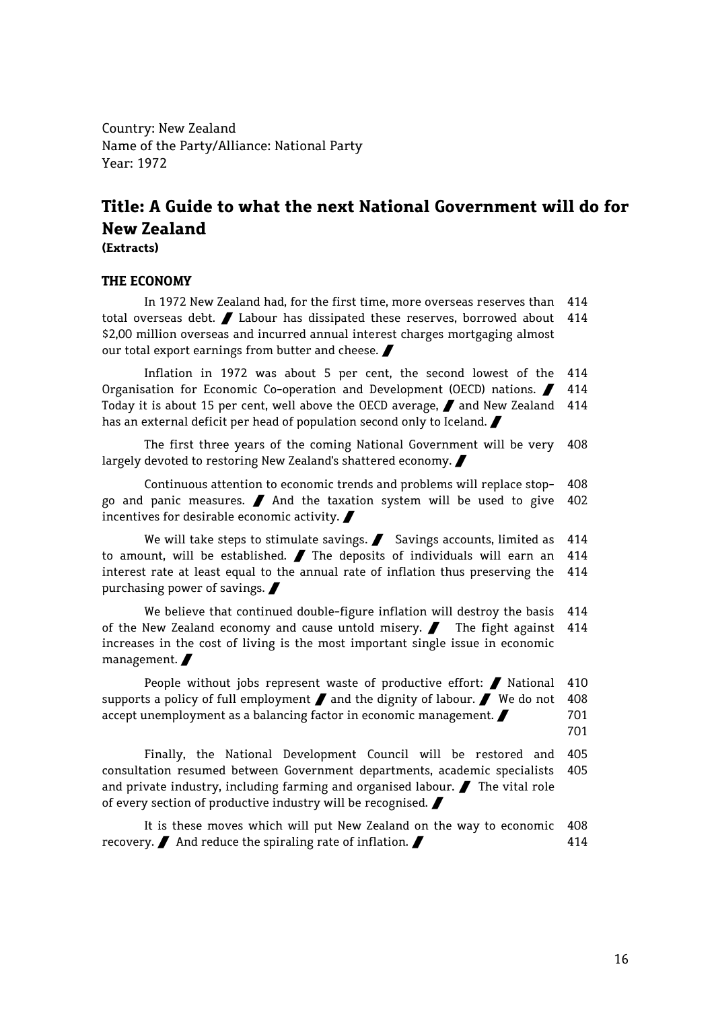Country: New Zealand Name of the Party/Alliance: National Party Year: 1972

#### **Title: A Guide to what the next National Government will do for New Zealand (Extracts)**

#### **THE ECONOMY**

In 1972 New Zealand had, for the first time, more overseas reserves than 414 total overseas debt. Labour has dissipated these reserves, borrowed about 414 \$2,00 million overseas and incurred annual interest charges mortgaging almost our total export earnings from butter and cheese.

Inflation in 1972 was about 5 per cent, the second lowest of the Organisation for Economic Co-operation and Development (OECD) nations. Today it is about 15 per cent, well above the OECD average,  $\blacktriangledown$  and New Zealand 414 has an external deficit per head of population second only to Iceland. 414 414

The first three years of the coming National Government will be very largely devoted to restoring New Zealand's shattered economy. 408

Continuous attention to economic trends and problems will replace stopgo and panic measures.  $\blacktriangledown$  And the taxation system will be used to give incentives for desirable economic activity. 408 402

We will take steps to stimulate savings.  $\blacksquare$  Savings accounts, limited as to amount, will be established.  $\blacktriangleright$  The deposits of individuals will earn an interest rate at least equal to the annual rate of inflation thus preserving the purchasing power of savings.  $\blacksquare$ 414 414 414

We believe that continued double-figure inflation will destroy the basis of the New Zealand economy and cause untold misery.  $\blacksquare$  The fight against increases in the cost of living is the most important single issue in economic management.  $\blacksquare$ 414 414

People without jobs represent waste of productive effort:  $\blacksquare$  National supports a policy of full employment  $\blacksquare$  and the dignity of labour.  $\blacksquare$  We do not accept unemployment as a balancing factor in economic management. 410 408 701 701

Finally, the National Development Council will be restored and consultation resumed between Government departments, academic specialists and private industry, including farming and organised labour.  $\blacksquare$  The vital role of every section of productive industry will be recognised. 405 405

It is these moves which will put New Zealand on the way to economic recovery.  $\blacksquare$  And reduce the spiraling rate of inflation.  $\blacksquare$ 408 414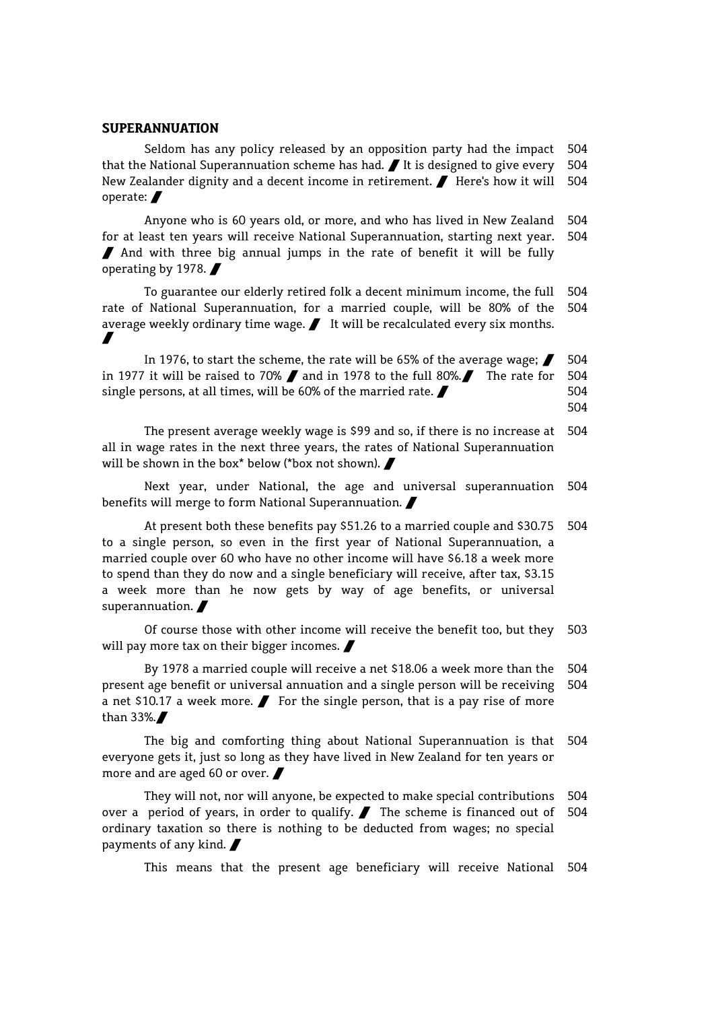#### **SUPERANNUATION**

Seldom has any policy released by an opposition party had the impact that the National Superannuation scheme has had.  $\blacksquare$  It is designed to give every New Zealander dignity and a decent income in retirement.  $\blacktriangledown$  Here's how it will operate: 504 504 504

Anyone who is 60 years old, or more, and who has lived in New Zealand for at least ten years will receive National Superannuation, starting next year. And with three big annual jumps in the rate of benefit it will be fully operating by 1978. 504 504

To guarantee our elderly retired folk a decent minimum income, the full rate of National Superannuation, for a married couple, will be 80% of the average weekly ordinary time wage. I It will be recalculated every six months.  $\blacksquare$ 504 504

| In 1976, to start the scheme, the rate will be 65% of the average wage; $\blacksquare$                       | - 504 |
|--------------------------------------------------------------------------------------------------------------|-------|
| in 1977 it will be raised to 70% $\blacksquare$ and in 1978 to the full 80%. $\blacksquare$ The rate for 504 |       |
| single persons, at all times, will be 60% of the married rate.                                               | 504   |

504

The present average weekly wage is \$99 and so, if there is no increase at all in wage rates in the next three years, the rates of National Superannuation will be shown in the box\* below (\*box not shown). 504

Next year, under National, the age and universal superannuation benefits will merge to form National Superannuation. 504

At present both these benefits pay \$51.26 to a married couple and \$30.75 to a single person, so even in the first year of National Superannuation, a married couple over 60 who have no other income will have \$6.18 a week more to spend than they do now and a single beneficiary will receive, after tax, \$3.15 a week more than he now gets by way of age benefits, or universal superannuation. 504

Of course those with other income will receive the benefit too, but they will pay more tax on their bigger incomes. 503

By 1978 a married couple will receive a net \$18.06 a week more than the present age benefit or universal annuation and a single person will be receiving a net \$10.17 a week more.  $\blacktriangledown$  For the single person, that is a pay rise of more than  $33\%$ . 504 504

The big and comforting thing about National Superannuation is that everyone gets it, just so long as they have lived in New Zealand for ten years or more and are aged 60 or over. 504

They will not, nor will anyone, be expected to make special contributions 504

over a period of years, in order to qualify.  $\blacktriangleright$  The scheme is financed out of ordinary taxation so there is nothing to be deducted from wages; no special payments of any kind. 504

This means that the present age beneficiary will receive National 504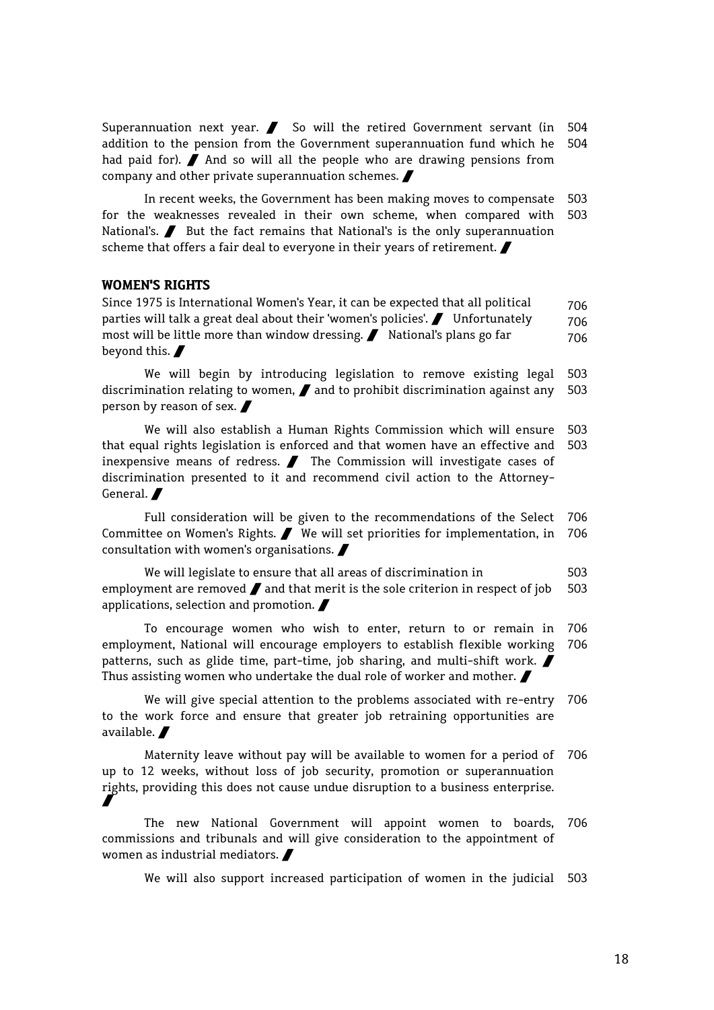Superannuation next year.  $\blacksquare$  So will the retired Government servant (in addition to the pension from the Government superannuation fund which he had paid for).  $\blacktriangledown$  And so will all the people who are drawing pensions from company and other private superannuation schemes. 504 504

In recent weeks, the Government has been making moves to compensate for the weaknesses revealed in their own scheme, when compared with National's.  $\blacksquare$  But the fact remains that National's is the only superannuation scheme that offers a fair deal to everyone in their years of retirement. 503 503

#### **WOMEN'S RIGHTS**

Since 1975 is International Women's Year, it can be expected that all political parties will talk a great deal about their 'women's policies'. I Unfortunately most will be little more than window dressing. National's plans go far beyond this. 706 706 706

We will begin by introducing legislation to remove existing legal discrimination relating to women,  $\blacksquare$  and to prohibit discrimination against any person by reason of sex.  $\blacktriangleright$ 503 503

We will also establish a Human Rights Commission which will ensure that equal rights legislation is enforced and that women have an effective and inexpensive means of redress.  $\blacksquare$  The Commission will investigate cases of discrimination presented to it and recommend civil action to the Attorney-General. 503 503

Full consideration will be given to the recommendations of the Select Committee on Women's Rights. We will set priorities for implementation, in 706 consultation with women's organisations. 706

We will legislate to ensure that all areas of discrimination in employment are removed  $\blacksquare$  and that merit is the sole criterion in respect of job applications, selection and promotion. 503 503

To encourage women who wish to enter, return to or remain in employment, National will encourage employers to establish flexible working patterns, such as glide time, part-time, job sharing, and multi-shift work.  $\blacksquare$ Thus assisting women who undertake the dual role of worker and mother.  $\blacksquare$ 706 706

We will give special attention to the problems associated with re-entry 706 to the work force and ensure that greater job retraining opportunities are available.

Maternity leave without pay will be available to women for a period of 706 up to 12 weeks, without loss of job security, promotion or superannuation rights, providing this does not cause undue disruption to a business enterprise. 1

The new National Government will appoint women to boards, commissions and tribunals and will give consideration to the appointment of women as industrial mediators. 706

We will also support increased participation of women in the judicial 503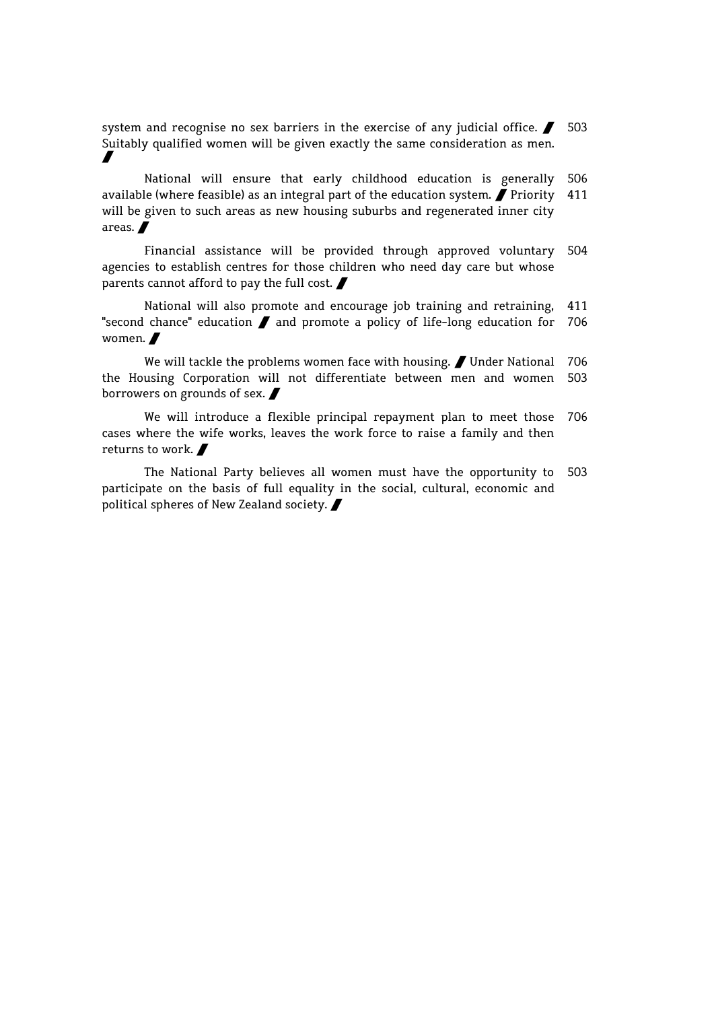system and recognise no sex barriers in the exercise of any judicial office. 503 Suitably qualified women will be given exactly the same consideration as men.  $\blacksquare$ 

National will ensure that early childhood education is generally available (where feasible) as an integral part of the education system.  $\blacktriangledown$  Priority will be given to such areas as new housing suburbs and regenerated inner city areas. 506 411

Financial assistance will be provided through approved voluntary agencies to establish centres for those children who need day care but whose parents cannot afford to pay the full cost.  $\blacksquare$ 504

National will also promote and encourage job training and retraining, "second chance" education  $\blacksquare$  and promote a policy of life-long education for women. 411 706

We will tackle the problems women face with housing.  $\blacktriangledown$  Under National the Housing Corporation will not differentiate between men and women borrowers on grounds of sex. 706 503

We will introduce a flexible principal repayment plan to meet those cases where the wife works, leaves the work force to raise a family and then returns to work. 706

The National Party believes all women must have the opportunity to participate on the basis of full equality in the social, cultural, economic and political spheres of New Zealand society. 503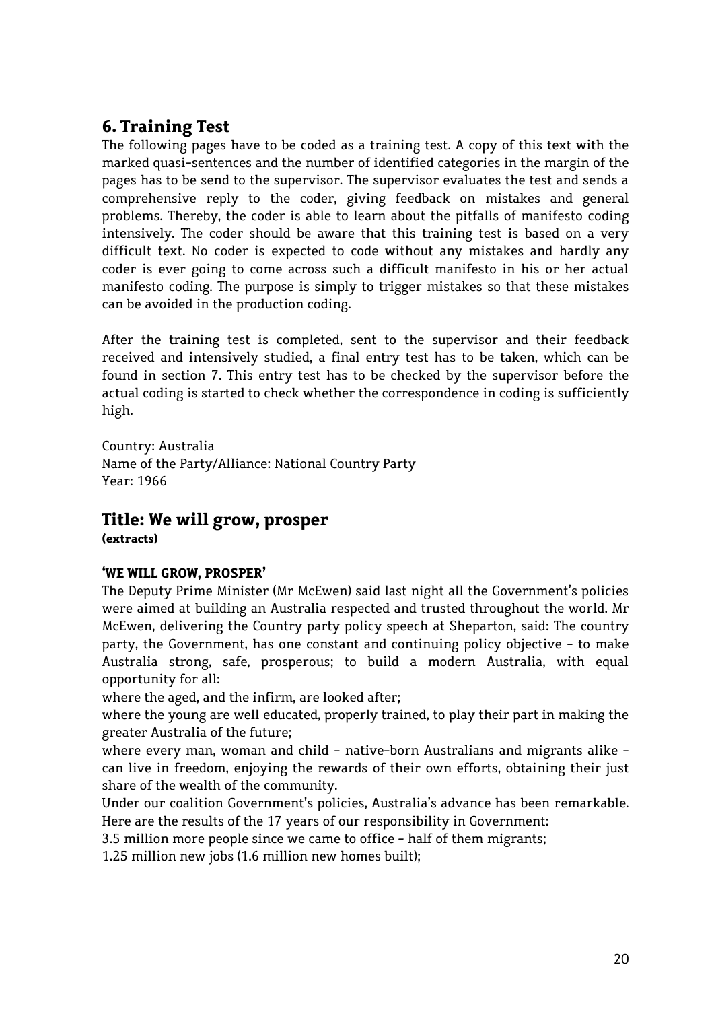# <span id="page-32-0"></span>**6. Training Test**

The following pages have to be coded as a training test. A copy of this text with the marked quasi-sentences and the number of identified categories in the margin of the pages has to be send to the supervisor. The supervisor evaluates the test and sends a comprehensive reply to the coder, giving feedback on mistakes and general problems. Thereby, the coder is able to learn about the pitfalls of manifesto coding intensively. The coder should be aware that this training test is based on a very difficult text. No coder is expected to code without any mistakes and hardly any coder is ever going to come across such a difficult manifesto in his or her actual manifesto coding. The purpose is simply to trigger mistakes so that these mistakes can be avoided in the production coding.

After the training test is completed, sent to the supervisor and their feedback received and intensively studied, a final entry test has to be taken, which can be found in section 7. This entry test has to be checked by the supervisor before the actual coding is started to check whether the correspondence in coding is sufficiently high.

Country: Australia Name of the Party/Alliance: National Country Party Year: 1966

### **Title: We will grow, prosper**

**(extracts)**

#### **'WE WILL GROW, PROSPER'**

The Deputy Prime Minister (Mr McEwen) said last night all the Government's policies were aimed at building an Australia respected and trusted throughout the world. Mr McEwen, delivering the Country party policy speech at Sheparton, said: The country party, the Government, has one constant and continuing policy objective - to make Australia strong, safe, prosperous; to build a modern Australia, with equal opportunity for all:

where the aged, and the infirm, are looked after;

where the young are well educated, properly trained, to play their part in making the greater Australia of the future;

where every man, woman and child - native-born Australians and migrants alike can live in freedom, enjoying the rewards of their own efforts, obtaining their just share of the wealth of the community.

Under our coalition Government's policies, Australia's advance has been remarkable. Here are the results of the 17 years of our responsibility in Government:

3.5 million more people since we came to office - half of them migrants;

1.25 million new jobs (1.6 million new homes built);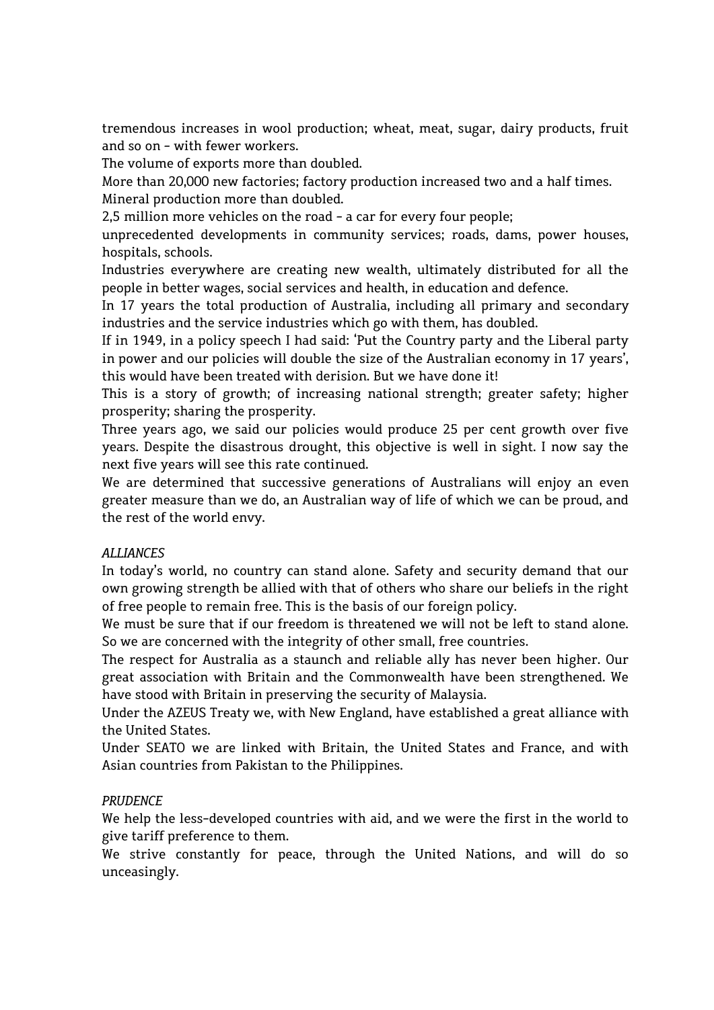tremendous increases in wool production; wheat, meat, sugar, dairy products, fruit and so on - with fewer workers.

The volume of exports more than doubled.

More than 20,000 new factories; factory production increased two and a half times. Mineral production more than doubled.

2,5 million more vehicles on the road - a car for every four people;

unprecedented developments in community services; roads, dams, power houses, hospitals, schools.

Industries everywhere are creating new wealth, ultimately distributed for all the people in better wages, social services and health, in education and defence.

In 17 years the total production of Australia, including all primary and secondary industries and the service industries which go with them, has doubled.

If in 1949, in a policy speech I had said: 'Put the Country party and the Liberal party in power and our policies will double the size of the Australian economy in 17 years', this would have been treated with derision. But we have done it!

This is a story of growth; of increasing national strength; greater safety; higher prosperity; sharing the prosperity.

Three years ago, we said our policies would produce 25 per cent growth over five years. Despite the disastrous drought, this objective is well in sight. I now say the next five years will see this rate continued.

We are determined that successive generations of Australians will enjoy an even greater measure than we do, an Australian way of life of which we can be proud, and the rest of the world envy.

#### *ALLIANCES*

In today's world, no country can stand alone. Safety and security demand that our own growing strength be allied with that of others who share our beliefs in the right of free people to remain free. This is the basis of our foreign policy.

We must be sure that if our freedom is threatened we will not be left to stand alone. So we are concerned with the integrity of other small, free countries.

The respect for Australia as a staunch and reliable ally has never been higher. Our great association with Britain and the Commonwealth have been strengthened. We have stood with Britain in preserving the security of Malaysia.

Under the AZEUS Treaty we, with New England, have established a great alliance with the United States.

Under SEATO we are linked with Britain, the United States and France, and with Asian countries from Pakistan to the Philippines.

#### *PRUDENCE*

We help the less-developed countries with aid, and we were the first in the world to give tariff preference to them.

We strive constantly for peace, through the United Nations, and will do so unceasingly.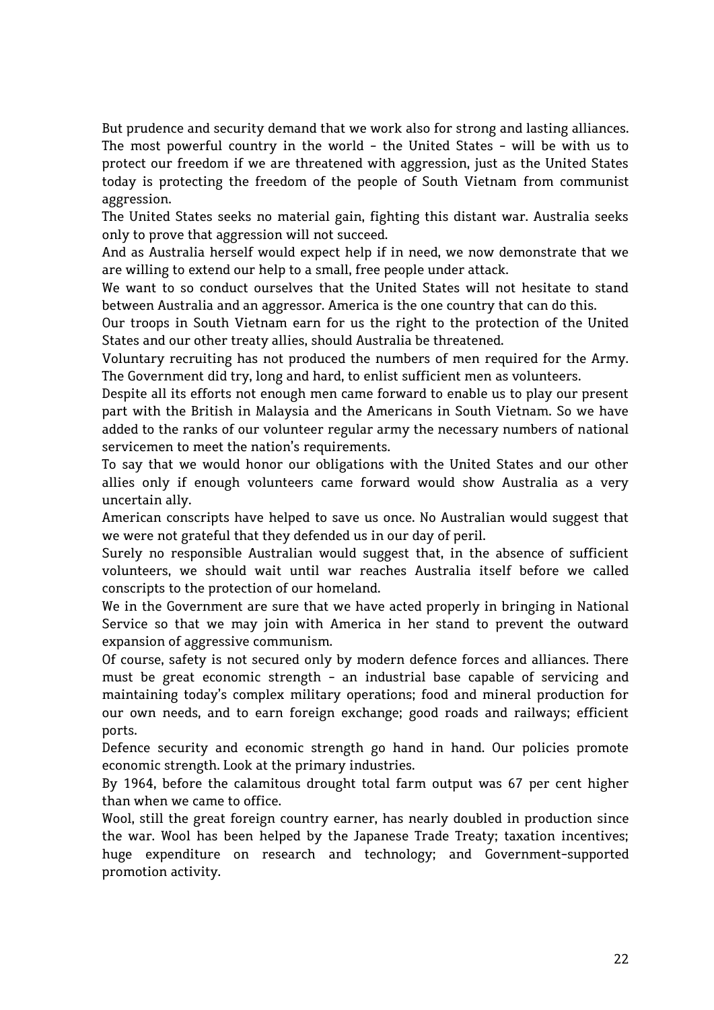But prudence and security demand that we work also for strong and lasting alliances. The most powerful country in the world - the United States - will be with us to protect our freedom if we are threatened with aggression, just as the United States today is protecting the freedom of the people of South Vietnam from communist aggression.

The United States seeks no material gain, fighting this distant war. Australia seeks only to prove that aggression will not succeed.

And as Australia herself would expect help if in need, we now demonstrate that we are willing to extend our help to a small, free people under attack.

We want to so conduct ourselves that the United States will not hesitate to stand between Australia and an aggressor. America is the one country that can do this.

Our troops in South Vietnam earn for us the right to the protection of the United States and our other treaty allies, should Australia be threatened.

Voluntary recruiting has not produced the numbers of men required for the Army. The Government did try, long and hard, to enlist sufficient men as volunteers.

Despite all its efforts not enough men came forward to enable us to play our present part with the British in Malaysia and the Americans in South Vietnam. So we have added to the ranks of our volunteer regular army the necessary numbers of national servicemen to meet the nation's requirements.

To say that we would honor our obligations with the United States and our other allies only if enough volunteers came forward would show Australia as a very uncertain ally.

American conscripts have helped to save us once. No Australian would suggest that we were not grateful that they defended us in our day of peril.

Surely no responsible Australian would suggest that, in the absence of sufficient volunteers, we should wait until war reaches Australia itself before we called conscripts to the protection of our homeland.

We in the Government are sure that we have acted properly in bringing in National Service so that we may join with America in her stand to prevent the outward expansion of aggressive communism.

Of course, safety is not secured only by modern defence forces and alliances. There must be great economic strength - an industrial base capable of servicing and maintaining today's complex military operations; food and mineral production for our own needs, and to earn foreign exchange; good roads and railways; efficient ports.

Defence security and economic strength go hand in hand. Our policies promote economic strength. Look at the primary industries.

By 1964, before the calamitous drought total farm output was 67 per cent higher than when we came to office.

Wool, still the great foreign country earner, has nearly doubled in production since the war. Wool has been helped by the Japanese Trade Treaty; taxation incentives; huge expenditure on research and technology; and Government-supported promotion activity.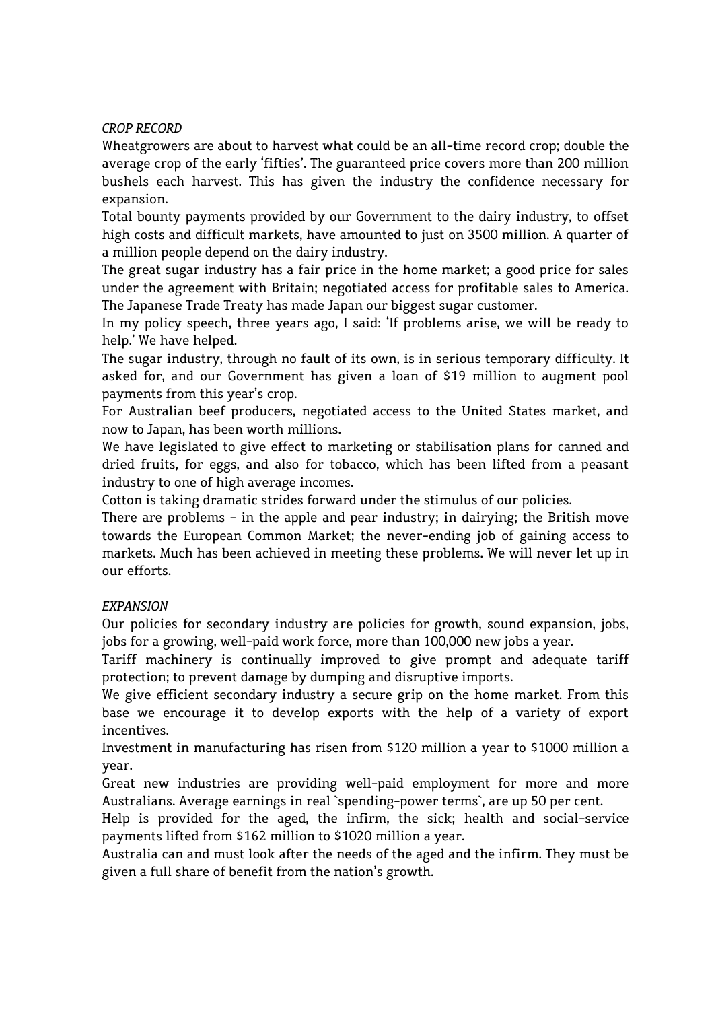#### *CROP RECORD*

Wheatgrowers are about to harvest what could be an all-time record crop; double the average crop of the early 'fifties'. The guaranteed price covers more than 200 million bushels each harvest. This has given the industry the confidence necessary for expansion.

Total bounty payments provided by our Government to the dairy industry, to offset high costs and difficult markets, have amounted to just on 3500 million. A quarter of a million people depend on the dairy industry.

The great sugar industry has a fair price in the home market; a good price for sales under the agreement with Britain; negotiated access for profitable sales to America. The Japanese Trade Treaty has made Japan our biggest sugar customer.

In my policy speech, three years ago, I said: 'If problems arise, we will be ready to help.' We have helped.

The sugar industry, through no fault of its own, is in serious temporary difficulty. It asked for, and our Government has given a loan of \$19 million to augment pool payments from this year's crop.

For Australian beef producers, negotiated access to the United States market, and now to Japan, has been worth millions.

We have legislated to give effect to marketing or stabilisation plans for canned and dried fruits, for eggs, and also for tobacco, which has been lifted from a peasant industry to one of high average incomes.

Cotton is taking dramatic strides forward under the stimulus of our policies.

There are problems - in the apple and pear industry; in dairying; the British move towards the European Common Market; the never-ending job of gaining access to markets. Much has been achieved in meeting these problems. We will never let up in our efforts.

#### *EXPANSION*

Our policies for secondary industry are policies for growth, sound expansion, jobs, jobs for a growing, well-paid work force, more than 100,000 new jobs a year.

Tariff machinery is continually improved to give prompt and adequate tariff protection; to prevent damage by dumping and disruptive imports.

We give efficient secondary industry a secure grip on the home market. From this base we encourage it to develop exports with the help of a variety of export incentives.

Investment in manufacturing has risen from \$120 million a year to \$1000 million a year.

Great new industries are providing well-paid employment for more and more Australians. Average earnings in real `spending-power terms`, are up 50 per cent.

Help is provided for the aged, the infirm, the sick; health and social-service payments lifted from \$162 million to \$1020 million a year.

Australia can and must look after the needs of the aged and the infirm. They must be given a full share of benefit from the nation's growth.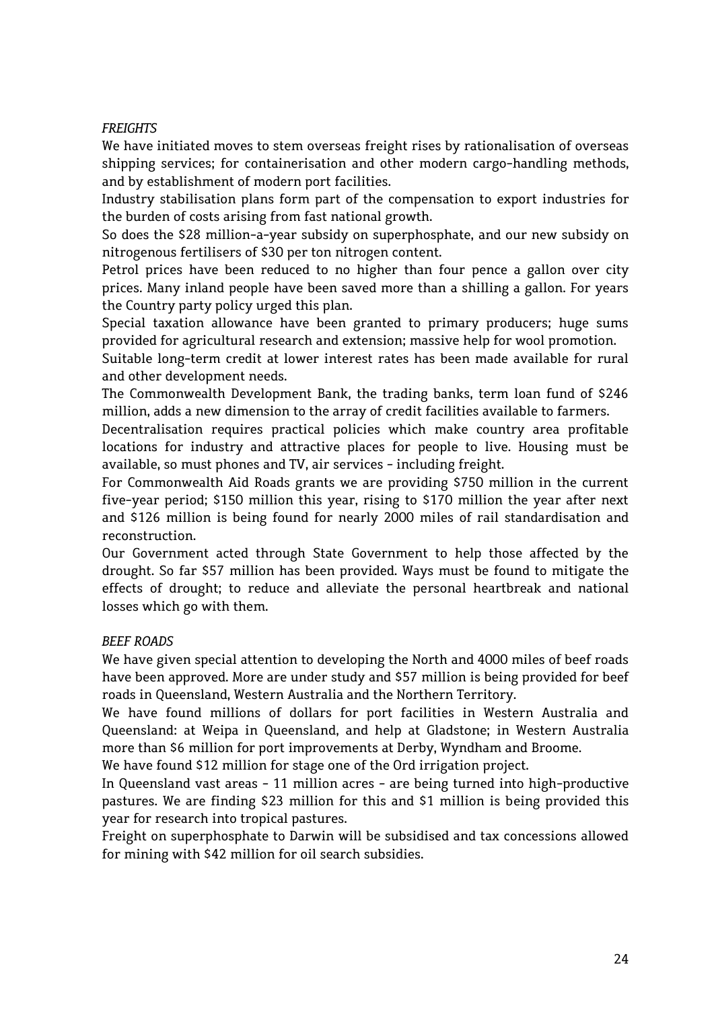#### *FREIGHTS*

We have initiated moves to stem overseas freight rises by rationalisation of overseas shipping services; for containerisation and other modern cargo-handling methods, and by establishment of modern port facilities.

Industry stabilisation plans form part of the compensation to export industries for the burden of costs arising from fast national growth.

So does the \$28 million-a-year subsidy on superphosphate, and our new subsidy on nitrogenous fertilisers of \$30 per ton nitrogen content.

Petrol prices have been reduced to no higher than four pence a gallon over city prices. Many inland people have been saved more than a shilling a gallon. For years the Country party policy urged this plan.

Special taxation allowance have been granted to primary producers; huge sums provided for agricultural research and extension; massive help for wool promotion.

Suitable long-term credit at lower interest rates has been made available for rural and other development needs.

The Commonwealth Development Bank, the trading banks, term loan fund of \$246 million, adds a new dimension to the array of credit facilities available to farmers.

Decentralisation requires practical policies which make country area profitable locations for industry and attractive places for people to live. Housing must be available, so must phones and TV, air services - including freight.

For Commonwealth Aid Roads grants we are providing \$750 million in the current five-year period; \$150 million this year, rising to \$170 million the year after next and \$126 million is being found for nearly 2000 miles of rail standardisation and reconstruction.

Our Government acted through State Government to help those affected by the drought. So far \$57 million has been provided. Ways must be found to mitigate the effects of drought; to reduce and alleviate the personal heartbreak and national losses which go with them.

#### *BEEF ROADS*

We have given special attention to developing the North and 4000 miles of beef roads have been approved. More are under study and \$57 million is being provided for beef roads in Queensland, Western Australia and the Northern Territory.

We have found millions of dollars for port facilities in Western Australia and Queensland: at Weipa in Queensland, and help at Gladstone; in Western Australia more than \$6 million for port improvements at Derby, Wyndham and Broome.

We have found \$12 million for stage one of the Ord irrigation project.

In Queensland vast areas - 11 million acres - are being turned into high-productive pastures. We are finding \$23 million for this and \$1 million is being provided this year for research into tropical pastures.

Freight on superphosphate to Darwin will be subsidised and tax concessions allowed for mining with \$42 million for oil search subsidies.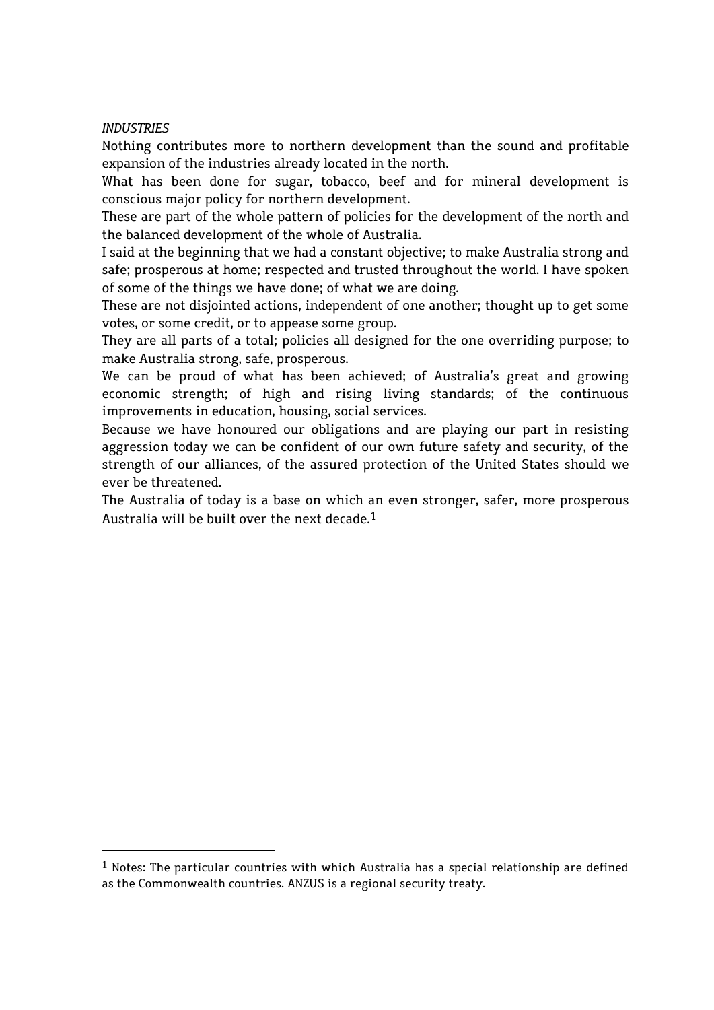#### *INDUSTRIES*

-

Nothing contributes more to northern development than the sound and profitable expansion of the industries already located in the north.

What has been done for sugar, tobacco, beef and for mineral development is conscious major policy for northern development.

These are part of the whole pattern of policies for the development of the north and the balanced development of the whole of Australia.

I said at the beginning that we had a constant objective; to make Australia strong and safe; prosperous at home; respected and trusted throughout the world. I have spoken of some of the things we have done; of what we are doing.

These are not disjointed actions, independent of one another; thought up to get some votes, or some credit, or to appease some group.

They are all parts of a total; policies all designed for the one overriding purpose; to make Australia strong, safe, prosperous.

We can be proud of what has been achieved; of Australia's great and growing economic strength; of high and rising living standards; of the continuous improvements in education, housing, social services.

Because we have honoured our obligations and are playing our part in resisting aggression today we can be confident of our own future safety and security, of the strength of our alliances, of the assured protection of the United States should we ever be threatened.

The Australia of today is a base on which an even stronger, safer, more prosperous Australia will be built over the next decade.1

 $<sup>1</sup>$  Notes: The particular countries with which Australia has a special relationship are defined</sup> as the Commonwealth countries. ANZUS is a regional security treaty.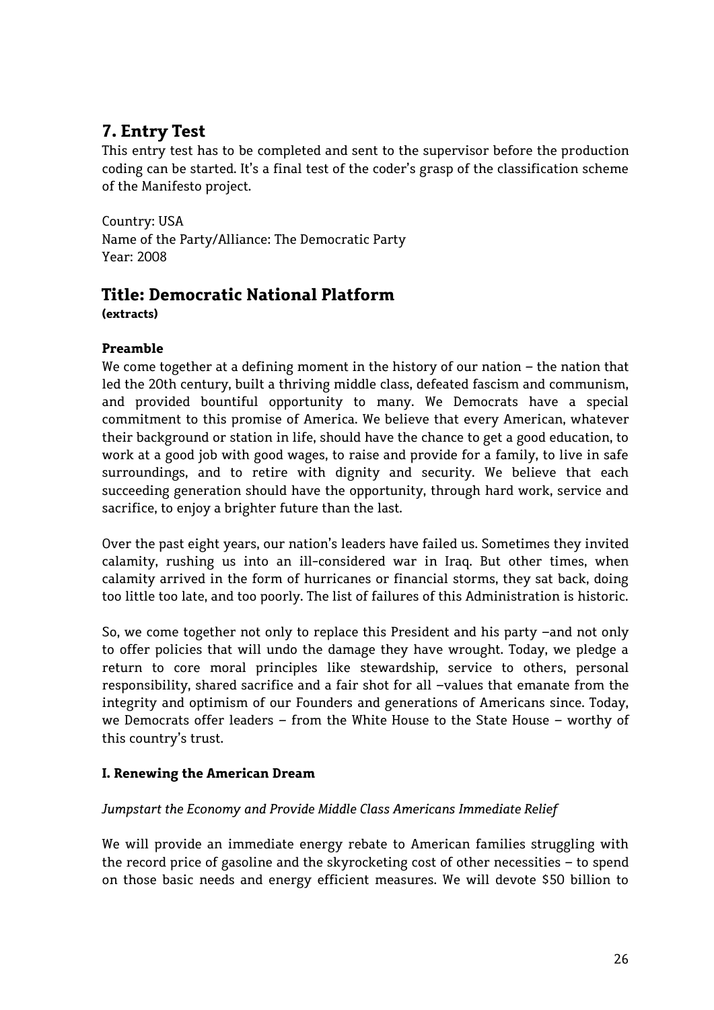# <span id="page-38-0"></span>**7. Entry Test**

This entry test has to be completed and sent to the supervisor before the production coding can be started. It's a final test of the coder's grasp of the classification scheme of the Manifesto project.

Country: USA Name of the Party/Alliance: The Democratic Party Year: 2008

#### **Title: Democratic National Platform (extracts)**

#### **Preamble**

We come together at a defining moment in the history of our nation – the nation that led the 20th century, built a thriving middle class, defeated fascism and communism, and provided bountiful opportunity to many. We Democrats have a special commitment to this promise of America. We believe that every American, whatever their background or station in life, should have the chance to get a good education, to work at a good job with good wages, to raise and provide for a family, to live in safe surroundings, and to retire with dignity and security. We believe that each succeeding generation should have the opportunity, through hard work, service and sacrifice, to enjoy a brighter future than the last.

Over the past eight years, our nation's leaders have failed us. Sometimes they invited calamity, rushing us into an ill-considered war in Iraq. But other times, when calamity arrived in the form of hurricanes or financial storms, they sat back, doing too little too late, and too poorly. The list of failures of this Administration is historic.

So, we come together not only to replace this President and his party –and not only to offer policies that will undo the damage they have wrought. Today, we pledge a return to core moral principles like stewardship, service to others, personal responsibility, shared sacrifice and a fair shot for all –values that emanate from the integrity and optimism of our Founders and generations of Americans since. Today, we Democrats offer leaders – from the White House to the State House – worthy of this country's trust.

#### **I. Renewing the American Dream**

#### *Jumpstart the Economy and Provide Middle Class Americans Immediate Relief*

We will provide an immediate energy rebate to American families struggling with the record price of gasoline and the skyrocketing cost of other necessities – to spend on those basic needs and energy efficient measures. We will devote \$50 billion to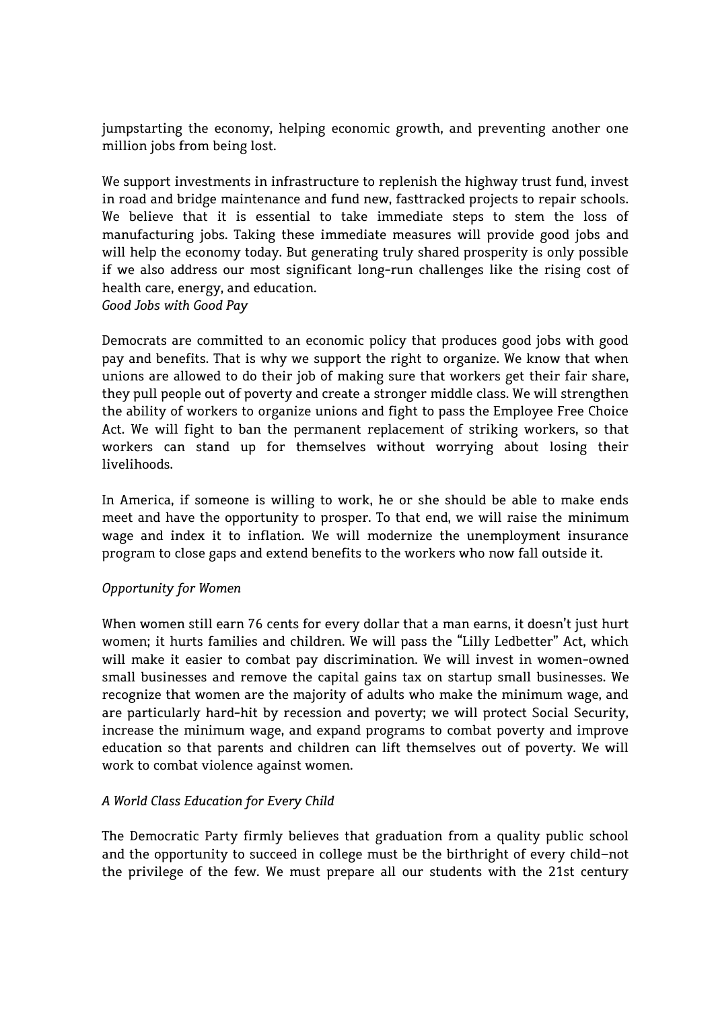jumpstarting the economy, helping economic growth, and preventing another one million jobs from being lost.

We support investments in infrastructure to replenish the highway trust fund, invest in road and bridge maintenance and fund new, fasttracked projects to repair schools. We believe that it is essential to take immediate steps to stem the loss of manufacturing jobs. Taking these immediate measures will provide good jobs and will help the economy today. But generating truly shared prosperity is only possible if we also address our most significant long-run challenges like the rising cost of health care, energy, and education.

*Good Jobs with Good Pay* 

Democrats are committed to an economic policy that produces good jobs with good pay and benefits. That is why we support the right to organize. We know that when unions are allowed to do their job of making sure that workers get their fair share, they pull people out of poverty and create a stronger middle class. We will strengthen the ability of workers to organize unions and fight to pass the Employee Free Choice Act. We will fight to ban the permanent replacement of striking workers, so that workers can stand up for themselves without worrying about losing their livelihoods.

In America, if someone is willing to work, he or she should be able to make ends meet and have the opportunity to prosper. To that end, we will raise the minimum wage and index it to inflation. We will modernize the unemployment insurance program to close gaps and extend benefits to the workers who now fall outside it.

#### *Opportunity for Women*

When women still earn 76 cents for every dollar that a man earns, it doesn't just hurt women; it hurts families and children. We will pass the "Lilly Ledbetter" Act, which will make it easier to combat pay discrimination. We will invest in women-owned small businesses and remove the capital gains tax on startup small businesses. We recognize that women are the majority of adults who make the minimum wage, and are particularly hard-hit by recession and poverty; we will protect Social Security, increase the minimum wage, and expand programs to combat poverty and improve education so that parents and children can lift themselves out of poverty. We will work to combat violence against women.

#### *A World Class Education for Every Child*

The Democratic Party firmly believes that graduation from a quality public school and the opportunity to succeed in college must be the birthright of every child–not the privilege of the few. We must prepare all our students with the 21st century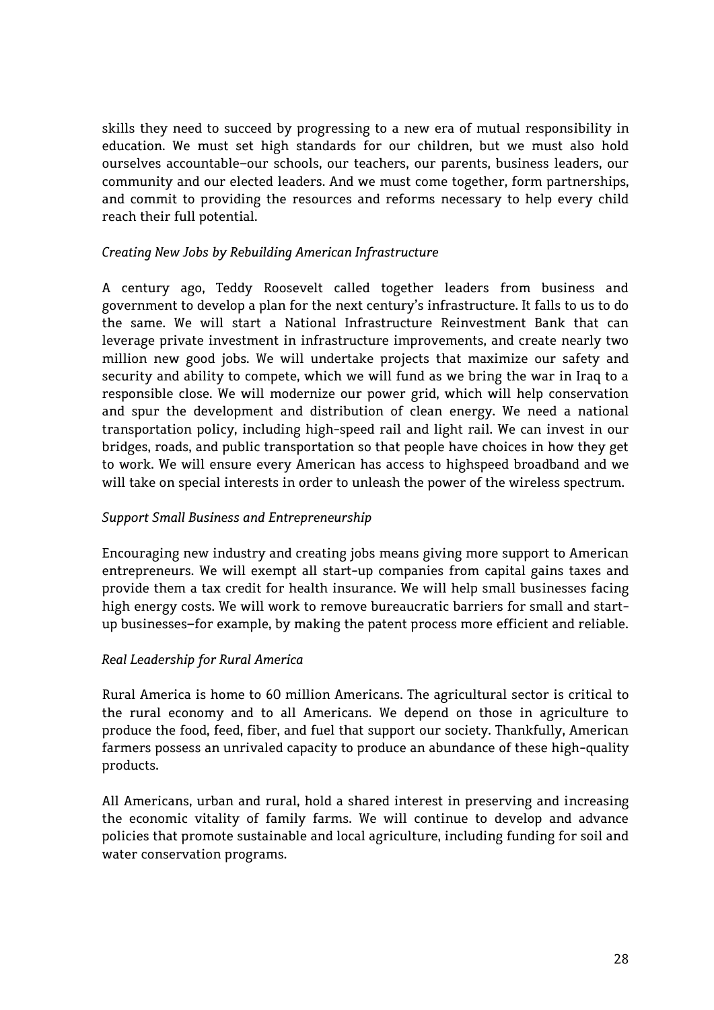skills they need to succeed by progressing to a new era of mutual responsibility in education. We must set high standards for our children, but we must also hold ourselves accountable–our schools, our teachers, our parents, business leaders, our community and our elected leaders. And we must come together, form partnerships, and commit to providing the resources and reforms necessary to help every child reach their full potential.

#### *Creating New Jobs by Rebuilding American Infrastructure*

A century ago, Teddy Roosevelt called together leaders from business and government to develop a plan for the next century's infrastructure. It falls to us to do the same. We will start a National Infrastructure Reinvestment Bank that can leverage private investment in infrastructure improvements, and create nearly two million new good jobs. We will undertake projects that maximize our safety and security and ability to compete, which we will fund as we bring the war in Iraq to a responsible close. We will modernize our power grid, which will help conservation and spur the development and distribution of clean energy. We need a national transportation policy, including high-speed rail and light rail. We can invest in our bridges, roads, and public transportation so that people have choices in how they get to work. We will ensure every American has access to highspeed broadband and we will take on special interests in order to unleash the power of the wireless spectrum.

#### *Support Small Business and Entrepreneurship*

Encouraging new industry and creating jobs means giving more support to American entrepreneurs. We will exempt all start-up companies from capital gains taxes and provide them a tax credit for health insurance. We will help small businesses facing high energy costs. We will work to remove bureaucratic barriers for small and startup businesses–for example, by making the patent process more efficient and reliable.

#### *Real Leadership for Rural America*

Rural America is home to 60 million Americans. The agricultural sector is critical to the rural economy and to all Americans. We depend on those in agriculture to produce the food, feed, fiber, and fuel that support our society. Thankfully, American farmers possess an unrivaled capacity to produce an abundance of these high-quality products.

All Americans, urban and rural, hold a shared interest in preserving and increasing the economic vitality of family farms. We will continue to develop and advance policies that promote sustainable and local agriculture, including funding for soil and water conservation programs.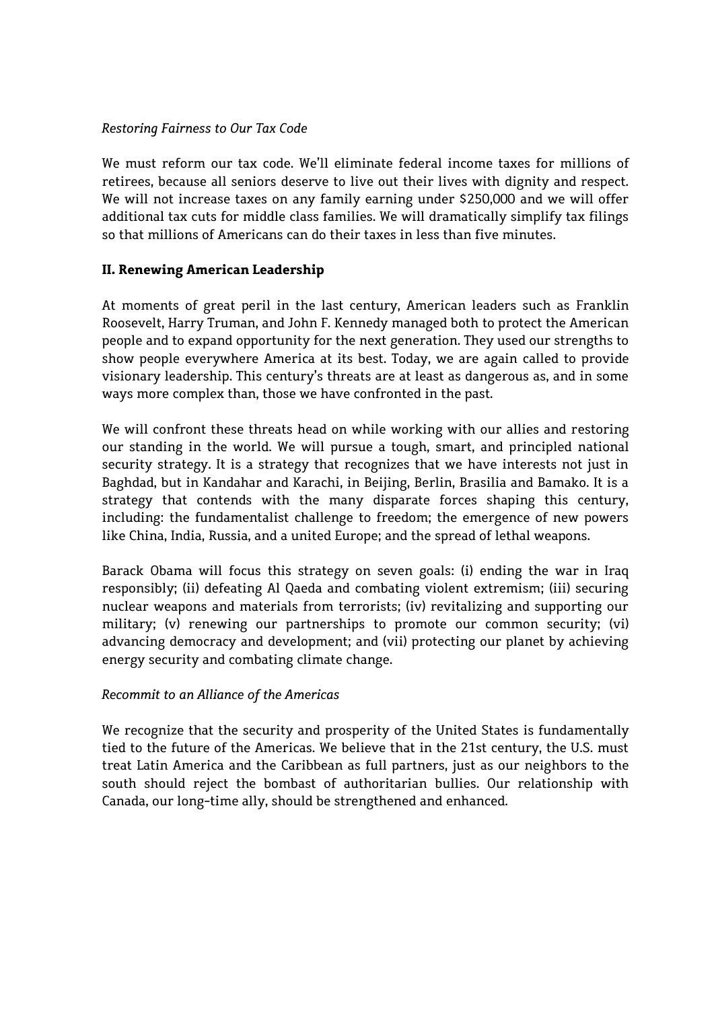#### *Restoring Fairness to Our Tax Code*

We must reform our tax code. We'll eliminate federal income taxes for millions of retirees, because all seniors deserve to live out their lives with dignity and respect. We will not increase taxes on any family earning under \$250,000 and we will offer additional tax cuts for middle class families. We will dramatically simplify tax filings so that millions of Americans can do their taxes in less than five minutes.

#### **II. Renewing American Leadership**

At moments of great peril in the last century, American leaders such as Franklin Roosevelt, Harry Truman, and John F. Kennedy managed both to protect the American people and to expand opportunity for the next generation. They used our strengths to show people everywhere America at its best. Today, we are again called to provide visionary leadership. This century's threats are at least as dangerous as, and in some ways more complex than, those we have confronted in the past.

We will confront these threats head on while working with our allies and restoring our standing in the world. We will pursue a tough, smart, and principled national security strategy. It is a strategy that recognizes that we have interests not just in Baghdad, but in Kandahar and Karachi, in Beijing, Berlin, Brasilia and Bamako. It is a strategy that contends with the many disparate forces shaping this century, including: the fundamentalist challenge to freedom; the emergence of new powers like China, India, Russia, and a united Europe; and the spread of lethal weapons.

Barack Obama will focus this strategy on seven goals: (i) ending the war in Iraq responsibly; (ii) defeating Al Qaeda and combating violent extremism; (iii) securing nuclear weapons and materials from terrorists; (iv) revitalizing and supporting our military; (v) renewing our partnerships to promote our common security; (vi) advancing democracy and development; and (vii) protecting our planet by achieving energy security and combating climate change.

#### *Recommit to an Alliance of the Americas*

We recognize that the security and prosperity of the United States is fundamentally tied to the future of the Americas. We believe that in the 21st century, the U.S. must treat Latin America and the Caribbean as full partners, just as our neighbors to the south should reject the bombast of authoritarian bullies. Our relationship with Canada, our long-time ally, should be strengthened and enhanced.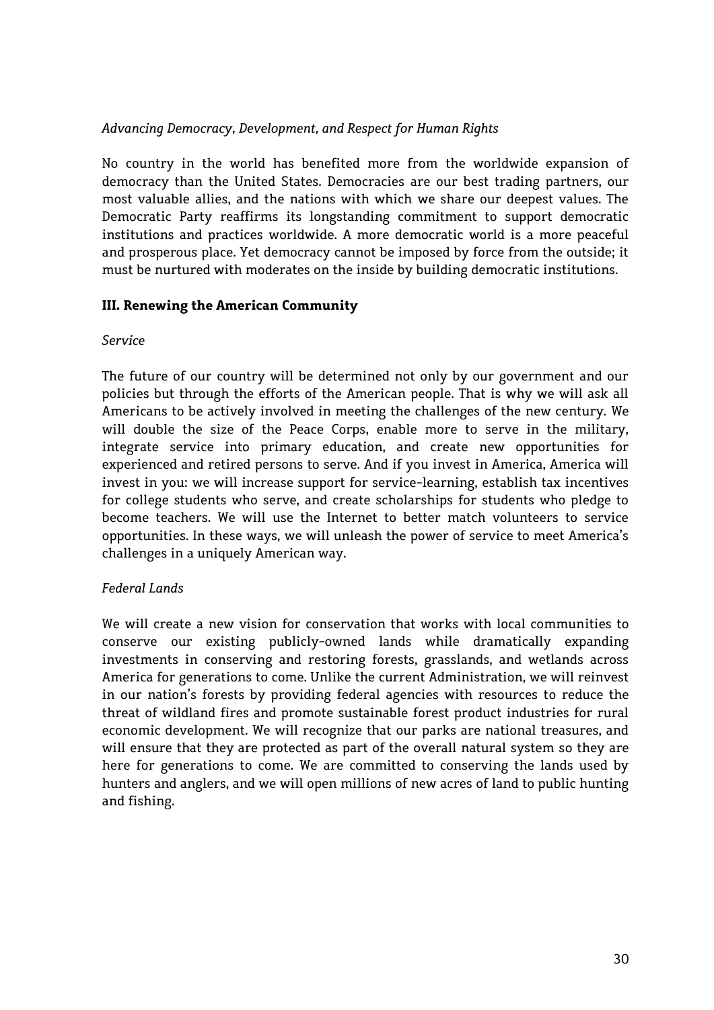#### *Advancing Democracy, Development, and Respect for Human Rights*

No country in the world has benefited more from the worldwide expansion of democracy than the United States. Democracies are our best trading partners, our most valuable allies, and the nations with which we share our deepest values. The Democratic Party reaffirms its longstanding commitment to support democratic institutions and practices worldwide. A more democratic world is a more peaceful and prosperous place. Yet democracy cannot be imposed by force from the outside; it must be nurtured with moderates on the inside by building democratic institutions.

#### **III. Renewing the American Community**

#### *Service*

The future of our country will be determined not only by our government and our policies but through the efforts of the American people. That is why we will ask all Americans to be actively involved in meeting the challenges of the new century. We will double the size of the Peace Corps, enable more to serve in the military, integrate service into primary education, and create new opportunities for experienced and retired persons to serve. And if you invest in America, America will invest in you: we will increase support for service-learning, establish tax incentives for college students who serve, and create scholarships for students who pledge to become teachers. We will use the Internet to better match volunteers to service opportunities. In these ways, we will unleash the power of service to meet America's challenges in a uniquely American way.

#### *Federal Lands*

We will create a new vision for conservation that works with local communities to conserve our existing publicly-owned lands while dramatically expanding investments in conserving and restoring forests, grasslands, and wetlands across America for generations to come. Unlike the current Administration, we will reinvest in our nation's forests by providing federal agencies with resources to reduce the threat of wildland fires and promote sustainable forest product industries for rural economic development. We will recognize that our parks are national treasures, and will ensure that they are protected as part of the overall natural system so they are here for generations to come. We are committed to conserving the lands used by hunters and anglers, and we will open millions of new acres of land to public hunting and fishing.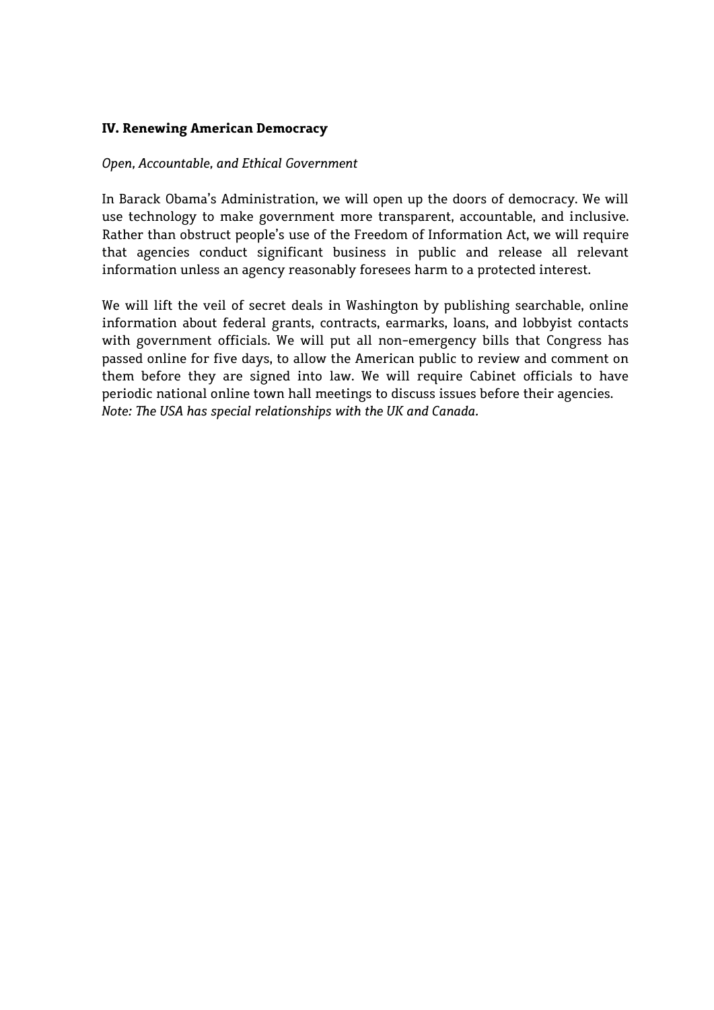#### **IV. Renewing American Democracy**

#### *Open, Accountable, and Ethical Government*

In Barack Obama's Administration, we will open up the doors of democracy. We will use technology to make government more transparent, accountable, and inclusive. Rather than obstruct people's use of the Freedom of Information Act, we will require that agencies conduct significant business in public and release all relevant information unless an agency reasonably foresees harm to a protected interest.

We will lift the veil of secret deals in Washington by publishing searchable, online information about federal grants, contracts, earmarks, loans, and lobbyist contacts with government officials. We will put all non-emergency bills that Congress has passed online for five days, to allow the American public to review and comment on them before they are signed into law. We will require Cabinet officials to have periodic national online town hall meetings to discuss issues before their agencies. *Note: The USA has special relationships with the UK and Canada.*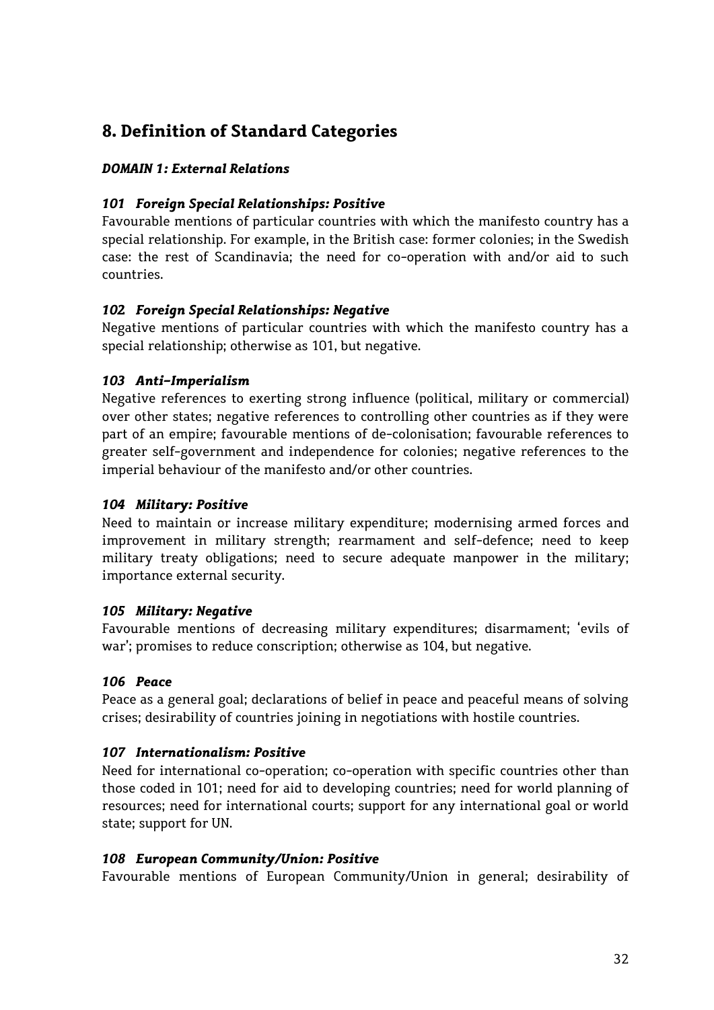# <span id="page-44-0"></span>**8. Definition of Standard Categories**

#### *DOMAIN 1: External Relations*

#### *101 Foreign Special Relationships: Positive*

Favourable mentions of particular countries with which the manifesto country has a special relationship. For example, in the British case: former colonies; in the Swedish case: the rest of Scandinavia; the need for co-operation with and/or aid to such countries.

#### *102 Foreign Special Relationships: Negative*

Negative mentions of particular countries with which the manifesto country has a special relationship; otherwise as 101, but negative.

#### *103 Anti-Imperialism*

Negative references to exerting strong influence (political, military or commercial) over other states; negative references to controlling other countries as if they were part of an empire; favourable mentions of de-colonisation; favourable references to greater self-government and independence for colonies; negative references to the imperial behaviour of the manifesto and/or other countries.

#### *104 Military: Positive*

Need to maintain or increase military expenditure; modernising armed forces and improvement in military strength; rearmament and self-defence; need to keep military treaty obligations; need to secure adequate manpower in the military; importance external security.

#### *105 Military: Negative*

Favourable mentions of decreasing military expenditures; disarmament; 'evils of war'; promises to reduce conscription; otherwise as 104, but negative.

#### *106 Peace*

Peace as a general goal; declarations of belief in peace and peaceful means of solving crises; desirability of countries joining in negotiations with hostile countries.

#### *107 Internationalism: Positive*

Need for international co-operation; co-operation with specific countries other than those coded in 101; need for aid to developing countries; need for world planning of resources; need for international courts; support for any international goal or world state; support for UN.

#### *108 European Community/Union: Positive*

Favourable mentions of European Community/Union in general; desirability of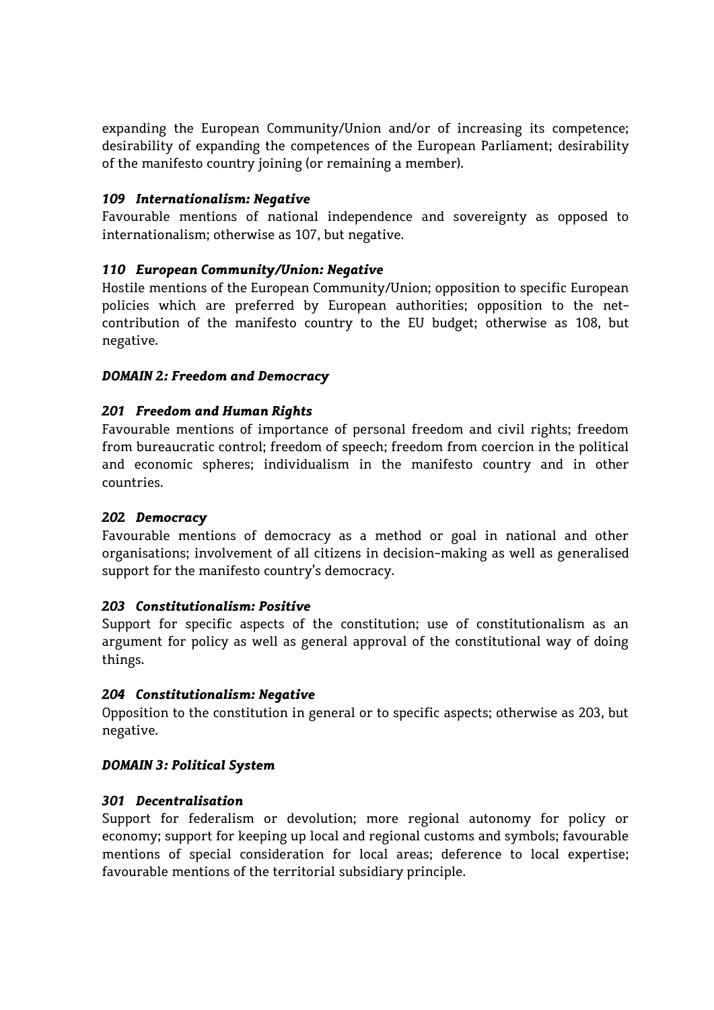expanding the European Community/Union and/or of increasing its competence; desirability of expanding the competences of the European Parliament; desirability of the manifesto country joining (or remaining a member).

#### *109 Internationalism: Negative*

Favourable mentions of national independence and sovereignty as opposed to internationalism; otherwise as 107, but negative.

#### *110 European Community/Union: Negative*

Hostile mentions of the European Community/Union; opposition to specific European policies which are preferred by European authorities; opposition to the netcontribution of the manifesto country to the EU budget; otherwise as 108, but negative.

#### *DOMAIN 2: Freedom and Democracy*

#### *201 Freedom and Human Rights*

Favourable mentions of importance of personal freedom and civil rights; freedom from bureaucratic control; freedom of speech; freedom from coercion in the political and economic spheres; individualism in the manifesto country and in other countries.

#### *202 Democracy*

Favourable mentions of democracy as a method or goal in national and other organisations; involvement of all citizens in decision-making as well as generalised support for the manifesto country's democracy.

#### *203 Constitutionalism: Positive*

Support for specific aspects of the constitution; use of constitutionalism as an argument for policy as well as general approval of the constitutional way of doing things.

#### *204 Constitutionalism: Negative*

Opposition to the constitution in general or to specific aspects; otherwise as 203, but negative.

#### *DOMAIN 3: Political System*

#### *301 Decentralisation*

Support for federalism or devolution; more regional autonomy for policy or economy; support for keeping up local and regional customs and symbols; favourable mentions of special consideration for local areas; deference to local expertise; favourable mentions of the territorial subsidiary principle.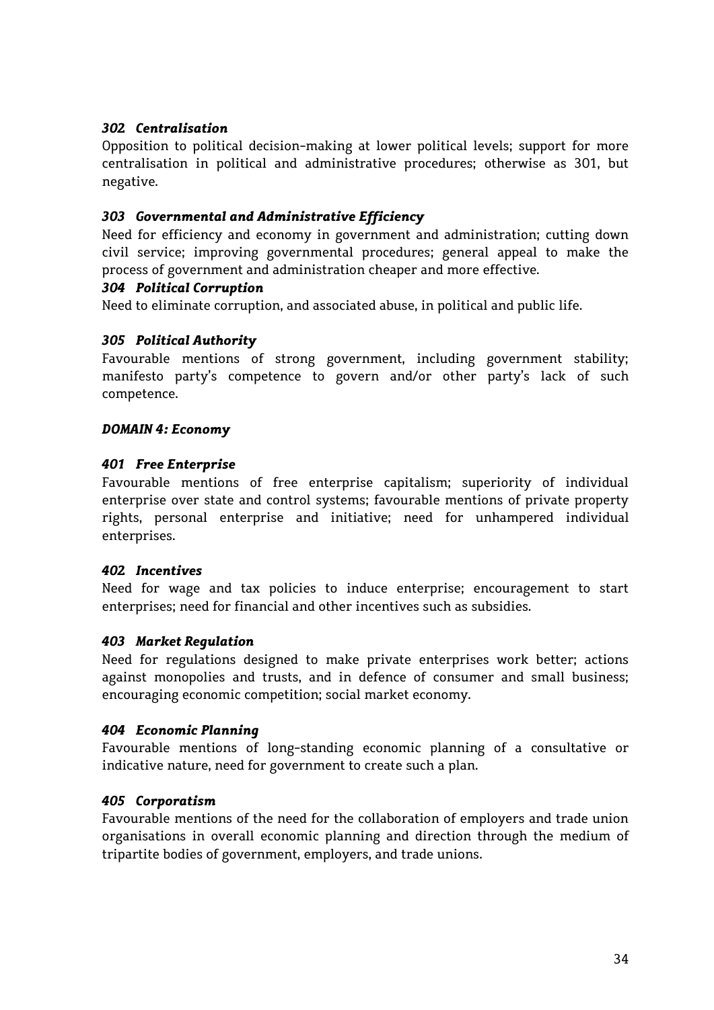#### *302 Centralisation*

Opposition to political decision-making at lower political levels; support for more centralisation in political and administrative procedures; otherwise as 301, but negative.

#### *303 Governmental and Administrative Efficiency*

Need for efficiency and economy in government and administration; cutting down civil service; improving governmental procedures; general appeal to make the process of government and administration cheaper and more effective.

#### *304 Political Corruption*

Need to eliminate corruption, and associated abuse, in political and public life.

#### *305 Political Authority*

Favourable mentions of strong government, including government stability; manifesto party's competence to govern and/or other party's lack of such competence.

#### *DOMAIN 4: Economy*

#### *401 Free Enterprise*

Favourable mentions of free enterprise capitalism; superiority of individual enterprise over state and control systems; favourable mentions of private property rights, personal enterprise and initiative; need for unhampered individual enterprises.

#### *402 Incentives*

Need for wage and tax policies to induce enterprise; encouragement to start enterprises; need for financial and other incentives such as subsidies.

#### *403 Market Regulation*

Need for regulations designed to make private enterprises work better; actions against monopolies and trusts, and in defence of consumer and small business; encouraging economic competition; social market economy.

#### *404 Economic Planning*

Favourable mentions of long-standing economic planning of a consultative or indicative nature, need for government to create such a plan.

#### *405 Corporatism*

Favourable mentions of the need for the collaboration of employers and trade union organisations in overall economic planning and direction through the medium of tripartite bodies of government, employers, and trade unions.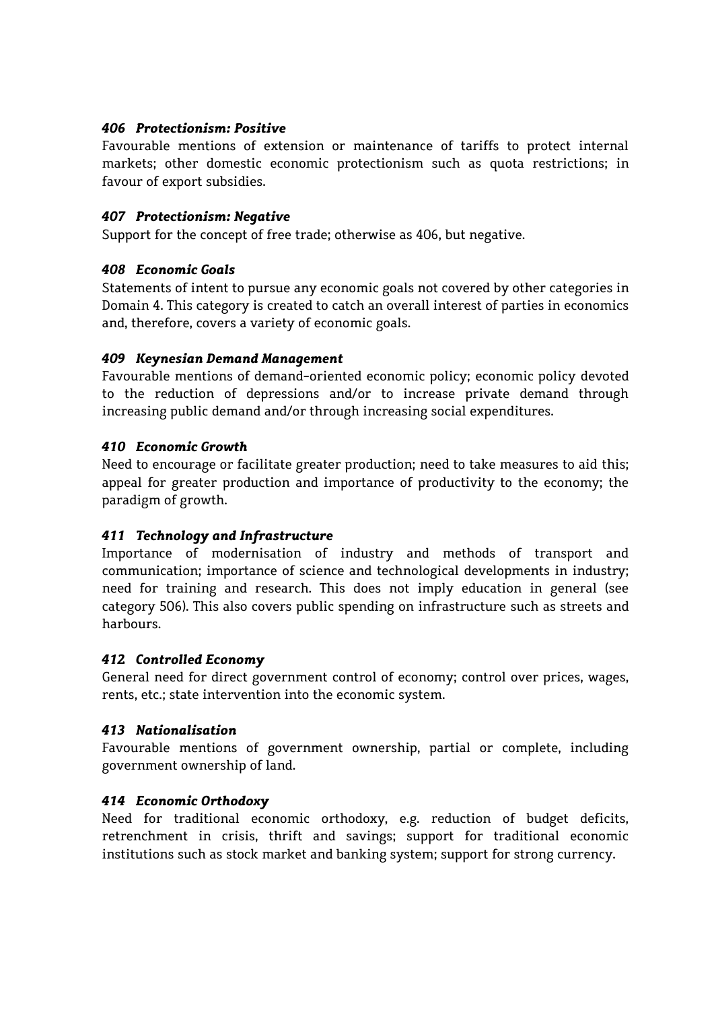#### *406 Protectionism: Positive*

Favourable mentions of extension or maintenance of tariffs to protect internal markets; other domestic economic protectionism such as quota restrictions; in favour of export subsidies.

#### *407 Protectionism: Negative*

Support for the concept of free trade; otherwise as 406, but negative.

#### *408 Economic Goals*

Statements of intent to pursue any economic goals not covered by other categories in Domain 4. This category is created to catch an overall interest of parties in economics and, therefore, covers a variety of economic goals.

#### *409 Keynesian Demand Management*

Favourable mentions of demand-oriented economic policy; economic policy devoted to the reduction of depressions and/or to increase private demand through increasing public demand and/or through increasing social expenditures.

#### *410 Economic Growth*

Need to encourage or facilitate greater production; need to take measures to aid this; appeal for greater production and importance of productivity to the economy; the paradigm of growth.

#### *411 Technology and Infrastructure*

Importance of modernisation of industry and methods of transport and communication; importance of science and technological developments in industry; need for training and research. This does not imply education in general (see category 506). This also covers public spending on infrastructure such as streets and harbours.

#### *412 Controlled Economy*

General need for direct government control of economy; control over prices, wages, rents, etc.; state intervention into the economic system.

#### *413 Nationalisation*

Favourable mentions of government ownership, partial or complete, including government ownership of land.

#### *414 Economic Orthodoxy*

Need for traditional economic orthodoxy, e.g. reduction of budget deficits, retrenchment in crisis, thrift and savings; support for traditional economic institutions such as stock market and banking system; support for strong currency.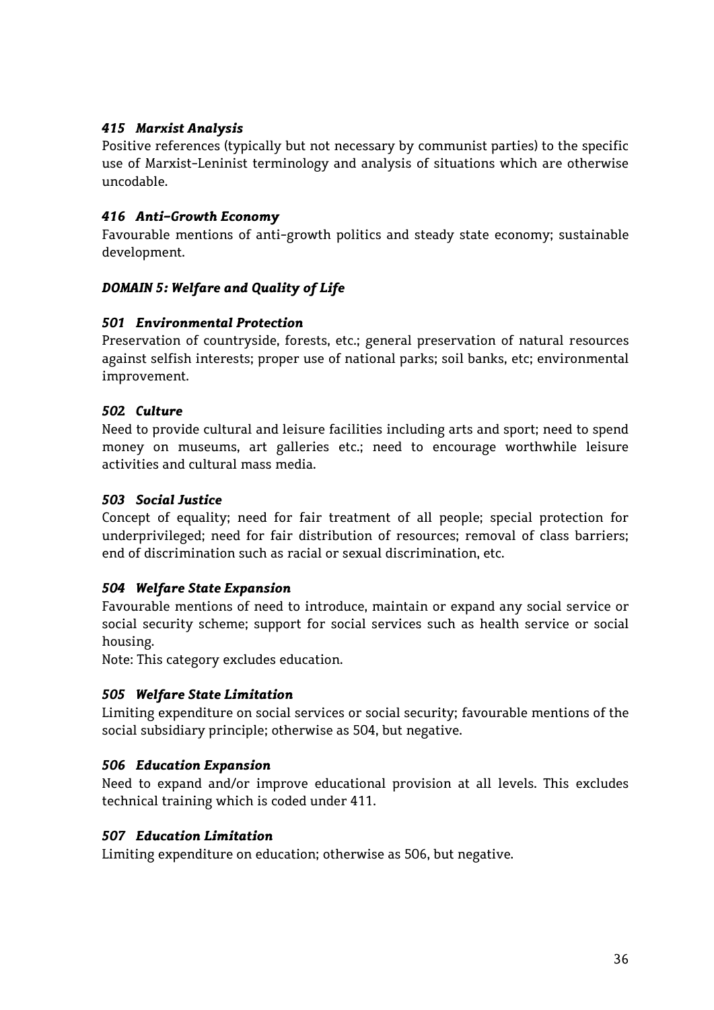#### *415 Marxist Analysis*

Positive references (typically but not necessary by communist parties) to the specific use of Marxist-Leninist terminology and analysis of situations which are otherwise uncodable.

#### *416 Anti-Growth Economy*

Favourable mentions of anti-growth politics and steady state economy; sustainable development.

#### *DOMAIN 5: Welfare and Quality of Life*

#### *501 Environmental Protection*

Preservation of countryside, forests, etc.; general preservation of natural resources against selfish interests; proper use of national parks; soil banks, etc; environmental improvement.

#### *502 Culture*

Need to provide cultural and leisure facilities including arts and sport; need to spend money on museums, art galleries etc.; need to encourage worthwhile leisure activities and cultural mass media.

#### *503 Social Justice*

Concept of equality; need for fair treatment of all people; special protection for underprivileged; need for fair distribution of resources; removal of class barriers; end of discrimination such as racial or sexual discrimination, etc.

#### *504 Welfare State Expansion*

Favourable mentions of need to introduce, maintain or expand any social service or social security scheme; support for social services such as health service or social housing.

Note: This category excludes education.

#### *505 Welfare State Limitation*

Limiting expenditure on social services or social security; favourable mentions of the social subsidiary principle; otherwise as 504, but negative.

#### *506 Education Expansion*

Need to expand and/or improve educational provision at all levels. This excludes technical training which is coded under 411.

#### *507 Education Limitation*

Limiting expenditure on education; otherwise as 506, but negative.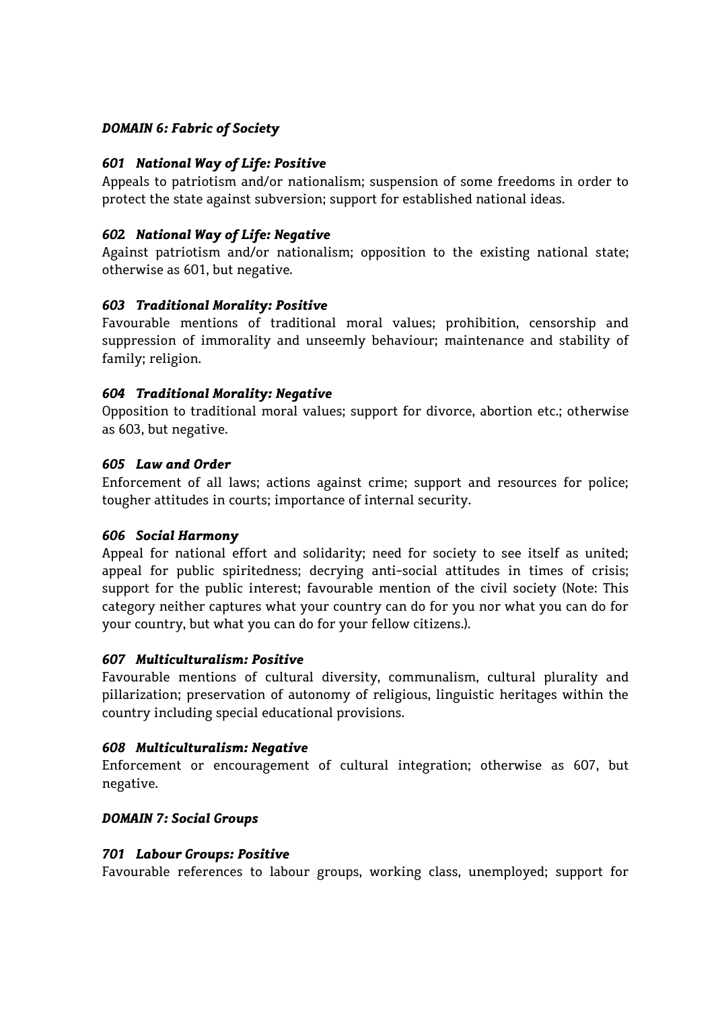#### *DOMAIN 6: Fabric of Society*

#### *601 National Way of Life: Positive*

Appeals to patriotism and/or nationalism; suspension of some freedoms in order to protect the state against subversion; support for established national ideas.

#### *602 National Way of Life: Negative*

Against patriotism and/or nationalism; opposition to the existing national state; otherwise as 601, but negative.

#### *603 Traditional Morality: Positive*

Favourable mentions of traditional moral values; prohibition, censorship and suppression of immorality and unseemly behaviour; maintenance and stability of family; religion.

#### *604 Traditional Morality: Negative*

Opposition to traditional moral values; support for divorce, abortion etc.; otherwise as 603, but negative.

#### *605 Law and Order*

Enforcement of all laws; actions against crime; support and resources for police; tougher attitudes in courts; importance of internal security.

#### *606 Social Harmony*

Appeal for national effort and solidarity; need for society to see itself as united; appeal for public spiritedness; decrying anti-social attitudes in times of crisis; support for the public interest; favourable mention of the civil society (Note: This category neither captures what your country can do for you nor what you can do for your country, but what you can do for your fellow citizens.).

#### *607 Multiculturalism: Positive*

Favourable mentions of cultural diversity, communalism, cultural plurality and pillarization; preservation of autonomy of religious, linguistic heritages within the country including special educational provisions.

#### *608 Multiculturalism: Negative*

Enforcement or encouragement of cultural integration; otherwise as 607, but negative.

#### *DOMAIN 7: Social Groups*

#### *701 Labour Groups: Positive*

Favourable references to labour groups, working class, unemployed; support for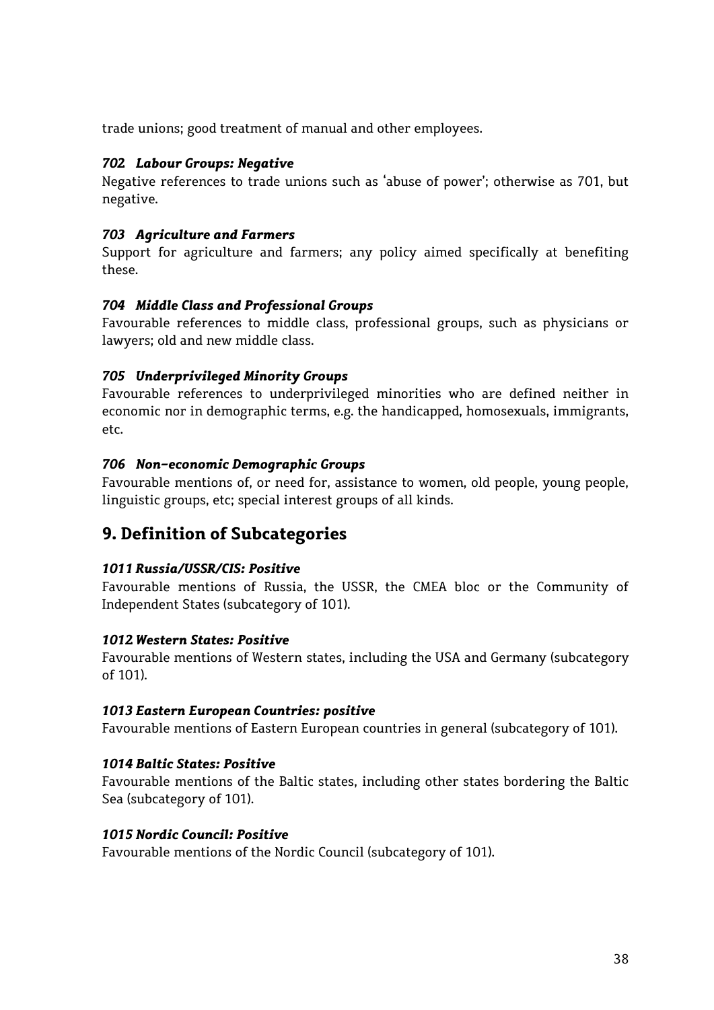trade unions; good treatment of manual and other employees.

#### *702 Labour Groups: Negative*

Negative references to trade unions such as 'abuse of power'; otherwise as 701, but negative.

#### *703 Agriculture and Farmers*

Support for agriculture and farmers; any policy aimed specifically at benefiting these.

#### *704 Middle Class and Professional Groups*

Favourable references to middle class, professional groups, such as physicians or lawyers; old and new middle class.

#### *705 Underprivileged Minority Groups*

Favourable references to underprivileged minorities who are defined neither in economic nor in demographic terms, e.g. the handicapped, homosexuals, immigrants, etc.

#### *706 Non-economic Demographic Groups*

Favourable mentions of, or need for, assistance to women, old people, young people, linguistic groups, etc; special interest groups of all kinds.

## <span id="page-50-0"></span>**9. Definition of Subcategories**

#### *1011 Russia/USSR/CIS: Positive*

Favourable mentions of Russia, the USSR, the CMEA bloc or the Community of Independent States (subcategory of 101).

#### *1012 Western States: Positive*

Favourable mentions of Western states, including the USA and Germany (subcategory of 101).

#### *1013 Eastern European Countries: positive*

Favourable mentions of Eastern European countries in general (subcategory of 101).

#### *1014 Baltic States: Positive*

Favourable mentions of the Baltic states, including other states bordering the Baltic Sea (subcategory of 101).

#### *1015 Nordic Council: Positive*

Favourable mentions of the Nordic Council (subcategory of 101).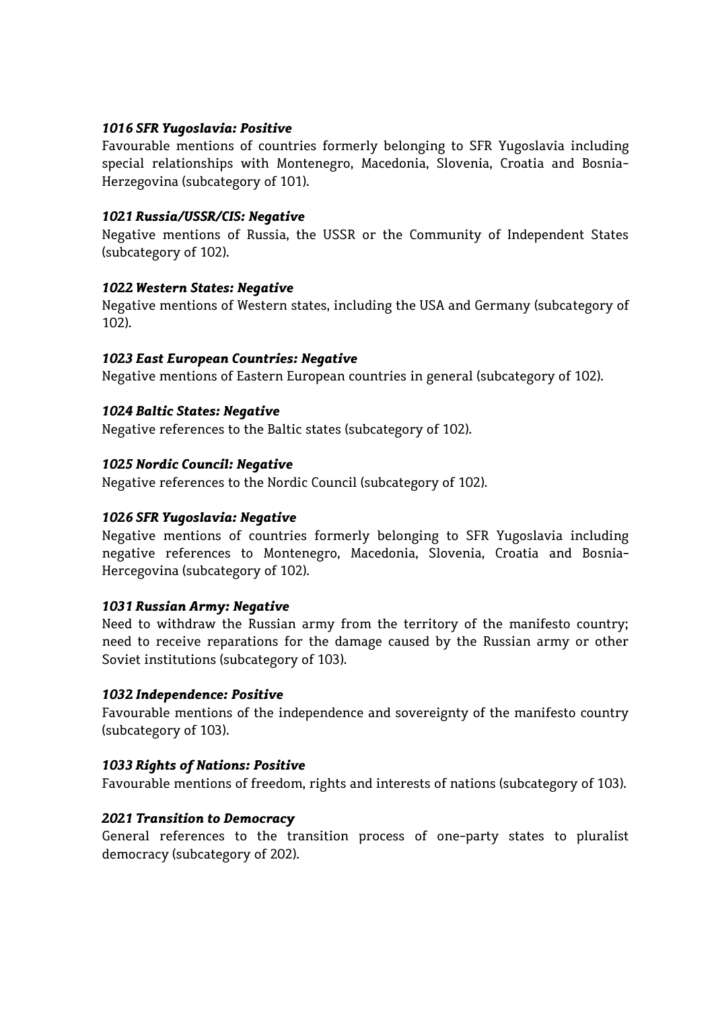#### *1016 SFR Yugoslavia: Positive*

Favourable mentions of countries formerly belonging to SFR Yugoslavia including special relationships with Montenegro, Macedonia, Slovenia, Croatia and Bosnia-Herzegovina (subcategory of 101).

#### *1021 Russia/USSR/CIS: Negative*

Negative mentions of Russia, the USSR or the Community of Independent States (subcategory of 102).

#### *1022 Western States: Negative*

Negative mentions of Western states, including the USA and Germany (subcategory of 102).

#### *1023 East European Countries: Negative*

Negative mentions of Eastern European countries in general (subcategory of 102).

#### *1024 Baltic States: Negative*

Negative references to the Baltic states (subcategory of 102).

#### *1025 Nordic Council: Negative*

Negative references to the Nordic Council (subcategory of 102).

#### *1026 SFR Yugoslavia: Negative*

Negative mentions of countries formerly belonging to SFR Yugoslavia including negative references to Montenegro, Macedonia, Slovenia, Croatia and Bosnia-Hercegovina (subcategory of 102).

#### *1031 Russian Army: Negative*

Need to withdraw the Russian army from the territory of the manifesto country; need to receive reparations for the damage caused by the Russian army or other Soviet institutions (subcategory of 103).

#### *1032 Independence: Positive*

Favourable mentions of the independence and sovereignty of the manifesto country (subcategory of 103).

#### *1033 Rights of Nations: Positive*

Favourable mentions of freedom, rights and interests of nations (subcategory of 103).

#### *2021 Transition to Democracy*

General references to the transition process of one-party states to pluralist democracy (subcategory of 202).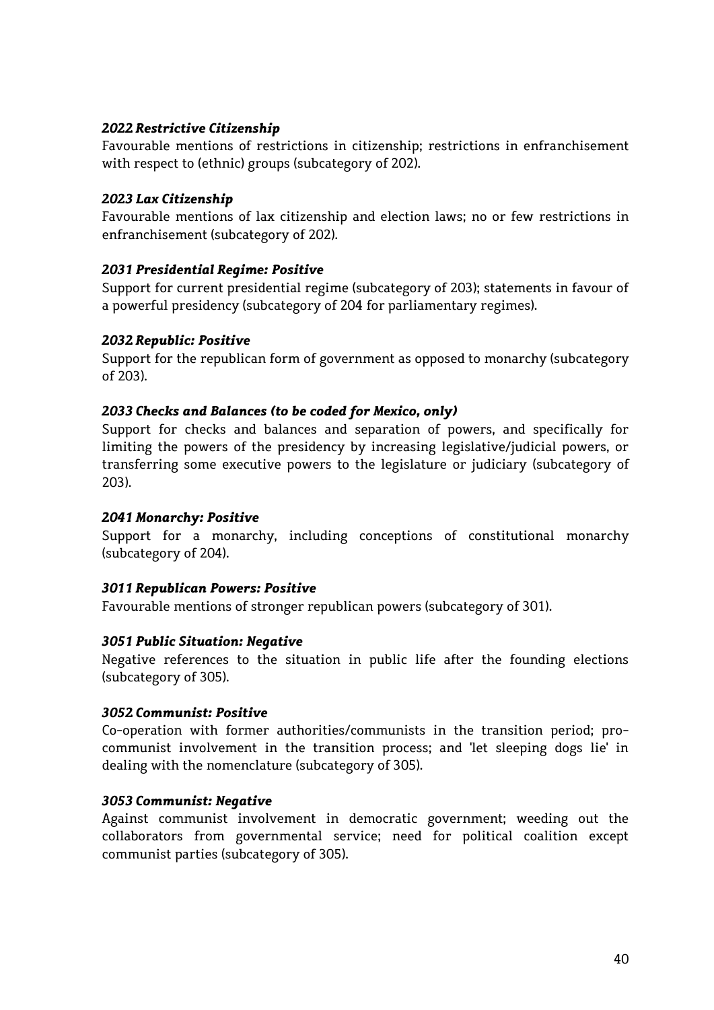#### *2022 Restrictive Citizenship*

Favourable mentions of restrictions in citizenship; restrictions in enfranchisement with respect to (ethnic) groups (subcategory of 202).

#### *2023 Lax Citizenship*

Favourable mentions of lax citizenship and election laws; no or few restrictions in enfranchisement (subcategory of 202).

#### *2031 Presidential Regime: Positive*

Support for current presidential regime (subcategory of 203); statements in favour of a powerful presidency (subcategory of 204 for parliamentary regimes).

#### *2032 Republic: Positive*

Support for the republican form of government as opposed to monarchy (subcategory of 203).

#### *2033 Checks and Balances (to be coded for Mexico, only)*

Support for checks and balances and separation of powers, and specifically for limiting the powers of the presidency by increasing legislative/judicial powers, or transferring some executive powers to the legislature or judiciary (subcategory of 203).

#### *2041 Monarchy: Positive*

Support for a monarchy, including conceptions of constitutional monarchy (subcategory of 204).

#### *3011 Republican Powers: Positive*

Favourable mentions of stronger republican powers (subcategory of 301).

#### *3051 Public Situation: Negative*

Negative references to the situation in public life after the founding elections (subcategory of 305).

#### *3052 Communist: Positive*

Co-operation with former authorities/communists in the transition period; procommunist involvement in the transition process; and 'let sleeping dogs lie' in dealing with the nomenclature (subcategory of 305).

#### *3053 Communist: Negative*

Against communist involvement in democratic government; weeding out the collaborators from governmental service; need for political coalition except communist parties (subcategory of 305).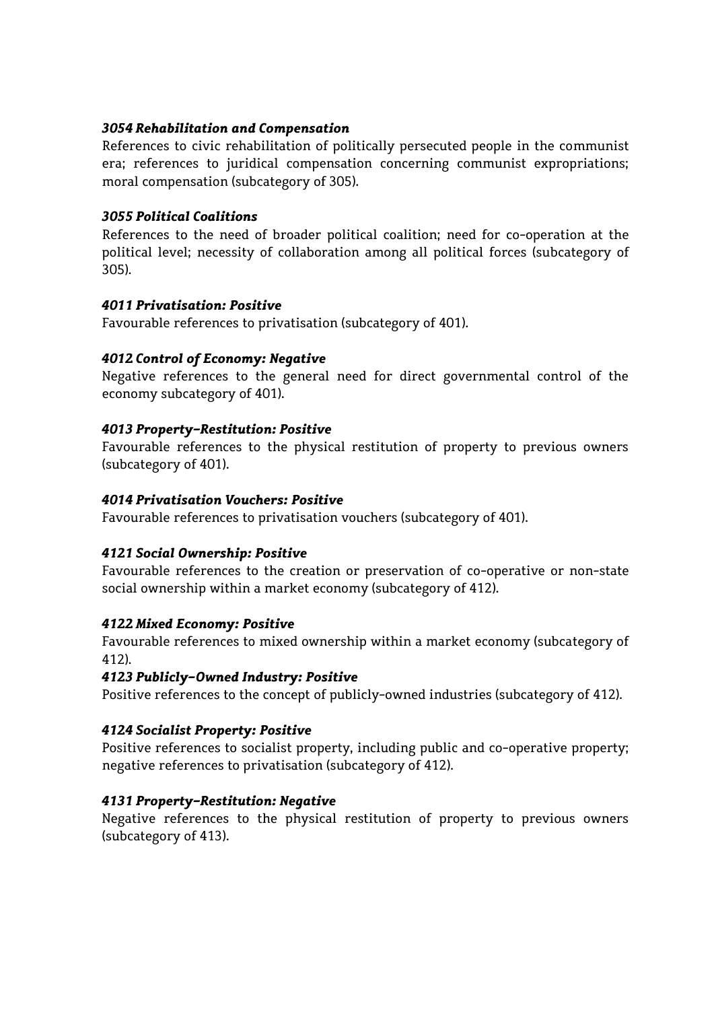#### *3054 Rehabilitation and Compensation*

References to civic rehabilitation of politically persecuted people in the communist era; references to juridical compensation concerning communist expropriations; moral compensation (subcategory of 305).

#### *3055 Political Coalitions*

References to the need of broader political coalition; need for co-operation at the political level; necessity of collaboration among all political forces (subcategory of 305).

#### *4011 Privatisation: Positive*

Favourable references to privatisation (subcategory of 401).

#### *4012 Control of Economy: Negative*

Negative references to the general need for direct governmental control of the economy subcategory of 401).

#### *4013 Property-Restitution: Positive*

Favourable references to the physical restitution of property to previous owners (subcategory of 401).

#### *4014 Privatisation Vouchers: Positive*

Favourable references to privatisation vouchers (subcategory of 401).

#### *4121 Social Ownership: Positive*

Favourable references to the creation or preservation of co-operative or non-state social ownership within a market economy (subcategory of 412).

#### *4122 Mixed Economy: Positive*

Favourable references to mixed ownership within a market economy (subcategory of 412).

#### *4123 Publicly-Owned Industry: Positive*

Positive references to the concept of publicly-owned industries (subcategory of 412).

#### *4124 Socialist Property: Positive*

Positive references to socialist property, including public and co-operative property; negative references to privatisation (subcategory of 412).

#### *4131 Property-Restitution: Negative*

Negative references to the physical restitution of property to previous owners (subcategory of 413).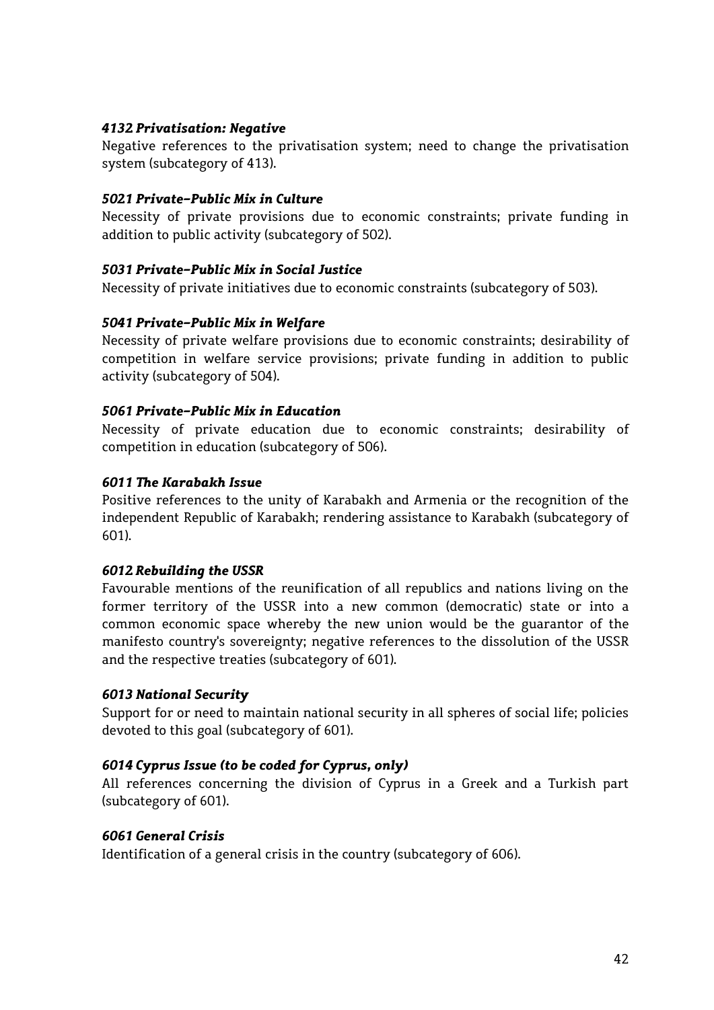#### *4132 Privatisation: Negative*

Negative references to the privatisation system; need to change the privatisation system (subcategory of 413).

#### *5021 Private-Public Mix in Culture*

Necessity of private provisions due to economic constraints; private funding in addition to public activity (subcategory of 502).

#### *5031 Private-Public Mix in Social Justice*

Necessity of private initiatives due to economic constraints (subcategory of 503).

#### *5041 Private-Public Mix in Welfare*

Necessity of private welfare provisions due to economic constraints; desirability of competition in welfare service provisions; private funding in addition to public activity (subcategory of 504).

#### *5061 Private-Public Mix in Education*

Necessity of private education due to economic constraints; desirability of competition in education (subcategory of 506).

#### *6011 The Karabakh Issue*

Positive references to the unity of Karabakh and Armenia or the recognition of the independent Republic of Karabakh; rendering assistance to Karabakh (subcategory of 601).

#### *6012 Rebuilding the USSR*

Favourable mentions of the reunification of all republics and nations living on the former territory of the USSR into a new common (democratic) state or into a common economic space whereby the new union would be the guarantor of the manifesto country's sovereignty; negative references to the dissolution of the USSR and the respective treaties (subcategory of 601).

#### *6013 National Security*

Support for or need to maintain national security in all spheres of social life; policies devoted to this goal (subcategory of 601).

#### *6014 Cyprus Issue (to be coded for Cyprus, only)*

All references concerning the division of Cyprus in a Greek and a Turkish part (subcategory of 601).

#### *6061 General Crisis*

Identification of a general crisis in the country (subcategory of 606).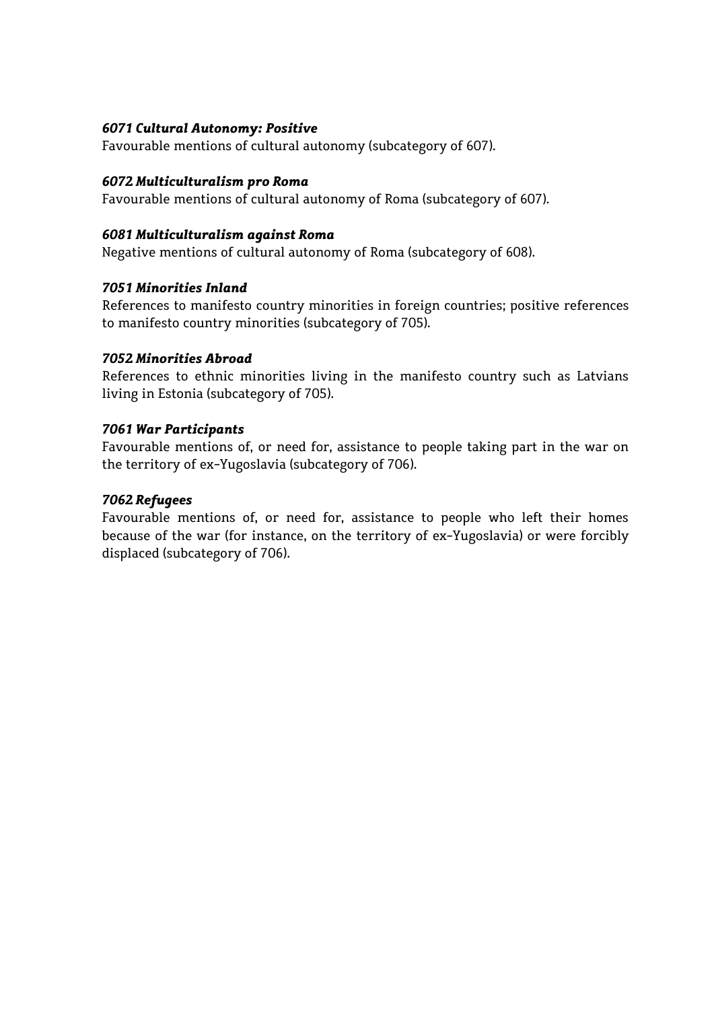#### *6071 Cultural Autonomy: Positive*

Favourable mentions of cultural autonomy (subcategory of 607).

#### *6072 Multiculturalism pro Roma*

Favourable mentions of cultural autonomy of Roma (subcategory of 607).

#### *6081 Multiculturalism against Roma*

Negative mentions of cultural autonomy of Roma (subcategory of 608).

#### *7051 Minorities Inland*

References to manifesto country minorities in foreign countries; positive references to manifesto country minorities (subcategory of 705).

#### *7052 Minorities Abroad*

References to ethnic minorities living in the manifesto country such as Latvians living in Estonia (subcategory of 705).

#### *7061 War Participants*

Favourable mentions of, or need for, assistance to people taking part in the war on the territory of ex-Yugoslavia (subcategory of 706).

#### *7062 Refugees*

Favourable mentions of, or need for, assistance to people who left their homes because of the war (for instance, on the territory of ex-Yugoslavia) or were forcibly displaced (subcategory of 706).